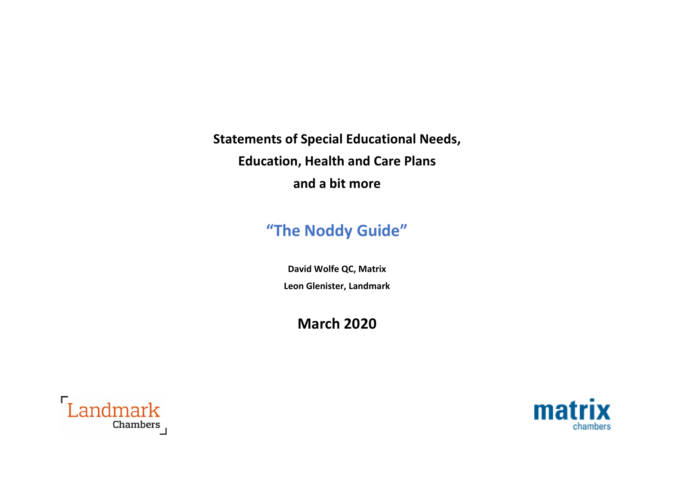**Statements of Special Educational Needs, Education, Health and Care Plans and a bit more**

# **"The Noddy Guide"**

**David Wolfe QC, Matrix Leon Glenister, Landmark**

**March 2020**



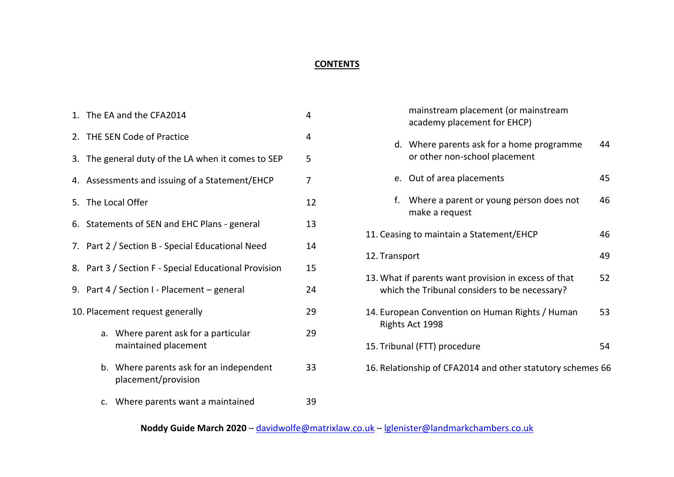### **CONTENTS**

|                                 | 1. The EA and the CFA2014<br>4                              |                                                                |    |
|---------------------------------|-------------------------------------------------------------|----------------------------------------------------------------|----|
|                                 | 2. THE SEN Code of Practice<br>4                            |                                                                |    |
|                                 | 3. The general duty of the LA when it comes to SEP<br>5     |                                                                |    |
|                                 | 4. Assessments and issuing of a Statement/EHCP<br>7         |                                                                |    |
|                                 | 5. The Local Offer<br>12                                    |                                                                |    |
|                                 | 13<br>6. Statements of SEN and EHC Plans - general          |                                                                |    |
|                                 | 7. Part 2 / Section B - Special Educational Need<br>14      |                                                                |    |
|                                 | 15<br>8. Part 3 / Section F - Special Educational Provision |                                                                |    |
|                                 | 9. Part 4 / Section I - Placement - general<br>24           |                                                                |    |
| 10. Placement request generally |                                                             |                                                                | 29 |
|                                 |                                                             | a. Where parent ask for a particular<br>maintained placement   | 29 |
|                                 |                                                             | b. Where parents ask for an independent<br>placement/provision | 33 |
|                                 |                                                             | c. Where parents want a maintained                             | 39 |

|                                                                                                       |    | mainstream placement (or mainstream<br>academy placement for EHCP)         |    |
|-------------------------------------------------------------------------------------------------------|----|----------------------------------------------------------------------------|----|
|                                                                                                       |    | d. Where parents ask for a home programme<br>or other non-school placement | 44 |
|                                                                                                       |    | e. Out of area placements                                                  | 45 |
|                                                                                                       | f. | Where a parent or young person does not<br>make a request                  | 46 |
| 11. Ceasing to maintain a Statement/EHCP<br>46                                                        |    |                                                                            |    |
| 12. Transport                                                                                         |    | 49                                                                         |    |
| 13. What if parents want provision in excess of that<br>which the Tribunal considers to be necessary? |    | 52                                                                         |    |
| 14. European Convention on Human Rights / Human<br>Rights Act 1998                                    |    | 53                                                                         |    |
| 15. Tribunal (FTT) procedure                                                                          |    | 54                                                                         |    |
| 16. Relationship of CFA2014 and other statutory schemes 66                                            |    |                                                                            |    |

## **Noddy Guide March 2020** – [davidwolfe@matrixlaw.co.uk](mailto:davidwolfe@matrixlaw.co.uk) – [lglenister@landmarkchambers.co.uk](mailto:lglenister@landmarkchambers.co.uk)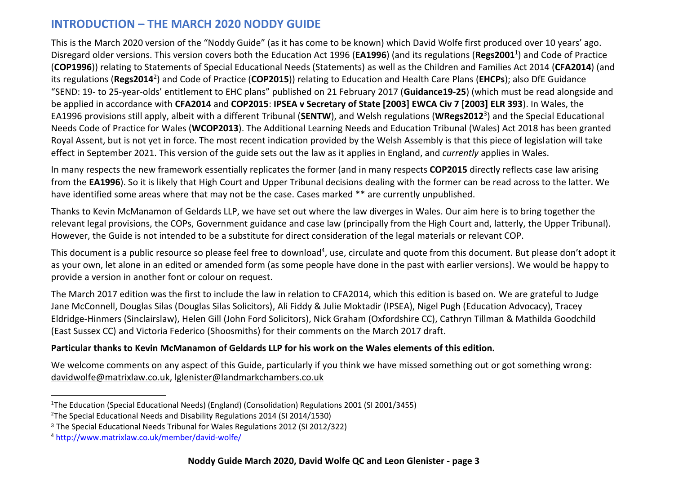## **INTRODUCTION – THE MARCH 2020 NODDY GUIDE**

This is the March 2020 version of the "Noddy Guide" (as it has come to be known) which David Wolfe first produced over 10 years' ago. Disregard older versions. This version covers both the Education Act 1996 (**EA1996**) (and its regulations (**Regs2001**<sup>1</sup> ) and Code of Practice (**COP1996**)) relating to Statements of Special Educational Needs (Statements) as well as the Children and Families Act 2014 (**CFA2014**) (and its regulations (**Regs2014**<sup>2</sup> ) and Code of Practice (**COP2015**)) relating to Education and Health Care Plans (**EHCPs**); also DfE Guidance "SEND: 19- to 25-year-olds' entitlement to EHC plans" published on 21 February 2017 (**Guidance19-25**) (which must be read alongside and be applied in accordance with **CFA2014** and **COP2015**: **IPSEA v Secretary of State [2003] EWCA Civ 7 [2003] ELR 393**). In Wales, the EA1996 provisions still apply, albeit with a different Tribunal (**SENTW**), and Welsh regulations (**WRegs2012**<sup>3</sup> ) and the Special Educational Needs Code of Practice for Wales (**WCOP2013**). The Additional Learning Needs and Education Tribunal (Wales) Act 2018 has been granted Royal Assent, but is not yet in force. The most recent indication provided by the Welsh Assembly is that this piece of legislation will take effect in September 2021. This version of the guide sets out the law as it applies in England, and *currently* applies in Wales.

In many respects the new framework essentially replicates the former (and in many respects **COP2015** directly reflects case law arising from the **EA1996**). So it is likely that High Court and Upper Tribunal decisions dealing with the former can be read across to the latter. We have identified some areas where that may not be the case. Cases marked \*\* are currently unpublished.

Thanks to Kevin McManamon of Geldards LLP, we have set out where the law diverges in Wales. Our aim here is to bring together the relevant legal provisions, the COPs, Government guidance and case law (principally from the High Court and, latterly, the Upper Tribunal). However, the Guide is not intended to be a substitute for direct consideration of the legal materials or relevant COP.

This document is a public resource so please feel free to download<sup>4</sup>, use, circulate and quote from this document. But please don't adopt it as your own, let alone in an edited or amended form (as some people have done in the past with earlier versions). We would be happy to provide a version in another font or colour on request.

The March 2017 edition was the first to include the law in relation to CFA2014, which this edition is based on. We are grateful to Judge Jane McConnell, Douglas Silas (Douglas Silas Solicitors), Ali Fiddy & Julie Moktadir (IPSEA), Nigel Pugh (Education Advocacy), Tracey Eldridge-Hinmers (Sinclairslaw), Helen Gill (John Ford Solicitors), Nick Graham (Oxfordshire CC), Cathryn Tillman & Mathilda Goodchild (East Sussex CC) and Victoria Federico (Shoosmiths) for their comments on the March 2017 draft.

#### **Particular thanks to Kevin McManamon of Geldards LLP for his work on the Wales elements of this edition.**

We welcome comments on any aspect of this Guide, particularly if you think we have missed something out or got something wrong: [davidwolfe@matrixlaw.co.uk,](mailto:davidwolfe@matrixlaw.co.uk) [lglenister@landmarkchambers.co.uk](mailto:lglenister@landmarkchambers.co.uk) 

 $\overline{a}$ 

<sup>1</sup>The Education (Special Educational Needs) (England) (Consolidation) Regulations 2001 (SI 2001/3455)

<sup>&</sup>lt;sup>2</sup>The Special Educational Needs and Disability Regulations 2014 (SI 2014/1530)

<sup>3</sup> The Special Educational Needs Tribunal for Wales Regulations 2012 (SI 2012/322)

<sup>4</sup> <http://www.matrixlaw.co.uk/member/david-wolfe/>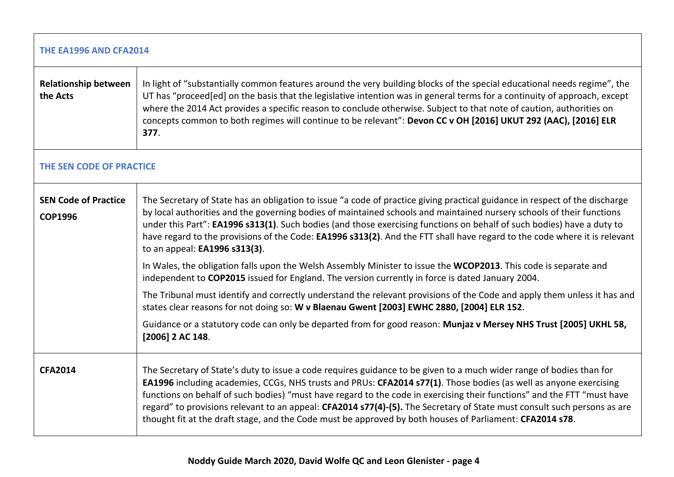| THE EA1996 AND CFA2014                        |                                                                                                                                                                                                                                                                                                                                                                                                                                                                                                                                                                                                              |  |
|-----------------------------------------------|--------------------------------------------------------------------------------------------------------------------------------------------------------------------------------------------------------------------------------------------------------------------------------------------------------------------------------------------------------------------------------------------------------------------------------------------------------------------------------------------------------------------------------------------------------------------------------------------------------------|--|
| <b>Relationship between</b><br>the Acts       | In light of "substantially common features around the very building blocks of the special educational needs regime", the<br>UT has "proceed[ed] on the basis that the legislative intention was in general terms for a continuity of approach, except<br>where the 2014 Act provides a specific reason to conclude otherwise. Subject to that note of caution, authorities on<br>concepts common to both regimes will continue to be relevant": Devon CC v OH [2016] UKUT 292 (AAC), [2016] ELR<br>377.                                                                                                      |  |
| THE SEN CODE OF PRACTICE                      |                                                                                                                                                                                                                                                                                                                                                                                                                                                                                                                                                                                                              |  |
| <b>SEN Code of Practice</b><br><b>COP1996</b> | The Secretary of State has an obligation to issue "a code of practice giving practical guidance in respect of the discharge<br>by local authorities and the governing bodies of maintained schools and maintained nursery schools of their functions<br>under this Part": EA1996 s313(1). Such bodies (and those exercising functions on behalf of such bodies) have a duty to<br>have regard to the provisions of the Code: EA1996 s313(2). And the FTT shall have regard to the code where it is relevant<br>to an appeal: EA1996 s313(3).                                                                 |  |
|                                               | In Wales, the obligation falls upon the Welsh Assembly Minister to issue the WCOP2013. This code is separate and<br>independent to COP2015 issued for England. The version currently in force is dated January 2004.                                                                                                                                                                                                                                                                                                                                                                                         |  |
|                                               | The Tribunal must identify and correctly understand the relevant provisions of the Code and apply them unless it has and<br>states clear reasons for not doing so: W v Blaenau Gwent [2003] EWHC 2880, [2004] ELR 152.                                                                                                                                                                                                                                                                                                                                                                                       |  |
|                                               | Guidance or a statutory code can only be departed from for good reason: Munjaz v Mersey NHS Trust [2005] UKHL 58,<br>[2006] 2 AC 148.                                                                                                                                                                                                                                                                                                                                                                                                                                                                        |  |
| <b>CFA2014</b>                                | The Secretary of State's duty to issue a code requires guidance to be given to a much wider range of bodies than for<br>EA1996 including academies, CCGs, NHS trusts and PRUs: CFA2014 s77(1). Those bodies (as well as anyone exercising<br>functions on behalf of such bodies) "must have regard to the code in exercising their functions" and the FTT "must have<br>regard" to provisions relevant to an appeal: CFA2014 s77(4)-(5). The Secretary of State must consult such persons as are<br>thought fit at the draft stage, and the Code must be approved by both houses of Parliament: CFA2014 s78. |  |

 $\overline{\phantom{a}}$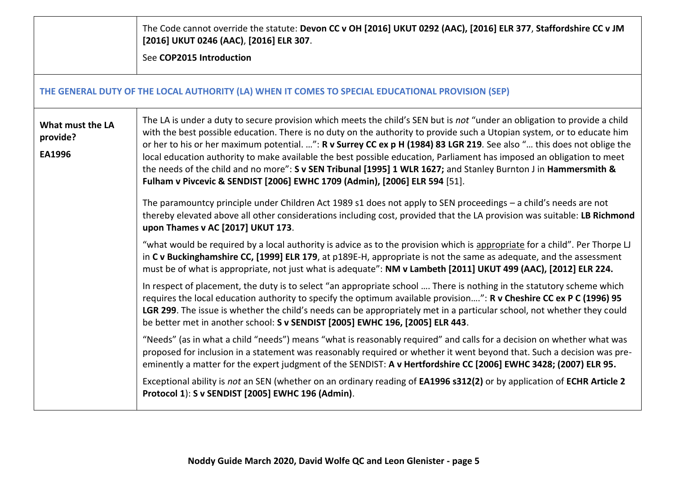|                                        | The Code cannot override the statute: Devon CC v OH [2016] UKUT 0292 (AAC), [2016] ELR 377, Staffordshire CC v JM<br>[2016] UKUT 0246 (AAC), [2016] ELR 307.<br>See COP2015 Introduction                                                                                                                                                                                                                                                                                                                                                                                                                                                                                                                 |
|----------------------------------------|----------------------------------------------------------------------------------------------------------------------------------------------------------------------------------------------------------------------------------------------------------------------------------------------------------------------------------------------------------------------------------------------------------------------------------------------------------------------------------------------------------------------------------------------------------------------------------------------------------------------------------------------------------------------------------------------------------|
|                                        | THE GENERAL DUTY OF THE LOCAL AUTHORITY (LA) WHEN IT COMES TO SPECIAL EDUCATIONAL PROVISION (SEP)                                                                                                                                                                                                                                                                                                                                                                                                                                                                                                                                                                                                        |
| What must the LA<br>provide?<br>EA1996 | The LA is under a duty to secure provision which meets the child's SEN but is not "under an obligation to provide a child<br>with the best possible education. There is no duty on the authority to provide such a Utopian system, or to educate him<br>or her to his or her maximum potential. ": R v Surrey CC ex p H (1984) 83 LGR 219. See also " this does not oblige the<br>local education authority to make available the best possible education, Parliament has imposed an obligation to meet<br>the needs of the child and no more": S v SEN Tribunal [1995] 1 WLR 1627; and Stanley Burnton J in Hammersmith &<br>Fulham v Pivcevic & SENDIST [2006] EWHC 1709 (Admin), [2006] ELR 594 [51]. |
|                                        | The paramountcy principle under Children Act 1989 s1 does not apply to SEN proceedings - a child's needs are not<br>thereby elevated above all other considerations including cost, provided that the LA provision was suitable: LB Richmond<br>upon Thames v AC [2017] UKUT 173.                                                                                                                                                                                                                                                                                                                                                                                                                        |
|                                        | "what would be required by a local authority is advice as to the provision which is appropriate for a child". Per Thorpe LJ<br>in C v Buckinghamshire CC, [1999] ELR 179, at p189E-H, appropriate is not the same as adequate, and the assessment<br>must be of what is appropriate, not just what is adequate": NM v Lambeth [2011] UKUT 499 (AAC), [2012] ELR 224.                                                                                                                                                                                                                                                                                                                                     |
|                                        | In respect of placement, the duty is to select "an appropriate school  There is nothing in the statutory scheme which<br>requires the local education authority to specify the optimum available provision": R v Cheshire CC ex P C (1996) 95<br>LGR 299. The issue is whether the child's needs can be appropriately met in a particular school, not whether they could<br>be better met in another school: S v SENDIST [2005] EWHC 196, [2005] ELR 443.                                                                                                                                                                                                                                                |
|                                        | "Needs" (as in what a child "needs") means "what is reasonably required" and calls for a decision on whether what was<br>proposed for inclusion in a statement was reasonably required or whether it went beyond that. Such a decision was pre-<br>eminently a matter for the expert judgment of the SENDIST: A v Hertfordshire CC [2006] EWHC 3428; (2007) ELR 95.                                                                                                                                                                                                                                                                                                                                      |
|                                        | Exceptional ability is not an SEN (whether on an ordinary reading of EA1996 s312(2) or by application of ECHR Article 2<br>Protocol 1): S v SENDIST [2005] EWHC 196 (Admin).                                                                                                                                                                                                                                                                                                                                                                                                                                                                                                                             |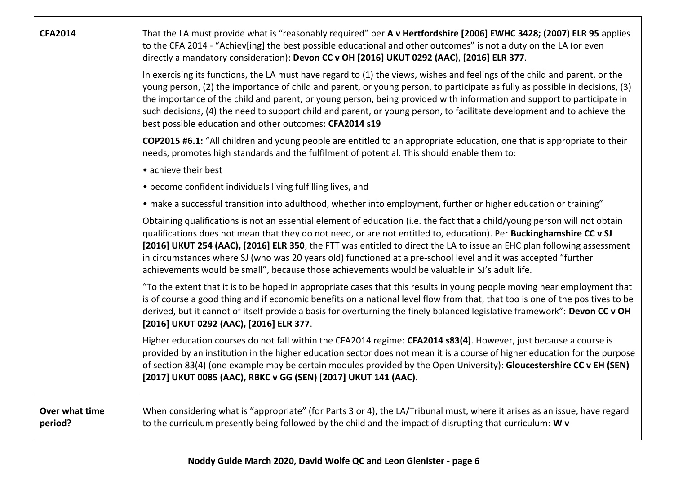| <b>CFA2014</b>            | That the LA must provide what is "reasonably required" per A v Hertfordshire [2006] EWHC 3428; (2007) ELR 95 applies<br>to the CFA 2014 - "Achiev[ing] the best possible educational and other outcomes" is not a duty on the LA (or even<br>directly a mandatory consideration): Devon CC v OH [2016] UKUT 0292 (AAC), [2016] ELR 377.                                                                                                                                                                                                                                                         |
|---------------------------|-------------------------------------------------------------------------------------------------------------------------------------------------------------------------------------------------------------------------------------------------------------------------------------------------------------------------------------------------------------------------------------------------------------------------------------------------------------------------------------------------------------------------------------------------------------------------------------------------|
|                           | In exercising its functions, the LA must have regard to (1) the views, wishes and feelings of the child and parent, or the<br>young person, (2) the importance of child and parent, or young person, to participate as fully as possible in decisions, (3)<br>the importance of the child and parent, or young person, being provided with information and support to participate in<br>such decisions, (4) the need to support child and parent, or young person, to facilitate development and to achieve the<br>best possible education and other outcomes: CFA2014 s19                      |
|                           | COP2015 #6.1: "All children and young people are entitled to an appropriate education, one that is appropriate to their<br>needs, promotes high standards and the fulfilment of potential. This should enable them to:                                                                                                                                                                                                                                                                                                                                                                          |
|                           | • achieve their best                                                                                                                                                                                                                                                                                                                                                                                                                                                                                                                                                                            |
|                           | • become confident individuals living fulfilling lives, and                                                                                                                                                                                                                                                                                                                                                                                                                                                                                                                                     |
|                           | • make a successful transition into adulthood, whether into employment, further or higher education or training"                                                                                                                                                                                                                                                                                                                                                                                                                                                                                |
|                           | Obtaining qualifications is not an essential element of education (i.e. the fact that a child/young person will not obtain<br>qualifications does not mean that they do not need, or are not entitled to, education). Per Buckinghamshire CC v SJ<br>[2016] UKUT 254 (AAC), [2016] ELR 350, the FTT was entitled to direct the LA to issue an EHC plan following assessment<br>in circumstances where SJ (who was 20 years old) functioned at a pre-school level and it was accepted "further<br>achievements would be small", because those achievements would be valuable in SJ's adult life. |
|                           | "To the extent that it is to be hoped in appropriate cases that this results in young people moving near employment that<br>is of course a good thing and if economic benefits on a national level flow from that, that too is one of the positives to be<br>derived, but it cannot of itself provide a basis for overturning the finely balanced legislative framework": Devon CC v OH<br>[2016] UKUT 0292 (AAC), [2016] ELR 377.                                                                                                                                                              |
|                           | Higher education courses do not fall within the CFA2014 regime: CFA2014 s83(4). However, just because a course is<br>provided by an institution in the higher education sector does not mean it is a course of higher education for the purpose<br>of section 83(4) (one example may be certain modules provided by the Open University): Gloucestershire CC v EH (SEN)<br>[2017] UKUT 0085 (AAC), RBKC v GG (SEN) [2017] UKUT 141 (AAC).                                                                                                                                                       |
| Over what time<br>period? | When considering what is "appropriate" (for Parts 3 or 4), the LA/Tribunal must, where it arises as an issue, have regard<br>to the curriculum presently being followed by the child and the impact of disrupting that curriculum: W v                                                                                                                                                                                                                                                                                                                                                          |

- r

┬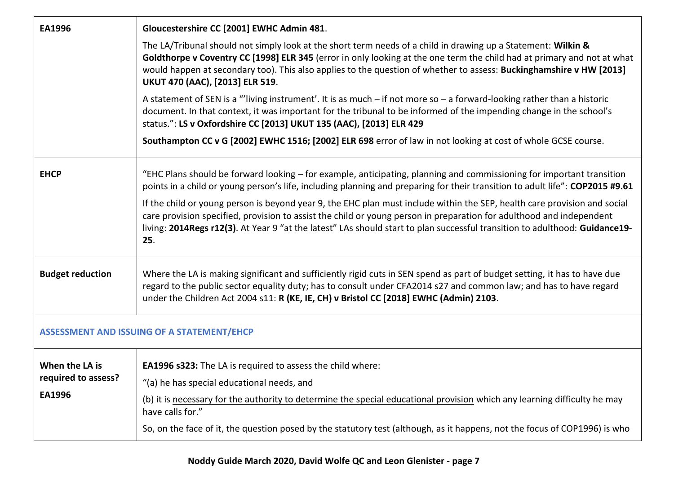| EA1996                                          | Gloucestershire CC [2001] EWHC Admin 481.                                                                                                                                                                                                                                                                                                                                                          |  |
|-------------------------------------------------|----------------------------------------------------------------------------------------------------------------------------------------------------------------------------------------------------------------------------------------------------------------------------------------------------------------------------------------------------------------------------------------------------|--|
|                                                 | The LA/Tribunal should not simply look at the short term needs of a child in drawing up a Statement: Wilkin &<br>Goldthorpe v Coventry CC [1998] ELR 345 (error in only looking at the one term the child had at primary and not at what<br>would happen at secondary too). This also applies to the question of whether to assess: Buckinghamshire v HW [2013]<br>UKUT 470 (AAC), [2013] ELR 519. |  |
|                                                 | A statement of SEN is a "living instrument'. It is as much $-$ if not more so $-$ a forward-looking rather than a historic<br>document. In that context, it was important for the tribunal to be informed of the impending change in the school's<br>status.": LS v Oxfordshire CC [2013] UKUT 135 (AAC), [2013] ELR 429                                                                           |  |
|                                                 | Southampton CC v G [2002] EWHC 1516; [2002] ELR 698 error of law in not looking at cost of whole GCSE course.                                                                                                                                                                                                                                                                                      |  |
| <b>EHCP</b>                                     | "EHC Plans should be forward looking – for example, anticipating, planning and commissioning for important transition<br>points in a child or young person's life, including planning and preparing for their transition to adult life": COP2015 #9.61                                                                                                                                             |  |
|                                                 | If the child or young person is beyond year 9, the EHC plan must include within the SEP, health care provision and social<br>care provision specified, provision to assist the child or young person in preparation for adulthood and independent<br>living: 2014Regs r12(3). At Year 9 "at the latest" LAs should start to plan successful transition to adulthood: Guidance19-<br>25.            |  |
| <b>Budget reduction</b>                         | Where the LA is making significant and sufficiently rigid cuts in SEN spend as part of budget setting, it has to have due<br>regard to the public sector equality duty; has to consult under CFA2014 s27 and common law; and has to have regard<br>under the Children Act 2004 s11: R (KE, IE, CH) v Bristol CC [2018] EWHC (Admin) 2103.                                                          |  |
| ASSESSMENT AND ISSUING OF A STATEMENT/EHCP      |                                                                                                                                                                                                                                                                                                                                                                                                    |  |
| When the LA is<br>required to assess?<br>EA1996 | <b>EA1996 s323:</b> The LA is required to assess the child where:<br>"(a) he has special educational needs, and<br>(b) it is necessary for the authority to determine the special educational provision which any learning difficulty he may<br>have calls for."<br>So, on the face of it, the question posed by the statutory test (although, as it happens, not the focus of COP1996) is who     |  |
|                                                 |                                                                                                                                                                                                                                                                                                                                                                                                    |  |

**Noddy Guide March 2020, David Wolfe QC and Leon Glenister - page 7**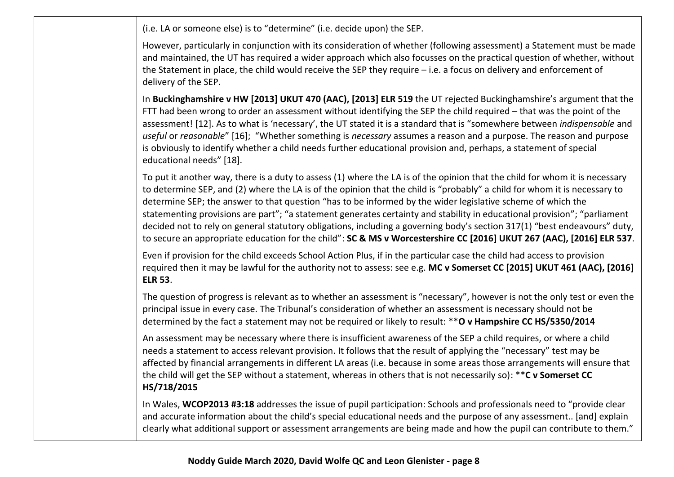(i.e. LA or someone else) is to "determine" (i.e. decide upon) the SEP.

However, particularly in conjunction with its consideration of whether (following assessment) a Statement must be made and maintained, the UT has required a wider approach which also focusses on the practical question of whether, without the Statement in place, the child would receive the SEP they require – i.e. a focus on delivery and enforcement of delivery of the SEP.

In **Buckinghamshire v HW [2013] UKUT 470 (AAC), [2013] ELR 519** the UT rejected Buckinghamshire's argument that the FTT had been wrong to order an assessment without identifying the SEP the child required – that was the point of the assessment! [12]. As to what is 'necessary', the UT stated it is a standard that is "somewhere between *indispensable* and *useful* or *reasonable*" [16]; "Whether something is *necessary* assumes a reason and a purpose. The reason and purpose is obviously to identify whether a child needs further educational provision and, perhaps, a statement of special educational needs" [18].

To put it another way, there is a duty to assess (1) where the LA is of the opinion that the child for whom it is necessary to determine SEP, and (2) where the LA is of the opinion that the child is "probably" a child for whom it is necessary to determine SEP; the answer to that question "has to be informed by the wider legislative scheme of which the statementing provisions are part"; "a statement generates certainty and stability in educational provision"; "parliament decided not to rely on general statutory obligations, including a governing body's section 317(1) "best endeavours" duty, to secure an appropriate education for the child": **SC & MS v Worcestershire CC [2016] UKUT 267 (AAC), [2016] ELR 537**.

Even if provision for the child exceeds School Action Plus, if in the particular case the child had access to provision required then it may be lawful for the authority not to assess: see e.g. **MC v Somerset CC [2015] UKUT 461 (AAC), [2016] ELR 53**.

The question of progress is relevant as to whether an assessment is "necessary", however is not the only test or even the principal issue in every case. The Tribunal's consideration of whether an assessment is necessary should not be determined by the fact a statement may not be required or likely to result: \*\***O v Hampshire CC HS/5350/2014**

An assessment may be necessary where there is insufficient awareness of the SEP a child requires, or where a child needs a statement to access relevant provision. It follows that the result of applying the "necessary" test may be affected by financial arrangements in different LA areas (i.e. because in some areas those arrangements will ensure that the child will get the SEP without a statement, whereas in others that is not necessarily so): \*\***C v Somerset CC HS/718/2015**

In Wales, **WCOP2013 #3:18** addresses the issue of pupil participation: Schools and professionals need to "provide clear and accurate information about the child's special educational needs and the purpose of any assessment.. [and] explain clearly what additional support or assessment arrangements are being made and how the pupil can contribute to them."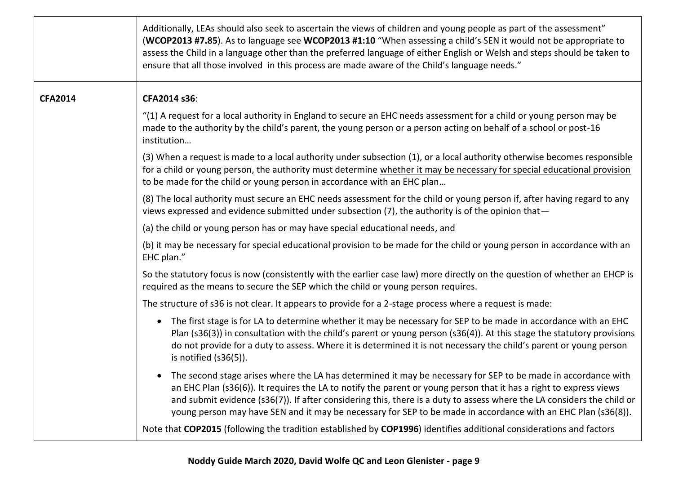|                | Additionally, LEAs should also seek to ascertain the views of children and young people as part of the assessment"<br>(WCOP2013 #7.85). As to language see WCOP2013 #1:10 "When assessing a child's SEN it would not be appropriate to<br>assess the Child in a language other than the preferred language of either English or Welsh and steps should be taken to<br>ensure that all those involved in this process are made aware of the Child's language needs."              |
|----------------|----------------------------------------------------------------------------------------------------------------------------------------------------------------------------------------------------------------------------------------------------------------------------------------------------------------------------------------------------------------------------------------------------------------------------------------------------------------------------------|
| <b>CFA2014</b> | CFA2014 s36:                                                                                                                                                                                                                                                                                                                                                                                                                                                                     |
|                | "(1) A request for a local authority in England to secure an EHC needs assessment for a child or young person may be<br>made to the authority by the child's parent, the young person or a person acting on behalf of a school or post-16<br>institution                                                                                                                                                                                                                         |
|                | (3) When a request is made to a local authority under subsection (1), or a local authority otherwise becomes responsible<br>for a child or young person, the authority must determine whether it may be necessary for special educational provision<br>to be made for the child or young person in accordance with an EHC plan                                                                                                                                                   |
|                | (8) The local authority must secure an EHC needs assessment for the child or young person if, after having regard to any<br>views expressed and evidence submitted under subsection (7), the authority is of the opinion that-                                                                                                                                                                                                                                                   |
|                | (a) the child or young person has or may have special educational needs, and                                                                                                                                                                                                                                                                                                                                                                                                     |
|                | (b) it may be necessary for special educational provision to be made for the child or young person in accordance with an<br>EHC plan."                                                                                                                                                                                                                                                                                                                                           |
|                | So the statutory focus is now (consistently with the earlier case law) more directly on the question of whether an EHCP is<br>required as the means to secure the SEP which the child or young person requires.                                                                                                                                                                                                                                                                  |
|                | The structure of s36 is not clear. It appears to provide for a 2-stage process where a request is made:                                                                                                                                                                                                                                                                                                                                                                          |
|                | • The first stage is for LA to determine whether it may be necessary for SEP to be made in accordance with an EHC<br>Plan (s36(3)) in consultation with the child's parent or young person (s36(4)). At this stage the statutory provisions<br>do not provide for a duty to assess. Where it is determined it is not necessary the child's parent or young person<br>is notified $(s36(5))$ .                                                                                    |
|                | • The second stage arises where the LA has determined it may be necessary for SEP to be made in accordance with<br>an EHC Plan (s36(6)). It requires the LA to notify the parent or young person that it has a right to express views<br>and submit evidence (s36(7)). If after considering this, there is a duty to assess where the LA considers the child or<br>young person may have SEN and it may be necessary for SEP to be made in accordance with an EHC Plan (s36(8)). |
|                | Note that COP2015 (following the tradition established by COP1996) identifies additional considerations and factors                                                                                                                                                                                                                                                                                                                                                              |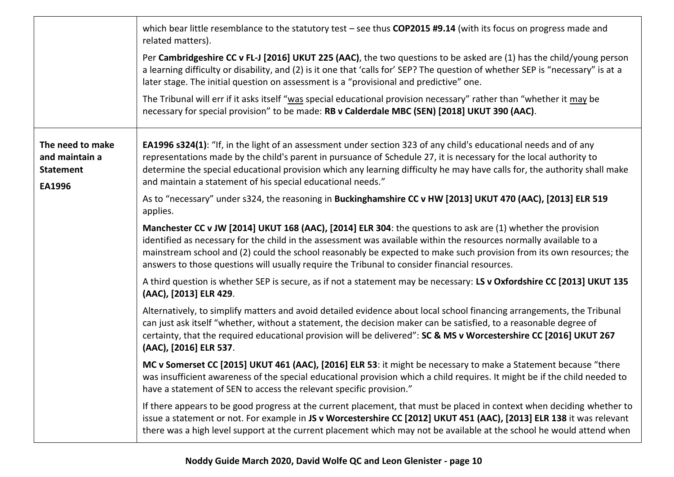|                                                                  | which bear little resemblance to the statutory test $-$ see thus COP2015 #9.14 (with its focus on progress made and<br>related matters).                                                                                                                                                                                                                                                                                                                    |
|------------------------------------------------------------------|-------------------------------------------------------------------------------------------------------------------------------------------------------------------------------------------------------------------------------------------------------------------------------------------------------------------------------------------------------------------------------------------------------------------------------------------------------------|
|                                                                  | Per Cambridgeshire CC v FL-J [2016] UKUT 225 (AAC), the two questions to be asked are (1) has the child/young person<br>a learning difficulty or disability, and (2) is it one that 'calls for' SEP? The question of whether SEP is "necessary" is at a<br>later stage. The initial question on assessment is a "provisional and predictive" one.                                                                                                           |
|                                                                  | The Tribunal will err if it asks itself "was special educational provision necessary" rather than "whether it may be<br>necessary for special provision" to be made: RB v Calderdale MBC (SEN) [2018] UKUT 390 (AAC).                                                                                                                                                                                                                                       |
| The need to make<br>and maintain a<br><b>Statement</b><br>EA1996 | EA1996 s324(1): "If, in the light of an assessment under section 323 of any child's educational needs and of any<br>representations made by the child's parent in pursuance of Schedule 27, it is necessary for the local authority to<br>determine the special educational provision which any learning difficulty he may have calls for, the authority shall make<br>and maintain a statement of his special educational needs."                          |
|                                                                  | As to "necessary" under s324, the reasoning in Buckinghamshire CC v HW [2013] UKUT 470 (AAC), [2013] ELR 519<br>applies.                                                                                                                                                                                                                                                                                                                                    |
|                                                                  | Manchester CC v JW [2014] UKUT 168 (AAC), [2014] ELR 304: the questions to ask are (1) whether the provision<br>identified as necessary for the child in the assessment was available within the resources normally available to a<br>mainstream school and (2) could the school reasonably be expected to make such provision from its own resources; the<br>answers to those questions will usually require the Tribunal to consider financial resources. |
|                                                                  | A third question is whether SEP is secure, as if not a statement may be necessary: LS v Oxfordshire CC [2013] UKUT 135<br>(AAC), [2013] ELR 429.                                                                                                                                                                                                                                                                                                            |
|                                                                  | Alternatively, to simplify matters and avoid detailed evidence about local school financing arrangements, the Tribunal<br>can just ask itself "whether, without a statement, the decision maker can be satisfied, to a reasonable degree of<br>certainty, that the required educational provision will be delivered": SC & MS v Worcestershire CC [2016] UKUT 267<br>(AAC), [2016] ELR 537.                                                                 |
|                                                                  | MC v Somerset CC [2015] UKUT 461 (AAC), [2016] ELR 53: it might be necessary to make a Statement because "there<br>was insufficient awareness of the special educational provision which a child requires. It might be if the child needed to<br>have a statement of SEN to access the relevant specific provision."                                                                                                                                        |
|                                                                  | If there appears to be good progress at the current placement, that must be placed in context when deciding whether to<br>issue a statement or not. For example in JS v Worcestershire CC [2012] UKUT 451 (AAC), [2013] ELR 138 it was relevant<br>there was a high level support at the current placement which may not be available at the school he would attend when                                                                                    |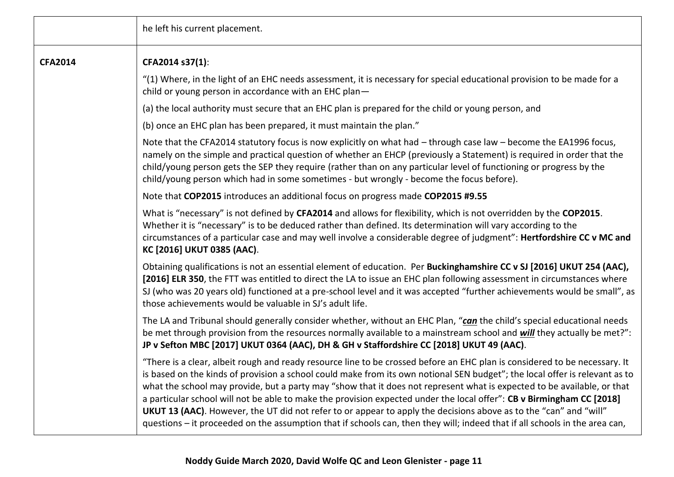|                | he left his current placement.                                                                                                                                                                                                                                                                                                                                                                                                                                                                                                                                                                                                                                                                                                                                    |
|----------------|-------------------------------------------------------------------------------------------------------------------------------------------------------------------------------------------------------------------------------------------------------------------------------------------------------------------------------------------------------------------------------------------------------------------------------------------------------------------------------------------------------------------------------------------------------------------------------------------------------------------------------------------------------------------------------------------------------------------------------------------------------------------|
| <b>CFA2014</b> | CFA2014 s37(1):                                                                                                                                                                                                                                                                                                                                                                                                                                                                                                                                                                                                                                                                                                                                                   |
|                | "(1) Where, in the light of an EHC needs assessment, it is necessary for special educational provision to be made for a<br>child or young person in accordance with an EHC plan-                                                                                                                                                                                                                                                                                                                                                                                                                                                                                                                                                                                  |
|                | (a) the local authority must secure that an EHC plan is prepared for the child or young person, and                                                                                                                                                                                                                                                                                                                                                                                                                                                                                                                                                                                                                                                               |
|                | (b) once an EHC plan has been prepared, it must maintain the plan."                                                                                                                                                                                                                                                                                                                                                                                                                                                                                                                                                                                                                                                                                               |
|                | Note that the CFA2014 statutory focus is now explicitly on what had - through case law - become the EA1996 focus,<br>namely on the simple and practical question of whether an EHCP (previously a Statement) is required in order that the<br>child/young person gets the SEP they require (rather than on any particular level of functioning or progress by the<br>child/young person which had in some sometimes - but wrongly - become the focus before).                                                                                                                                                                                                                                                                                                     |
|                | Note that COP2015 introduces an additional focus on progress made COP2015 #9.55                                                                                                                                                                                                                                                                                                                                                                                                                                                                                                                                                                                                                                                                                   |
|                | What is "necessary" is not defined by CFA2014 and allows for flexibility, which is not overridden by the COP2015.<br>Whether it is "necessary" is to be deduced rather than defined. Its determination will vary according to the<br>circumstances of a particular case and may well involve a considerable degree of judgment": Hertfordshire CC v MC and<br>KC [2016] UKUT 0385 (AAC).                                                                                                                                                                                                                                                                                                                                                                          |
|                | Obtaining qualifications is not an essential element of education. Per Buckinghamshire CC v SJ [2016] UKUT 254 (AAC),<br>[2016] ELR 350, the FTT was entitled to direct the LA to issue an EHC plan following assessment in circumstances where<br>SJ (who was 20 years old) functioned at a pre-school level and it was accepted "further achievements would be small", as<br>those achievements would be valuable in SJ's adult life.                                                                                                                                                                                                                                                                                                                           |
|                | The LA and Tribunal should generally consider whether, without an EHC Plan, "can the child's special educational needs<br>be met through provision from the resources normally available to a mainstream school and will they actually be met?":<br>JP v Sefton MBC [2017] UKUT 0364 (AAC), DH & GH v Staffordshire CC [2018] UKUT 49 (AAC).                                                                                                                                                                                                                                                                                                                                                                                                                      |
|                | "There is a clear, albeit rough and ready resource line to be crossed before an EHC plan is considered to be necessary. It<br>is based on the kinds of provision a school could make from its own notional SEN budget"; the local offer is relevant as to<br>what the school may provide, but a party may "show that it does not represent what is expected to be available, or that<br>a particular school will not be able to make the provision expected under the local offer": CB v Birmingham CC [2018]<br>UKUT 13 (AAC). However, the UT did not refer to or appear to apply the decisions above as to the "can" and "will"<br>questions – it proceeded on the assumption that if schools can, then they will; indeed that if all schools in the area can, |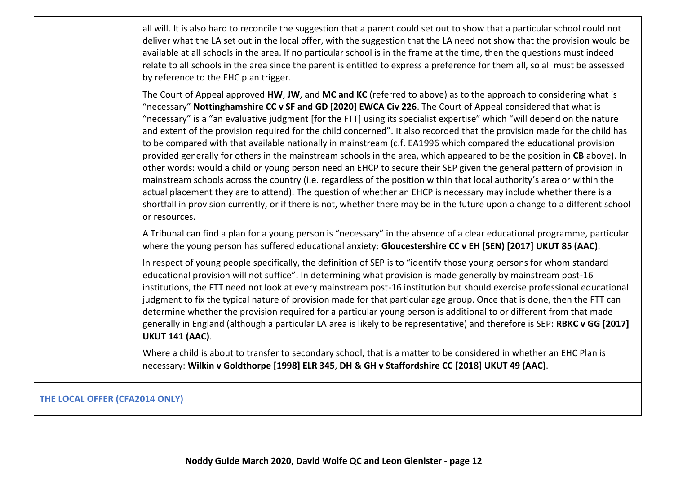all will. It is also hard to reconcile the suggestion that a parent could set out to show that a particular school could not deliver what the LA set out in the local offer, with the suggestion that the LA need not show that the provision would be available at all schools in the area. If no particular school is in the frame at the time, then the questions must indeed relate to all schools in the area since the parent is entitled to express a preference for them all, so all must be assessed by reference to the EHC plan trigger.

The Court of Appeal approved **HW**, **JW**, and **MC and KC** (referred to above) as to the approach to considering what is "necessary" **Nottinghamshire CC v SF and GD [2020] EWCA Civ 226**. The Court of Appeal considered that what is "necessary" is a "an evaluative judgment [for the FTT] using its specialist expertise" which "will depend on the nature and extent of the provision required for the child concerned". It also recorded that the provision made for the child has to be compared with that available nationally in mainstream (c.f. EA1996 which compared the educational provision provided generally for others in the mainstream schools in the area, which appeared to be the position in **CB** above). In other words: would a child or young person need an EHCP to secure their SEP given the general pattern of provision in mainstream schools across the country (i.e. regardless of the position within that local authority's area or within the actual placement they are to attend). The question of whether an EHCP is necessary may include whether there is a shortfall in provision currently, or if there is not, whether there may be in the future upon a change to a different school or resources.

A Tribunal can find a plan for a young person is "necessary" in the absence of a clear educational programme, particular where the young person has suffered educational anxiety: **Gloucestershire CC v EH (SEN) [2017] UKUT 85 (AAC)**.

In respect of young people specifically, the definition of SEP is to "identify those young persons for whom standard educational provision will not suffice". In determining what provision is made generally by mainstream post-16 institutions, the FTT need not look at every mainstream post-16 institution but should exercise professional educational judgment to fix the typical nature of provision made for that particular age group. Once that is done, then the FTT can determine whether the provision required for a particular young person is additional to or different from that made generally in England (although a particular LA area is likely to be representative) and therefore is SEP: **RBKC v GG [2017] UKUT 141 (AAC)**.

Where a child is about to transfer to secondary school, that is a matter to be considered in whether an EHC Plan is necessary: **Wilkin v Goldthorpe [1998] ELR 345**, **DH & GH v Staffordshire CC [2018] UKUT 49 (AAC)**.

#### **THE LOCAL OFFER (CFA2014 ONLY)**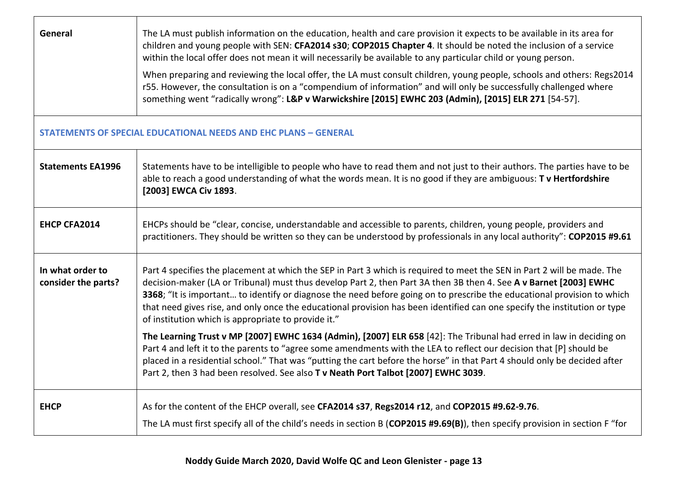| General                                 | The LA must publish information on the education, health and care provision it expects to be available in its area for<br>children and young people with SEN: CFA2014 s30; COP2015 Chapter 4. It should be noted the inclusion of a service<br>within the local offer does not mean it will necessarily be available to any particular child or young person.<br>When preparing and reviewing the local offer, the LA must consult children, young people, schools and others: Regs2014<br>r55. However, the consultation is on a "compendium of information" and will only be successfully challenged where<br>something went "radically wrong": L&P v Warwickshire [2015] EWHC 203 (Admin), [2015] ELR 271 [54-57]. |
|-----------------------------------------|-----------------------------------------------------------------------------------------------------------------------------------------------------------------------------------------------------------------------------------------------------------------------------------------------------------------------------------------------------------------------------------------------------------------------------------------------------------------------------------------------------------------------------------------------------------------------------------------------------------------------------------------------------------------------------------------------------------------------|
|                                         | <b>STATEMENTS OF SPECIAL EDUCATIONAL NEEDS AND EHC PLANS - GENERAL</b>                                                                                                                                                                                                                                                                                                                                                                                                                                                                                                                                                                                                                                                |
| <b>Statements EA1996</b>                | Statements have to be intelligible to people who have to read them and not just to their authors. The parties have to be<br>able to reach a good understanding of what the words mean. It is no good if they are ambiguous: T v Hertfordshire<br>[2003] EWCA Civ 1893.                                                                                                                                                                                                                                                                                                                                                                                                                                                |
| <b>EHCP CFA2014</b>                     | EHCPs should be "clear, concise, understandable and accessible to parents, children, young people, providers and<br>practitioners. They should be written so they can be understood by professionals in any local authority": COP2015 #9.61                                                                                                                                                                                                                                                                                                                                                                                                                                                                           |
| In what order to<br>consider the parts? | Part 4 specifies the placement at which the SEP in Part 3 which is required to meet the SEN in Part 2 will be made. The<br>decision-maker (LA or Tribunal) must thus develop Part 2, then Part 3A then 3B then 4. See A v Barnet [2003] EWHC<br>3368; "It is important to identify or diagnose the need before going on to prescribe the educational provision to which<br>that need gives rise, and only once the educational provision has been identified can one specify the institution or type<br>of institution which is appropriate to provide it."                                                                                                                                                           |
|                                         | The Learning Trust v MP [2007] EWHC 1634 (Admin), [2007] ELR 658 [42]: The Tribunal had erred in law in deciding on<br>Part 4 and left it to the parents to "agree some amendments with the LEA to reflect our decision that [P] should be<br>placed in a residential school." That was "putting the cart before the horse" in that Part 4 should only be decided after<br>Part 2, then 3 had been resolved. See also T v Neath Port Talbot [2007] EWHC 3039.                                                                                                                                                                                                                                                         |
| <b>EHCP</b>                             | As for the content of the EHCP overall, see CFA2014 s37, Regs2014 r12, and COP2015 #9.62-9.76.<br>The LA must first specify all of the child's needs in section B (COP2015 #9.69(B)), then specify provision in section F "for                                                                                                                                                                                                                                                                                                                                                                                                                                                                                        |

 $\Gamma$ 

┬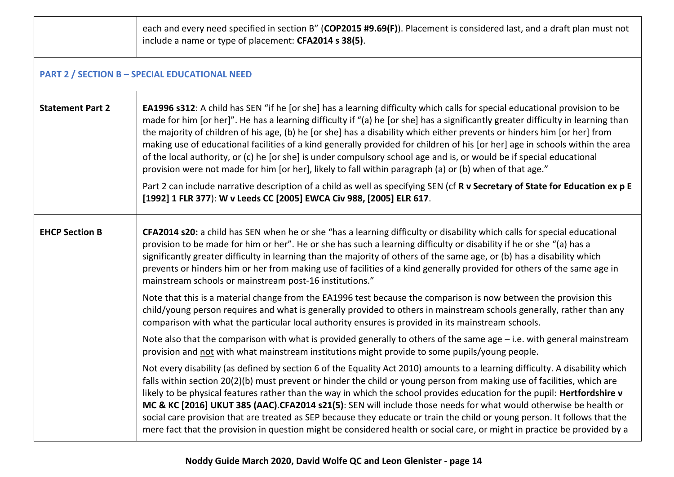|                         | each and every need specified in section B" (COP2015 #9.69(F)). Placement is considered last, and a draft plan must not<br>include a name or type of placement: CFA2014 s 38(5).                                                                                                                                                                                                                                                                                                                                                                                                                                                                                                                                                                                      |  |  |
|-------------------------|-----------------------------------------------------------------------------------------------------------------------------------------------------------------------------------------------------------------------------------------------------------------------------------------------------------------------------------------------------------------------------------------------------------------------------------------------------------------------------------------------------------------------------------------------------------------------------------------------------------------------------------------------------------------------------------------------------------------------------------------------------------------------|--|--|
|                         | <b>PART 2 / SECTION B - SPECIAL EDUCATIONAL NEED</b>                                                                                                                                                                                                                                                                                                                                                                                                                                                                                                                                                                                                                                                                                                                  |  |  |
| <b>Statement Part 2</b> | <b>EA1996 s312:</b> A child has SEN "if he [or she] has a learning difficulty which calls for special educational provision to be<br>made for him [or her]". He has a learning difficulty if "(a) he [or she] has a significantly greater difficulty in learning than<br>the majority of children of his age, (b) he [or she] has a disability which either prevents or hinders him [or her] from<br>making use of educational facilities of a kind generally provided for children of his [or her] age in schools within the area<br>of the local authority, or (c) he [or she] is under compulsory school age and is, or would be if special educational<br>provision were not made for him [or her], likely to fall within paragraph (a) or (b) when of that age." |  |  |
|                         | Part 2 can include narrative description of a child as well as specifying SEN (cf R v Secretary of State for Education ex p E<br>[1992] 1 FLR 377): W v Leeds CC [2005] EWCA Civ 988, [2005] ELR 617.                                                                                                                                                                                                                                                                                                                                                                                                                                                                                                                                                                 |  |  |
| <b>EHCP Section B</b>   | CFA2014 s20: a child has SEN when he or she "has a learning difficulty or disability which calls for special educational<br>provision to be made for him or her". He or she has such a learning difficulty or disability if he or she "(a) has a<br>significantly greater difficulty in learning than the majority of others of the same age, or (b) has a disability which<br>prevents or hinders him or her from making use of facilities of a kind generally provided for others of the same age in<br>mainstream schools or mainstream post-16 institutions."                                                                                                                                                                                                     |  |  |
|                         | Note that this is a material change from the EA1996 test because the comparison is now between the provision this<br>child/young person requires and what is generally provided to others in mainstream schools generally, rather than any<br>comparison with what the particular local authority ensures is provided in its mainstream schools.                                                                                                                                                                                                                                                                                                                                                                                                                      |  |  |
|                         | Note also that the comparison with what is provided generally to others of the same age $-$ i.e. with general mainstream<br>provision and not with what mainstream institutions might provide to some pupils/young people.                                                                                                                                                                                                                                                                                                                                                                                                                                                                                                                                            |  |  |
|                         | Not every disability (as defined by section 6 of the Equality Act 2010) amounts to a learning difficulty. A disability which<br>falls within section 20(2)(b) must prevent or hinder the child or young person from making use of facilities, which are<br>likely to be physical features rather than the way in which the school provides education for the pupil: Hertfordshire v<br>MC & KC [2016] UKUT 385 (AAC).CFA2014 s21(5): SEN will include those needs for what would otherwise be health or<br>social care provision that are treated as SEP because they educate or train the child or young person. It follows that the<br>mere fact that the provision in question might be considered health or social care, or might in practice be provided by a    |  |  |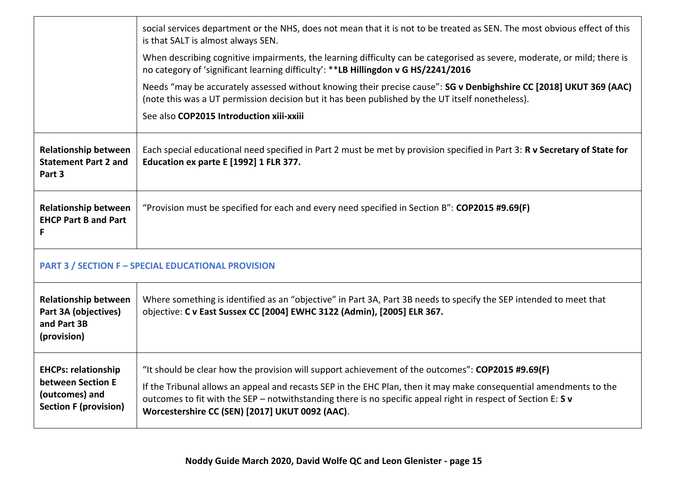|                                                                                                   | social services department or the NHS, does not mean that it is not to be treated as SEN. The most obvious effect of this<br>is that SALT is almost always SEN.                                                                                                                                                                                                                             |  |
|---------------------------------------------------------------------------------------------------|---------------------------------------------------------------------------------------------------------------------------------------------------------------------------------------------------------------------------------------------------------------------------------------------------------------------------------------------------------------------------------------------|--|
|                                                                                                   | When describing cognitive impairments, the learning difficulty can be categorised as severe, moderate, or mild; there is<br>no category of 'significant learning difficulty': **LB Hillingdon v G HS/2241/2016                                                                                                                                                                              |  |
|                                                                                                   | Needs "may be accurately assessed without knowing their precise cause": SG v Denbighshire CC [2018] UKUT 369 (AAC)<br>(note this was a UT permission decision but it has been published by the UT itself nonetheless).                                                                                                                                                                      |  |
|                                                                                                   | See also COP2015 Introduction xiii-xxiii                                                                                                                                                                                                                                                                                                                                                    |  |
| <b>Relationship between</b><br><b>Statement Part 2 and</b><br>Part 3                              | Each special educational need specified in Part 2 must be met by provision specified in Part 3: R v Secretary of State for<br>Education ex parte E [1992] 1 FLR 377.                                                                                                                                                                                                                        |  |
| <b>Relationship between</b><br><b>EHCP Part B and Part</b><br>F                                   | "Provision must be specified for each and every need specified in Section B": COP2015 #9.69(F)                                                                                                                                                                                                                                                                                              |  |
| <b>PART 3 / SECTION F - SPECIAL EDUCATIONAL PROVISION</b>                                         |                                                                                                                                                                                                                                                                                                                                                                                             |  |
| <b>Relationship between</b><br>Part 3A (objectives)<br>and Part 3B<br>(provision)                 | Where something is identified as an "objective" in Part 3A, Part 3B needs to specify the SEP intended to meet that<br>objective: C v East Sussex CC [2004] EWHC 3122 (Admin), [2005] ELR 367.                                                                                                                                                                                               |  |
| <b>EHCPs: relationship</b><br>between Section E<br>(outcomes) and<br><b>Section F (provision)</b> | "It should be clear how the provision will support achievement of the outcomes": COP2015 #9.69(F)<br>If the Tribunal allows an appeal and recasts SEP in the EHC Plan, then it may make consequential amendments to the<br>outcomes to fit with the SEP - notwithstanding there is no specific appeal right in respect of Section E: S v<br>Worcestershire CC (SEN) [2017] UKUT 0092 (AAC). |  |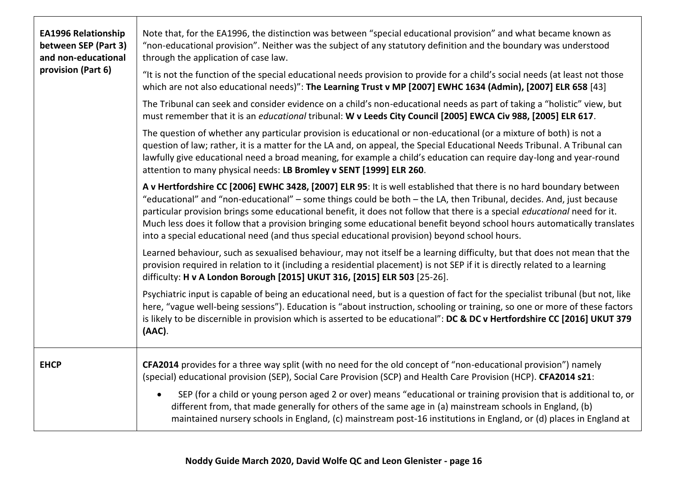| <b>EA1996 Relationship</b><br>between SEP (Part 3)<br>and non-educational<br>provision (Part 6) | Note that, for the EA1996, the distinction was between "special educational provision" and what became known as<br>"non-educational provision". Neither was the subject of any statutory definition and the boundary was understood<br>through the application of case law.<br>"It is not the function of the special educational needs provision to provide for a child's social needs (at least not those<br>which are not also educational needs)": The Learning Trust v MP [2007] EWHC 1634 (Admin), [2007] ELR 658 [43]<br>The Tribunal can seek and consider evidence on a child's non-educational needs as part of taking a "holistic" view, but<br>must remember that it is an educational tribunal: W v Leeds City Council [2005] EWCA Civ 988, [2005] ELR 617.<br>The question of whether any particular provision is educational or non-educational (or a mixture of both) is not a<br>question of law; rather, it is a matter for the LA and, on appeal, the Special Educational Needs Tribunal. A Tribunal can<br>lawfully give educational need a broad meaning, for example a child's education can require day-long and year-round<br>attention to many physical needs: LB Bromley v SENT [1999] ELR 260.<br>A v Hertfordshire CC [2006] EWHC 3428, [2007] ELR 95: It is well established that there is no hard boundary between<br>"educational" and "non-educational" - some things could be both - the LA, then Tribunal, decides. And, just because<br>particular provision brings some educational benefit, it does not follow that there is a special educational need for it.<br>Much less does it follow that a provision bringing some educational benefit beyond school hours automatically translates<br>into a special educational need (and thus special educational provision) beyond school hours.<br>Learned behaviour, such as sexualised behaviour, may not itself be a learning difficulty, but that does not mean that the<br>provision required in relation to it (including a residential placement) is not SEP if it is directly related to a learning<br>difficulty: H v A London Borough [2015] UKUT 316, [2015] ELR 503 [25-26].<br>Psychiatric input is capable of being an educational need, but is a question of fact for the specialist tribunal (but not, like<br>here, "vague well-being sessions"). Education is "about instruction, schooling or training, so one or more of these factors<br>is likely to be discernible in provision which is asserted to be educational": DC & DC v Hertfordshire CC [2016] UKUT 379<br>(AAC). |
|-------------------------------------------------------------------------------------------------|-------------------------------------------------------------------------------------------------------------------------------------------------------------------------------------------------------------------------------------------------------------------------------------------------------------------------------------------------------------------------------------------------------------------------------------------------------------------------------------------------------------------------------------------------------------------------------------------------------------------------------------------------------------------------------------------------------------------------------------------------------------------------------------------------------------------------------------------------------------------------------------------------------------------------------------------------------------------------------------------------------------------------------------------------------------------------------------------------------------------------------------------------------------------------------------------------------------------------------------------------------------------------------------------------------------------------------------------------------------------------------------------------------------------------------------------------------------------------------------------------------------------------------------------------------------------------------------------------------------------------------------------------------------------------------------------------------------------------------------------------------------------------------------------------------------------------------------------------------------------------------------------------------------------------------------------------------------------------------------------------------------------------------------------------------------------------------------------------------------------------------------------------------------------------------------------------------------------------------------------------------------------------------------------------------------------------------------------------------------------------------------------------------------------------------------------------------------------------------------------------------------------------------------------------------------------------------------|
| <b>EHCP</b>                                                                                     | CFA2014 provides for a three way split (with no need for the old concept of "non-educational provision") namely<br>(special) educational provision (SEP), Social Care Provision (SCP) and Health Care Provision (HCP). CFA2014 s21:<br>SEP (for a child or young person aged 2 or over) means "educational or training provision that is additional to, or<br>different from, that made generally for others of the same age in (a) mainstream schools in England, (b)<br>maintained nursery schools in England, (c) mainstream post-16 institutions in England, or (d) places in England at                                                                                                                                                                                                                                                                                                                                                                                                                                                                                                                                                                                                                                                                                                                                                                                                                                                                                                                                                                                                                                                                                                                                                                                                                                                                                                                                                                                                                                                                                                                                                                                                                                                                                                                                                                                                                                                                                                                                                                                        |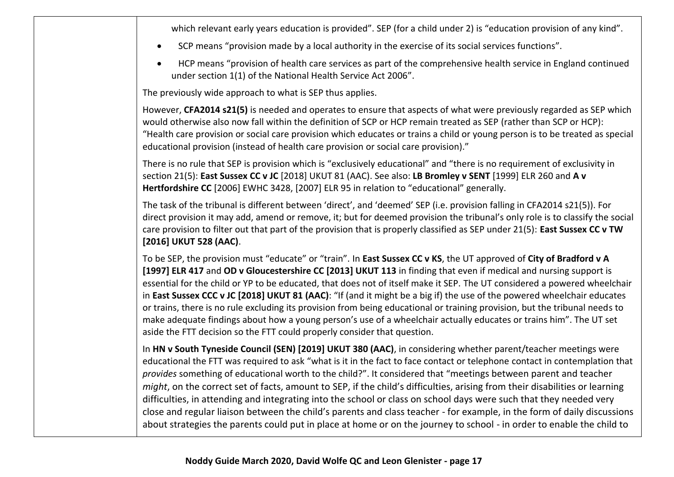which relevant early years education is provided". SEP (for a child under 2) is "education provision of any kind".

- SCP means "provision made by a local authority in the exercise of its social services functions".
- HCP means "provision of health care services as part of the comprehensive health service in England continued under section 1(1) of the National Health Service Act 2006".

The previously wide approach to what is SEP thus applies.

However, **CFA2014 s21(5)** is needed and operates to ensure that aspects of what were previously regarded as SEP which would otherwise also now fall within the definition of SCP or HCP remain treated as SEP (rather than SCP or HCP): "Health care provision or social care provision which educates or trains a child or young person is to be treated as special educational provision (instead of health care provision or social care provision)."

There is no rule that SEP is provision which is "exclusively educational" and "there is no requirement of exclusivity in section 21(5): **East Sussex CC v JC** [2018] UKUT 81 (AAC). See also: **LB Bromley v SENT** [1999] ELR 260 and **A v Hertfordshire CC** [2006] EWHC 3428, [2007] ELR 95 in relation to "educational" generally.

The task of the tribunal is different between 'direct', and 'deemed' SEP (i.e. provision falling in CFA2014 s21(5)). For direct provision it may add, amend or remove, it; but for deemed provision the tribunal's only role is to classify the social care provision to filter out that part of the provision that is properly classified as SEP under 21(5): **East Sussex CC v TW [2016] UKUT 528 (AAC)**.

To be SEP, the provision must "educate" or "train". In **East Sussex CC v KS**, the UT approved of **City of Bradford v A [1997] ELR 417** and **OD v Gloucestershire CC [2013] UKUT 113** in finding that even if medical and nursing support is essential for the child or YP to be educated, that does not of itself make it SEP. The UT considered a powered wheelchair in **East Sussex CCC v JC [2018] UKUT 81 (AAC)**: "If (and it might be a big if) the use of the powered wheelchair educates or trains, there is no rule excluding its provision from being educational or training provision, but the tribunal needs to make adequate findings about how a young person's use of a wheelchair actually educates or trains him". The UT set aside the FTT decision so the FTT could properly consider that question.

In **HN v South Tyneside Council (SEN) [2019] UKUT 380 (AAC)**, in considering whether parent/teacher meetings were educational the FTT was required to ask "what is it in the fact to face contact or telephone contact in contemplation that *provides* something of educational worth to the child?". It considered that "meetings between parent and teacher *might*, on the correct set of facts, amount to SEP, if the child's difficulties, arising from their disabilities or learning difficulties, in attending and integrating into the school or class on school days were such that they needed very close and regular liaison between the child's parents and class teacher - for example, in the form of daily discussions about strategies the parents could put in place at home or on the journey to school - in order to enable the child to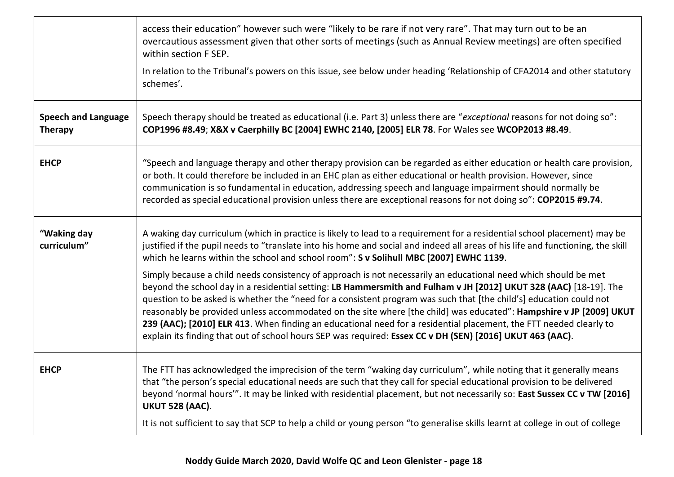|                                              | access their education" however such were "likely to be rare if not very rare". That may turn out to be an<br>overcautious assessment given that other sorts of meetings (such as Annual Review meetings) are often specified<br>within section F SEP.<br>In relation to the Tribunal's powers on this issue, see below under heading 'Relationship of CFA2014 and other statutory<br>schemes'.                                                                                                                                                                                                                                                                                                                     |
|----------------------------------------------|---------------------------------------------------------------------------------------------------------------------------------------------------------------------------------------------------------------------------------------------------------------------------------------------------------------------------------------------------------------------------------------------------------------------------------------------------------------------------------------------------------------------------------------------------------------------------------------------------------------------------------------------------------------------------------------------------------------------|
| <b>Speech and Language</b><br><b>Therapy</b> | Speech therapy should be treated as educational (i.e. Part 3) unless there are "exceptional reasons for not doing so":<br>COP1996 #8.49; X&X v Caerphilly BC [2004] EWHC 2140, [2005] ELR 78. For Wales see WCOP2013 #8.49.                                                                                                                                                                                                                                                                                                                                                                                                                                                                                         |
| <b>EHCP</b>                                  | "Speech and language therapy and other therapy provision can be regarded as either education or health care provision,<br>or both. It could therefore be included in an EHC plan as either educational or health provision. However, since<br>communication is so fundamental in education, addressing speech and language impairment should normally be<br>recorded as special educational provision unless there are exceptional reasons for not doing so": COP2015 #9.74.                                                                                                                                                                                                                                        |
| "Waking day<br>curriculum"                   | A waking day curriculum (which in practice is likely to lead to a requirement for a residential school placement) may be<br>justified if the pupil needs to "translate into his home and social and indeed all areas of his life and functioning, the skill<br>which he learns within the school and school room": S v Solihull MBC [2007] EWHC 1139.                                                                                                                                                                                                                                                                                                                                                               |
|                                              | Simply because a child needs consistency of approach is not necessarily an educational need which should be met<br>beyond the school day in a residential setting: LB Hammersmith and Fulham v JH [2012] UKUT 328 (AAC) [18-19]. The<br>question to be asked is whether the "need for a consistent program was such that [the child's] education could not<br>reasonably be provided unless accommodated on the site where [the child] was educated": Hampshire v JP [2009] UKUT<br>239 (AAC); [2010] ELR 413. When finding an educational need for a residential placement, the FTT needed clearly to<br>explain its finding that out of school hours SEP was required: Essex CC v DH (SEN) [2016] UKUT 463 (AAC). |
| <b>EHCP</b>                                  | The FTT has acknowledged the imprecision of the term "waking day curriculum", while noting that it generally means<br>that "the person's special educational needs are such that they call for special educational provision to be delivered<br>beyond 'normal hours'". It may be linked with residential placement, but not necessarily so: East Sussex CC v TW [2016]<br><b>UKUT 528 (AAC).</b>                                                                                                                                                                                                                                                                                                                   |
|                                              | It is not sufficient to say that SCP to help a child or young person "to generalise skills learnt at college in out of college                                                                                                                                                                                                                                                                                                                                                                                                                                                                                                                                                                                      |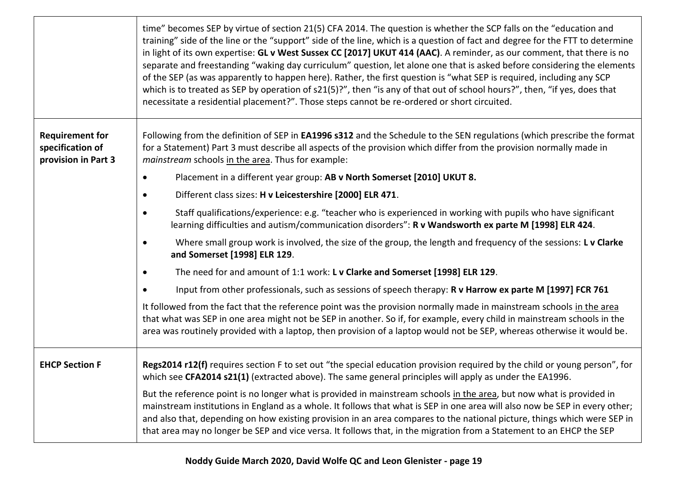|                                                                   | time" becomes SEP by virtue of section 21(5) CFA 2014. The question is whether the SCP falls on the "education and<br>training" side of the line or the "support" side of the line, which is a question of fact and degree for the FTT to determine<br>in light of its own expertise: GL v West Sussex CC [2017] UKUT 414 (AAC). A reminder, as our comment, that there is no<br>separate and freestanding "waking day curriculum" question, let alone one that is asked before considering the elements<br>of the SEP (as was apparently to happen here). Rather, the first question is "what SEP is required, including any SCP<br>which is to treated as SEP by operation of s21(5)?", then "is any of that out of school hours?", then, "if yes, does that<br>necessitate a residential placement?". Those steps cannot be re-ordered or short circuited. |
|-------------------------------------------------------------------|---------------------------------------------------------------------------------------------------------------------------------------------------------------------------------------------------------------------------------------------------------------------------------------------------------------------------------------------------------------------------------------------------------------------------------------------------------------------------------------------------------------------------------------------------------------------------------------------------------------------------------------------------------------------------------------------------------------------------------------------------------------------------------------------------------------------------------------------------------------|
| <b>Requirement for</b><br>specification of<br>provision in Part 3 | Following from the definition of SEP in EA1996 s312 and the Schedule to the SEN regulations (which prescribe the format<br>for a Statement) Part 3 must describe all aspects of the provision which differ from the provision normally made in<br>mainstream schools in the area. Thus for example:                                                                                                                                                                                                                                                                                                                                                                                                                                                                                                                                                           |
|                                                                   | Placement in a different year group: AB v North Somerset [2010] UKUT 8.<br>$\bullet$                                                                                                                                                                                                                                                                                                                                                                                                                                                                                                                                                                                                                                                                                                                                                                          |
|                                                                   | Different class sizes: H v Leicestershire [2000] ELR 471.<br>٠                                                                                                                                                                                                                                                                                                                                                                                                                                                                                                                                                                                                                                                                                                                                                                                                |
|                                                                   | Staff qualifications/experience: e.g. "teacher who is experienced in working with pupils who have significant<br>٠<br>learning difficulties and autism/communication disorders": R v Wandsworth ex parte M [1998] ELR 424.                                                                                                                                                                                                                                                                                                                                                                                                                                                                                                                                                                                                                                    |
|                                                                   | Where small group work is involved, the size of the group, the length and frequency of the sessions: L v Clarke<br>$\bullet$<br>and Somerset [1998] ELR 129.                                                                                                                                                                                                                                                                                                                                                                                                                                                                                                                                                                                                                                                                                                  |
|                                                                   | The need for and amount of 1:1 work: L v Clarke and Somerset [1998] ELR 129.                                                                                                                                                                                                                                                                                                                                                                                                                                                                                                                                                                                                                                                                                                                                                                                  |
|                                                                   | Input from other professionals, such as sessions of speech therapy: R v Harrow ex parte M [1997] FCR 761<br>$\bullet$                                                                                                                                                                                                                                                                                                                                                                                                                                                                                                                                                                                                                                                                                                                                         |
|                                                                   | It followed from the fact that the reference point was the provision normally made in mainstream schools in the area<br>that what was SEP in one area might not be SEP in another. So if, for example, every child in mainstream schools in the<br>area was routinely provided with a laptop, then provision of a laptop would not be SEP, whereas otherwise it would be.                                                                                                                                                                                                                                                                                                                                                                                                                                                                                     |
| <b>EHCP Section F</b>                                             | Regs2014 r12(f) requires section F to set out "the special education provision required by the child or young person", for<br>which see CFA2014 s21(1) (extracted above). The same general principles will apply as under the EA1996.                                                                                                                                                                                                                                                                                                                                                                                                                                                                                                                                                                                                                         |
|                                                                   | But the reference point is no longer what is provided in mainstream schools in the area, but now what is provided in<br>mainstream institutions in England as a whole. It follows that what is SEP in one area will also now be SEP in every other;<br>and also that, depending on how existing provision in an area compares to the national picture, things which were SEP in<br>that area may no longer be SEP and vice versa. It follows that, in the migration from a Statement to an EHCP the SEP                                                                                                                                                                                                                                                                                                                                                       |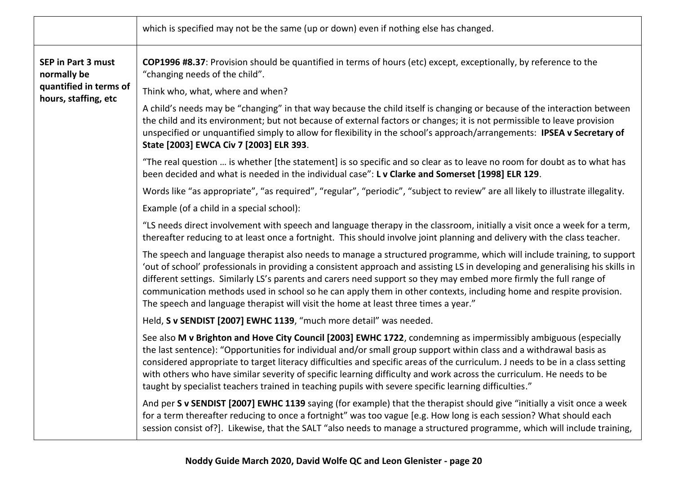|                                                | which is specified may not be the same (up or down) even if nothing else has changed.                                                                                                                                                                                                                                                                                                                                                                                                                                                                                                                    |
|------------------------------------------------|----------------------------------------------------------------------------------------------------------------------------------------------------------------------------------------------------------------------------------------------------------------------------------------------------------------------------------------------------------------------------------------------------------------------------------------------------------------------------------------------------------------------------------------------------------------------------------------------------------|
| <b>SEP in Part 3 must</b><br>normally be       | COP1996 #8.37: Provision should be quantified in terms of hours (etc) except, exceptionally, by reference to the<br>"changing needs of the child".                                                                                                                                                                                                                                                                                                                                                                                                                                                       |
| quantified in terms of<br>hours, staffing, etc | Think who, what, where and when?                                                                                                                                                                                                                                                                                                                                                                                                                                                                                                                                                                         |
|                                                | A child's needs may be "changing" in that way because the child itself is changing or because of the interaction between<br>the child and its environment; but not because of external factors or changes; it is not permissible to leave provision<br>unspecified or unquantified simply to allow for flexibility in the school's approach/arrangements: IPSEA v Secretary of<br>State [2003] EWCA Civ 7 [2003] ELR 393.                                                                                                                                                                                |
|                                                | "The real question  is whether [the statement] is so specific and so clear as to leave no room for doubt as to what has<br>been decided and what is needed in the individual case": L v Clarke and Somerset [1998] ELR 129.                                                                                                                                                                                                                                                                                                                                                                              |
|                                                | Words like "as appropriate", "as required", "regular", "periodic", "subject to review" are all likely to illustrate illegality.                                                                                                                                                                                                                                                                                                                                                                                                                                                                          |
|                                                | Example (of a child in a special school):                                                                                                                                                                                                                                                                                                                                                                                                                                                                                                                                                                |
|                                                | "LS needs direct involvement with speech and language therapy in the classroom, initially a visit once a week for a term,<br>thereafter reducing to at least once a fortnight. This should involve joint planning and delivery with the class teacher.                                                                                                                                                                                                                                                                                                                                                   |
|                                                | The speech and language therapist also needs to manage a structured programme, which will include training, to support<br>'out of school' professionals in providing a consistent approach and assisting LS in developing and generalising his skills in<br>different settings. Similarly LS's parents and carers need support so they may embed more firmly the full range of<br>communication methods used in school so he can apply them in other contexts, including home and respite provision.<br>The speech and language therapist will visit the home at least three times a year."              |
|                                                | Held, S v SENDIST [2007] EWHC 1139, "much more detail" was needed.                                                                                                                                                                                                                                                                                                                                                                                                                                                                                                                                       |
|                                                | See also M v Brighton and Hove City Council [2003] EWHC 1722, condemning as impermissibly ambiguous (especially<br>the last sentence): "Opportunities for individual and/or small group support within class and a withdrawal basis as<br>considered appropriate to target literacy difficulties and specific areas of the curriculum. J needs to be in a class setting<br>with others who have similar severity of specific learning difficulty and work across the curriculum. He needs to be<br>taught by specialist teachers trained in teaching pupils with severe specific learning difficulties." |
|                                                | And per S v SENDIST [2007] EWHC 1139 saying (for example) that the therapist should give "initially a visit once a week<br>for a term thereafter reducing to once a fortnight" was too vague [e.g. How long is each session? What should each<br>session consist of?]. Likewise, that the SALT "also needs to manage a structured programme, which will include training,                                                                                                                                                                                                                                |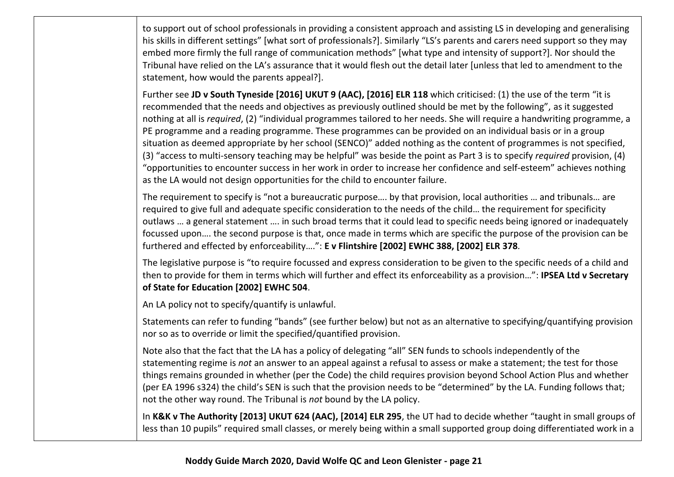to support out of school professionals in providing a consistent approach and assisting LS in developing and generalising his skills in different settings" [what sort of professionals?]. Similarly "LS's parents and carers need support so they may embed more firmly the full range of communication methods" [what type and intensity of support?]. Nor should the Tribunal have relied on the LA's assurance that it would flesh out the detail later [unless that led to amendment to the statement, how would the parents appeal?].

Further see **JD v South Tyneside [2016] UKUT 9 (AAC), [2016] ELR 118** which criticised: (1) the use of the term "it is recommended that the needs and objectives as previously outlined should be met by the following", as it suggested nothing at all is *required*, (2) "individual programmes tailored to her needs. She will require a handwriting programme, a PE programme and a reading programme. These programmes can be provided on an individual basis or in a group situation as deemed appropriate by her school (SENCO)" added nothing as the content of programmes is not specified, (3) "access to multi-sensory teaching may be helpful" was beside the point as Part 3 is to specify *required* provision, (4) "opportunities to encounter success in her work in order to increase her confidence and self-esteem" achieves nothing as the LA would not design opportunities for the child to encounter failure.

The requirement to specify is "not a bureaucratic purpose…. by that provision, local authorities … and tribunals… are required to give full and adequate specific consideration to the needs of the child… the requirement for specificity outlaws … a general statement …. in such broad terms that it could lead to specific needs being ignored or inadequately focussed upon…. the second purpose is that, once made in terms which are specific the purpose of the provision can be furthered and effected by enforceability….": **E v Flintshire [2002] EWHC 388, [2002] ELR 378***.* 

The legislative purpose is "to require focussed and express consideration to be given to the specific needs of a child and then to provide for them in terms which will further and effect its enforceability as a provision…": **IPSEA Ltd v Secretary of State for Education [2002] EWHC 504**.

An LA policy not to specify/quantify is unlawful.

Statements can refer to funding "bands" (see further below) but not as an alternative to specifying/quantifying provision nor so as to override or limit the specified/quantified provision.

Note also that the fact that the LA has a policy of delegating "all" SEN funds to schools independently of the statementing regime is *not* an answer to an appeal against a refusal to assess or make a statement; the test for those things remains grounded in whether (per the Code) the child requires provision beyond School Action Plus and whether (per EA 1996 s324) the child's SEN is such that the provision needs to be "determined" by the LA. Funding follows that; not the other way round. The Tribunal is *not* bound by the LA policy.

In **K&K v The Authority [2013] UKUT 624 (AAC), [2014] ELR 295**, the UT had to decide whether "taught in small groups of less than 10 pupils" required small classes, or merely being within a small supported group doing differentiated work in a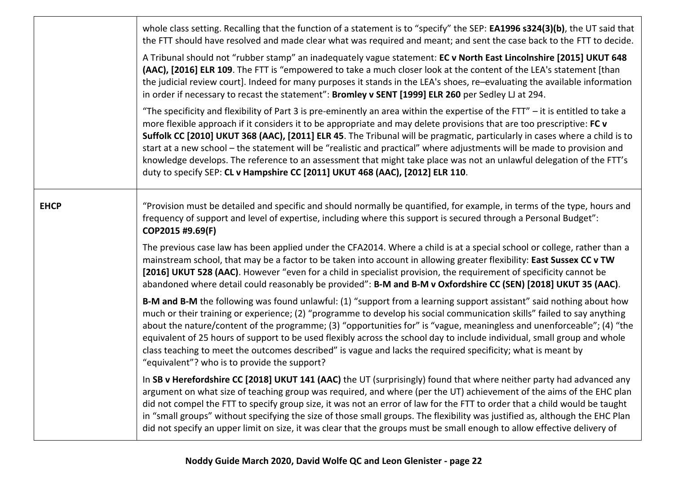|             | whole class setting. Recalling that the function of a statement is to "specify" the SEP: EA1996 s324(3)(b), the UT said that<br>the FTT should have resolved and made clear what was required and meant; and sent the case back to the FTT to decide.<br>A Tribunal should not "rubber stamp" an inadequately vague statement: EC v North East Lincolnshire [2015] UKUT 648<br>(AAC), [2016] ELR 109. The FTT is "empowered to take a much closer look at the content of the LEA's statement [than<br>the judicial review court]. Indeed for many purposes it stands in the LEA's shoes, re-evaluating the available information<br>in order if necessary to recast the statement": Bromley v SENT [1999] ELR 260 per Sedley LJ at 294.<br>"The specificity and flexibility of Part 3 is pre-eminently an area within the expertise of the FTT" – it is entitled to take a<br>more flexible approach if it considers it to be appropriate and may delete provisions that are too prescriptive: FC v<br>Suffolk CC [2010] UKUT 368 (AAC), [2011] ELR 45. The Tribunal will be pragmatic, particularly in cases where a child is to<br>start at a new school – the statement will be "realistic and practical" where adjustments will be made to provision and<br>knowledge develops. The reference to an assessment that might take place was not an unlawful delegation of the FTT's<br>duty to specify SEP: CL v Hampshire CC [2011] UKUT 468 (AAC), [2012] ELR 110. |
|-------------|-----------------------------------------------------------------------------------------------------------------------------------------------------------------------------------------------------------------------------------------------------------------------------------------------------------------------------------------------------------------------------------------------------------------------------------------------------------------------------------------------------------------------------------------------------------------------------------------------------------------------------------------------------------------------------------------------------------------------------------------------------------------------------------------------------------------------------------------------------------------------------------------------------------------------------------------------------------------------------------------------------------------------------------------------------------------------------------------------------------------------------------------------------------------------------------------------------------------------------------------------------------------------------------------------------------------------------------------------------------------------------------------------------------------------------------------------------------------------|
| <b>EHCP</b> | "Provision must be detailed and specific and should normally be quantified, for example, in terms of the type, hours and<br>frequency of support and level of expertise, including where this support is secured through a Personal Budget":<br>COP2015 #9.69(F)                                                                                                                                                                                                                                                                                                                                                                                                                                                                                                                                                                                                                                                                                                                                                                                                                                                                                                                                                                                                                                                                                                                                                                                                      |
|             | The previous case law has been applied under the CFA2014. Where a child is at a special school or college, rather than a<br>mainstream school, that may be a factor to be taken into account in allowing greater flexibility: East Sussex CC v TW<br>[2016] UKUT 528 (AAC). However "even for a child in specialist provision, the requirement of specificity cannot be<br>abandoned where detail could reasonably be provided": B-M and B-M v Oxfordshire CC (SEN) [2018] UKUT 35 (AAC).                                                                                                                                                                                                                                                                                                                                                                                                                                                                                                                                                                                                                                                                                                                                                                                                                                                                                                                                                                             |
|             | B-M and B-M the following was found unlawful: (1) "support from a learning support assistant" said nothing about how<br>much or their training or experience; (2) "programme to develop his social communication skills" failed to say anything<br>about the nature/content of the programme; (3) "opportunities for" is "vague, meaningless and unenforceable"; (4) "the<br>equivalent of 25 hours of support to be used flexibly across the school day to include individual, small group and whole<br>class teaching to meet the outcomes described" is vague and lacks the required specificity; what is meant by<br>"equivalent"? who is to provide the support?                                                                                                                                                                                                                                                                                                                                                                                                                                                                                                                                                                                                                                                                                                                                                                                                 |
|             | In SB v Herefordshire CC [2018] UKUT 141 (AAC) the UT (surprisingly) found that where neither party had advanced any<br>argument on what size of teaching group was required, and where (per the UT) achievement of the aims of the EHC plan<br>did not compel the FTT to specify group size, it was not an error of law for the FTT to order that a child would be taught<br>in "small groups" without specifying the size of those small groups. The flexibility was justified as, although the EHC Plan<br>did not specify an upper limit on size, it was clear that the groups must be small enough to allow effective delivery of                                                                                                                                                                                                                                                                                                                                                                                                                                                                                                                                                                                                                                                                                                                                                                                                                                |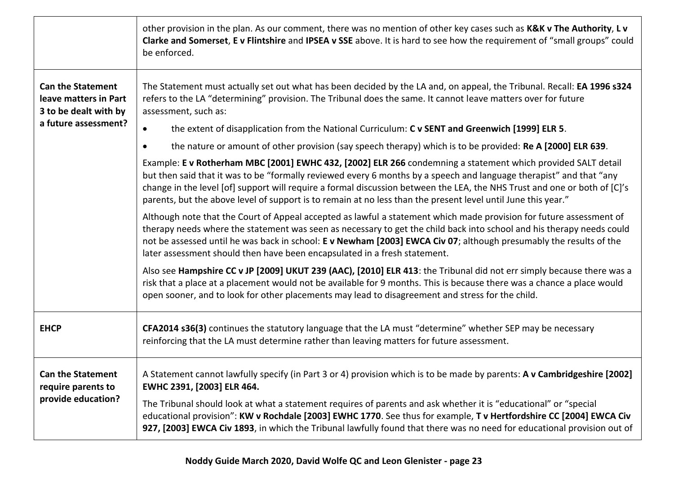|                                                                            | other provision in the plan. As our comment, there was no mention of other key cases such as K&K v The Authority, L v<br>Clarke and Somerset, E v Flintshire and IPSEA v SSE above. It is hard to see how the requirement of "small groups" could<br>be enforced.                                                                                                                                                                                                                 |
|----------------------------------------------------------------------------|-----------------------------------------------------------------------------------------------------------------------------------------------------------------------------------------------------------------------------------------------------------------------------------------------------------------------------------------------------------------------------------------------------------------------------------------------------------------------------------|
| <b>Can the Statement</b><br>leave matters in Part<br>3 to be dealt with by | The Statement must actually set out what has been decided by the LA and, on appeal, the Tribunal. Recall: EA 1996 s324<br>refers to the LA "determining" provision. The Tribunal does the same. It cannot leave matters over for future<br>assessment, such as:                                                                                                                                                                                                                   |
| a future assessment?                                                       | the extent of disapplication from the National Curriculum: C v SENT and Greenwich [1999] ELR 5.                                                                                                                                                                                                                                                                                                                                                                                   |
|                                                                            | the nature or amount of other provision (say speech therapy) which is to be provided: Re A [2000] ELR 639.<br>$\bullet$                                                                                                                                                                                                                                                                                                                                                           |
|                                                                            | Example: E v Rotherham MBC [2001] EWHC 432, [2002] ELR 266 condemning a statement which provided SALT detail<br>but then said that it was to be "formally reviewed every 6 months by a speech and language therapist" and that "any<br>change in the level [of] support will require a formal discussion between the LEA, the NHS Trust and one or both of [C]'s<br>parents, but the above level of support is to remain at no less than the present level until June this year." |
|                                                                            | Although note that the Court of Appeal accepted as lawful a statement which made provision for future assessment of<br>therapy needs where the statement was seen as necessary to get the child back into school and his therapy needs could<br>not be assessed until he was back in school: E v Newham [2003] EWCA Civ 07; although presumably the results of the<br>later assessment should then have been encapsulated in a fresh statement.                                   |
|                                                                            | Also see Hampshire CC v JP [2009] UKUT 239 (AAC), [2010] ELR 413: the Tribunal did not err simply because there was a<br>risk that a place at a placement would not be available for 9 months. This is because there was a chance a place would<br>open sooner, and to look for other placements may lead to disagreement and stress for the child.                                                                                                                               |
| <b>EHCP</b>                                                                | CFA2014 s36(3) continues the statutory language that the LA must "determine" whether SEP may be necessary<br>reinforcing that the LA must determine rather than leaving matters for future assessment.                                                                                                                                                                                                                                                                            |
| <b>Can the Statement</b><br>require parents to<br>provide education?       | A Statement cannot lawfully specify (in Part 3 or 4) provision which is to be made by parents: A v Cambridgeshire [2002]<br>EWHC 2391, [2003] ELR 464.                                                                                                                                                                                                                                                                                                                            |
|                                                                            | The Tribunal should look at what a statement requires of parents and ask whether it is "educational" or "special<br>educational provision": KW v Rochdale [2003] EWHC 1770. See thus for example, T v Hertfordshire CC [2004] EWCA Civ<br>927, [2003] EWCA Civ 1893, in which the Tribunal lawfully found that there was no need for educational provision out of                                                                                                                 |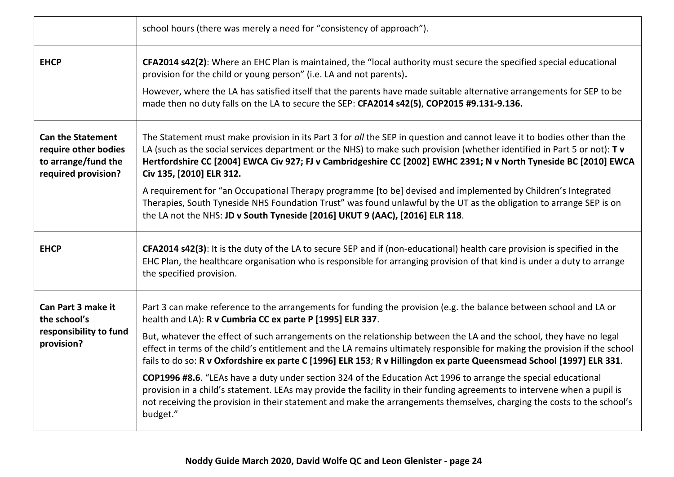|                                                                                                | school hours (there was merely a need for "consistency of approach").                                                                                                                                                                                                                                                                                                                               |
|------------------------------------------------------------------------------------------------|-----------------------------------------------------------------------------------------------------------------------------------------------------------------------------------------------------------------------------------------------------------------------------------------------------------------------------------------------------------------------------------------------------|
| <b>EHCP</b>                                                                                    | CFA2014 s42(2): Where an EHC Plan is maintained, the "local authority must secure the specified special educational<br>provision for the child or young person" (i.e. LA and not parents).                                                                                                                                                                                                          |
|                                                                                                | However, where the LA has satisfied itself that the parents have made suitable alternative arrangements for SEP to be<br>made then no duty falls on the LA to secure the SEP: CFA2014 s42(5), COP2015 #9.131-9.136.                                                                                                                                                                                 |
| <b>Can the Statement</b><br>require other bodies<br>to arrange/fund the<br>required provision? | The Statement must make provision in its Part 3 for all the SEP in question and cannot leave it to bodies other than the<br>LA (such as the social services department or the NHS) to make such provision (whether identified in Part 5 or not): Tv<br>Hertfordshire CC [2004] EWCA Civ 927; FJ v Cambridgeshire CC [2002] EWHC 2391; N v North Tyneside BC [2010] EWCA<br>Civ 135, [2010] ELR 312. |
|                                                                                                | A requirement for "an Occupational Therapy programme [to be] devised and implemented by Children's Integrated<br>Therapies, South Tyneside NHS Foundation Trust" was found unlawful by the UT as the obligation to arrange SEP is on<br>the LA not the NHS: JD v South Tyneside [2016] UKUT 9 (AAC), [2016] ELR 118.                                                                                |
| <b>EHCP</b>                                                                                    | CFA2014 s42(3): It is the duty of the LA to secure SEP and if (non-educational) health care provision is specified in the<br>EHC Plan, the healthcare organisation who is responsible for arranging provision of that kind is under a duty to arrange<br>the specified provision.                                                                                                                   |
| Can Part 3 make it<br>the school's<br>responsibility to fund<br>provision?                     | Part 3 can make reference to the arrangements for funding the provision (e.g. the balance between school and LA or<br>health and LA): R v Cumbria CC ex parte P [1995] ELR 337.                                                                                                                                                                                                                     |
|                                                                                                | But, whatever the effect of such arrangements on the relationship between the LA and the school, they have no legal<br>effect in terms of the child's entitlement and the LA remains ultimately responsible for making the provision if the school<br>fails to do so: R v Oxfordshire ex parte C [1996] ELR 153; R v Hillingdon ex parte Queensmead School [1997] ELR 331.                          |
|                                                                                                | COP1996 #8.6. "LEAs have a duty under section 324 of the Education Act 1996 to arrange the special educational<br>provision in a child's statement. LEAs may provide the facility in their funding agreements to intervene when a pupil is<br>not receiving the provision in their statement and make the arrangements themselves, charging the costs to the school's<br>budget."                   |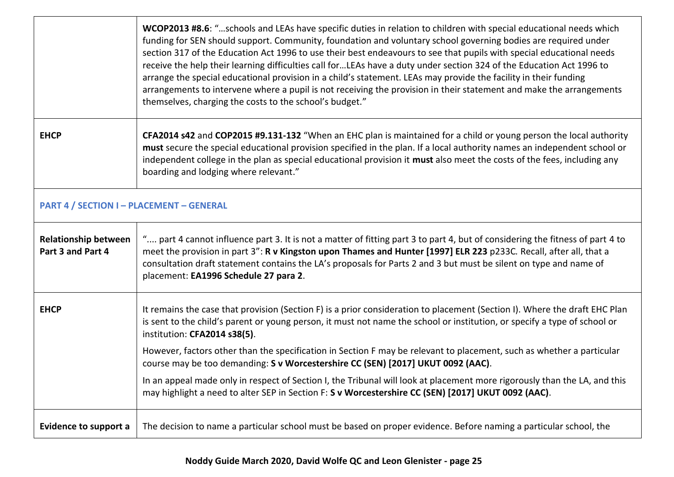|                                                  | WCOP2013 #8.6: "schools and LEAs have specific duties in relation to children with special educational needs which<br>funding for SEN should support. Community, foundation and voluntary school governing bodies are required under<br>section 317 of the Education Act 1996 to use their best endeavours to see that pupils with special educational needs<br>receive the help their learning difficulties call forLEAs have a duty under section 324 of the Education Act 1996 to<br>arrange the special educational provision in a child's statement. LEAs may provide the facility in their funding<br>arrangements to intervene where a pupil is not receiving the provision in their statement and make the arrangements<br>themselves, charging the costs to the school's budget." |  |
|--------------------------------------------------|--------------------------------------------------------------------------------------------------------------------------------------------------------------------------------------------------------------------------------------------------------------------------------------------------------------------------------------------------------------------------------------------------------------------------------------------------------------------------------------------------------------------------------------------------------------------------------------------------------------------------------------------------------------------------------------------------------------------------------------------------------------------------------------------|--|
| <b>EHCP</b>                                      | CFA2014 s42 and COP2015 #9.131-132 "When an EHC plan is maintained for a child or young person the local authority<br>must secure the special educational provision specified in the plan. If a local authority names an independent school or<br>independent college in the plan as special educational provision it must also meet the costs of the fees, including any<br>boarding and lodging where relevant."                                                                                                                                                                                                                                                                                                                                                                         |  |
| <b>PART 4 / SECTION I - PLACEMENT - GENERAL</b>  |                                                                                                                                                                                                                                                                                                                                                                                                                                                                                                                                                                                                                                                                                                                                                                                            |  |
| <b>Relationship between</b><br>Part 3 and Part 4 | " part 4 cannot influence part 3. It is not a matter of fitting part 3 to part 4, but of considering the fitness of part 4 to<br>meet the provision in part 3": R v Kingston upon Thames and Hunter [1997] ELR 223 p233C. Recall, after all, that a<br>consultation draft statement contains the LA's proposals for Parts 2 and 3 but must be silent on type and name of<br>placement: EA1996 Schedule 27 para 2.                                                                                                                                                                                                                                                                                                                                                                          |  |
| <b>EHCP</b>                                      | It remains the case that provision (Section F) is a prior consideration to placement (Section I). Where the draft EHC Plan<br>is sent to the child's parent or young person, it must not name the school or institution, or specify a type of school or<br>institution: CFA2014 s38(5).                                                                                                                                                                                                                                                                                                                                                                                                                                                                                                    |  |
|                                                  | However, factors other than the specification in Section F may be relevant to placement, such as whether a particular<br>course may be too demanding: S v Worcestershire CC (SEN) [2017] UKUT 0092 (AAC).                                                                                                                                                                                                                                                                                                                                                                                                                                                                                                                                                                                  |  |
|                                                  | In an appeal made only in respect of Section I, the Tribunal will look at placement more rigorously than the LA, and this<br>may highlight a need to alter SEP in Section F: S v Worcestershire CC (SEN) [2017] UKUT 0092 (AAC).                                                                                                                                                                                                                                                                                                                                                                                                                                                                                                                                                           |  |
| <b>Evidence to support a</b>                     | The decision to name a particular school must be based on proper evidence. Before naming a particular school, the                                                                                                                                                                                                                                                                                                                                                                                                                                                                                                                                                                                                                                                                          |  |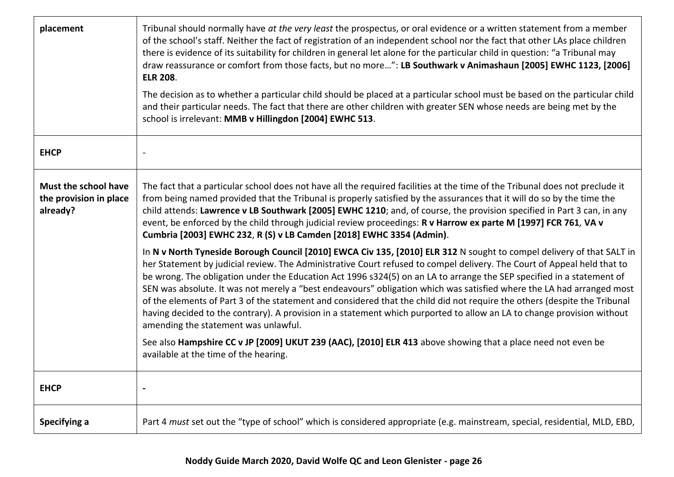| placement                                                  | Tribunal should normally have at the very least the prospectus, or oral evidence or a written statement from a member<br>of the school's staff. Neither the fact of registration of an independent school nor the fact that other LAs place children<br>there is evidence of its suitability for children in general let alone for the particular child in question: "a Tribunal may<br>draw reassurance or comfort from those facts, but no more": LB Southwark v Animashaun [2005] EWHC 1123, [2006]<br><b>ELR 208.</b><br>The decision as to whether a particular child should be placed at a particular school must be based on the particular child<br>and their particular needs. The fact that there are other children with greater SEN whose needs are being met by the<br>school is irrelevant: MMB v Hillingdon [2004] EWHC 513. |
|------------------------------------------------------------|---------------------------------------------------------------------------------------------------------------------------------------------------------------------------------------------------------------------------------------------------------------------------------------------------------------------------------------------------------------------------------------------------------------------------------------------------------------------------------------------------------------------------------------------------------------------------------------------------------------------------------------------------------------------------------------------------------------------------------------------------------------------------------------------------------------------------------------------|
| <b>EHCP</b>                                                |                                                                                                                                                                                                                                                                                                                                                                                                                                                                                                                                                                                                                                                                                                                                                                                                                                             |
| Must the school have<br>the provision in place<br>already? | The fact that a particular school does not have all the required facilities at the time of the Tribunal does not preclude it<br>from being named provided that the Tribunal is properly satisfied by the assurances that it will do so by the time the<br>child attends: Lawrence v LB Southwark [2005] EWHC 1210; and, of course, the provision specified in Part 3 can, in any<br>event, be enforced by the child through judicial review proceedings: R v Harrow ex parte M [1997] FCR 761, VA v<br>Cumbria [2003] EWHC 232, R (S) v LB Camden [2018] EWHC 3354 (Admin).                                                                                                                                                                                                                                                                 |
|                                                            | In N v North Tyneside Borough Council [2010] EWCA Civ 135, [2010] ELR 312 N sought to compel delivery of that SALT in<br>her Statement by judicial review. The Administrative Court refused to compel delivery. The Court of Appeal held that to<br>be wrong. The obligation under the Education Act 1996 s324(5) on an LA to arrange the SEP specified in a statement of<br>SEN was absolute. It was not merely a "best endeavours" obligation which was satisfied where the LA had arranged most<br>of the elements of Part 3 of the statement and considered that the child did not require the others (despite the Tribunal<br>having decided to the contrary). A provision in a statement which purported to allow an LA to change provision without<br>amending the statement was unlawful.                                           |
|                                                            | See also Hampshire CC v JP [2009] UKUT 239 (AAC), [2010] ELR 413 above showing that a place need not even be<br>available at the time of the hearing.                                                                                                                                                                                                                                                                                                                                                                                                                                                                                                                                                                                                                                                                                       |
| <b>EHCP</b>                                                |                                                                                                                                                                                                                                                                                                                                                                                                                                                                                                                                                                                                                                                                                                                                                                                                                                             |
| Specifying a                                               | Part 4 must set out the "type of school" which is considered appropriate (e.g. mainstream, special, residential, MLD, EBD,                                                                                                                                                                                                                                                                                                                                                                                                                                                                                                                                                                                                                                                                                                                  |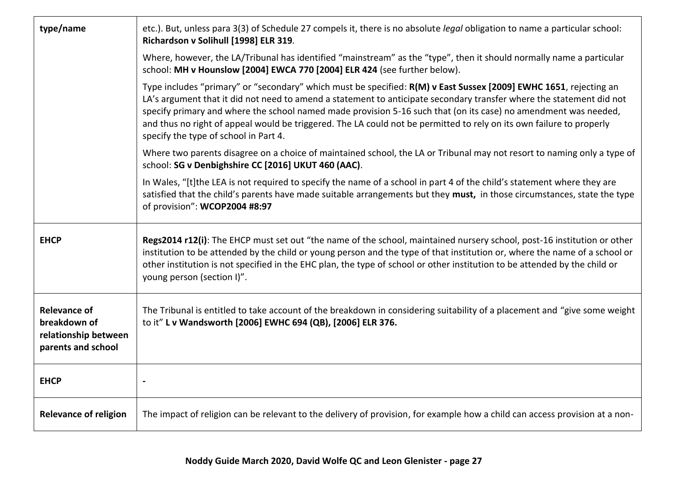| type/name                                                                         | etc.). But, unless para 3(3) of Schedule 27 compels it, there is no absolute legal obligation to name a particular school:<br>Richardson v Solihull [1998] ELR 319.                                                                                                                                                                                                                                                                                                                                                           |
|-----------------------------------------------------------------------------------|-------------------------------------------------------------------------------------------------------------------------------------------------------------------------------------------------------------------------------------------------------------------------------------------------------------------------------------------------------------------------------------------------------------------------------------------------------------------------------------------------------------------------------|
|                                                                                   | Where, however, the LA/Tribunal has identified "mainstream" as the "type", then it should normally name a particular<br>school: MH v Hounslow [2004] EWCA 770 [2004] ELR 424 (see further below).                                                                                                                                                                                                                                                                                                                             |
|                                                                                   | Type includes "primary" or "secondary" which must be specified: R(M) v East Sussex [2009] EWHC 1651, rejecting an<br>LA's argument that it did not need to amend a statement to anticipate secondary transfer where the statement did not<br>specify primary and where the school named made provision 5-16 such that (on its case) no amendment was needed,<br>and thus no right of appeal would be triggered. The LA could not be permitted to rely on its own failure to properly<br>specify the type of school in Part 4. |
|                                                                                   | Where two parents disagree on a choice of maintained school, the LA or Tribunal may not resort to naming only a type of<br>school: SG v Denbighshire CC [2016] UKUT 460 (AAC).                                                                                                                                                                                                                                                                                                                                                |
|                                                                                   | In Wales, "[t]the LEA is not required to specify the name of a school in part 4 of the child's statement where they are<br>satisfied that the child's parents have made suitable arrangements but they must, in those circumstances, state the type<br>of provision": WCOP2004 #8:97                                                                                                                                                                                                                                          |
| <b>EHCP</b>                                                                       | Regs2014 r12(i): The EHCP must set out "the name of the school, maintained nursery school, post-16 institution or other<br>institution to be attended by the child or young person and the type of that institution or, where the name of a school or<br>other institution is not specified in the EHC plan, the type of school or other institution to be attended by the child or<br>young person (section I)".                                                                                                             |
| <b>Relevance of</b><br>breakdown of<br>relationship between<br>parents and school | The Tribunal is entitled to take account of the breakdown in considering suitability of a placement and "give some weight<br>to it" L v Wandsworth [2006] EWHC 694 (QB), [2006] ELR 376.                                                                                                                                                                                                                                                                                                                                      |
| <b>EHCP</b>                                                                       |                                                                                                                                                                                                                                                                                                                                                                                                                                                                                                                               |
| <b>Relevance of religion</b>                                                      | The impact of religion can be relevant to the delivery of provision, for example how a child can access provision at a non-                                                                                                                                                                                                                                                                                                                                                                                                   |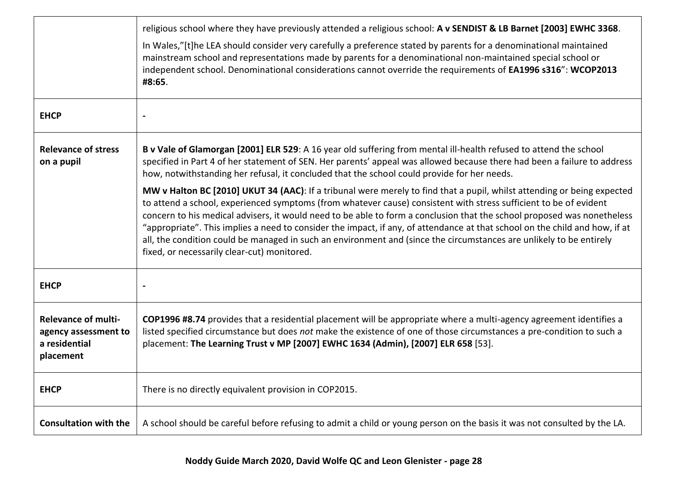|                                                                                  | religious school where they have previously attended a religious school: A v SENDIST & LB Barnet [2003] EWHC 3368.<br>In Wales,"[t]he LEA should consider very carefully a preference stated by parents for a denominational maintained<br>mainstream school and representations made by parents for a denominational non-maintained special school or<br>independent school. Denominational considerations cannot override the requirements of EA1996 s316": WCOP2013<br>#8:65.                                                                                                                                                                                                                                                                                                                                                                                                                                                                                                                                             |
|----------------------------------------------------------------------------------|------------------------------------------------------------------------------------------------------------------------------------------------------------------------------------------------------------------------------------------------------------------------------------------------------------------------------------------------------------------------------------------------------------------------------------------------------------------------------------------------------------------------------------------------------------------------------------------------------------------------------------------------------------------------------------------------------------------------------------------------------------------------------------------------------------------------------------------------------------------------------------------------------------------------------------------------------------------------------------------------------------------------------|
| <b>EHCP</b>                                                                      |                                                                                                                                                                                                                                                                                                                                                                                                                                                                                                                                                                                                                                                                                                                                                                                                                                                                                                                                                                                                                              |
| <b>Relevance of stress</b><br>on a pupil                                         | B v Vale of Glamorgan [2001] ELR 529: A 16 year old suffering from mental ill-health refused to attend the school<br>specified in Part 4 of her statement of SEN. Her parents' appeal was allowed because there had been a failure to address<br>how, notwithstanding her refusal, it concluded that the school could provide for her needs.<br>MW v Halton BC [2010] UKUT 34 (AAC): If a tribunal were merely to find that a pupil, whilst attending or being expected<br>to attend a school, experienced symptoms (from whatever cause) consistent with stress sufficient to be of evident<br>concern to his medical advisers, it would need to be able to form a conclusion that the school proposed was nonetheless<br>"appropriate". This implies a need to consider the impact, if any, of attendance at that school on the child and how, if at<br>all, the condition could be managed in such an environment and (since the circumstances are unlikely to be entirely<br>fixed, or necessarily clear-cut) monitored. |
| <b>EHCP</b>                                                                      |                                                                                                                                                                                                                                                                                                                                                                                                                                                                                                                                                                                                                                                                                                                                                                                                                                                                                                                                                                                                                              |
| <b>Relevance of multi-</b><br>agency assessment to<br>a residential<br>placement | COP1996 #8.74 provides that a residential placement will be appropriate where a multi-agency agreement identifies a<br>listed specified circumstance but does not make the existence of one of those circumstances a pre-condition to such a<br>placement: The Learning Trust v MP [2007] EWHC 1634 (Admin), [2007] ELR 658 [53].                                                                                                                                                                                                                                                                                                                                                                                                                                                                                                                                                                                                                                                                                            |
| <b>EHCP</b>                                                                      | There is no directly equivalent provision in COP2015.                                                                                                                                                                                                                                                                                                                                                                                                                                                                                                                                                                                                                                                                                                                                                                                                                                                                                                                                                                        |
| <b>Consultation with the</b>                                                     | A school should be careful before refusing to admit a child or young person on the basis it was not consulted by the LA.                                                                                                                                                                                                                                                                                                                                                                                                                                                                                                                                                                                                                                                                                                                                                                                                                                                                                                     |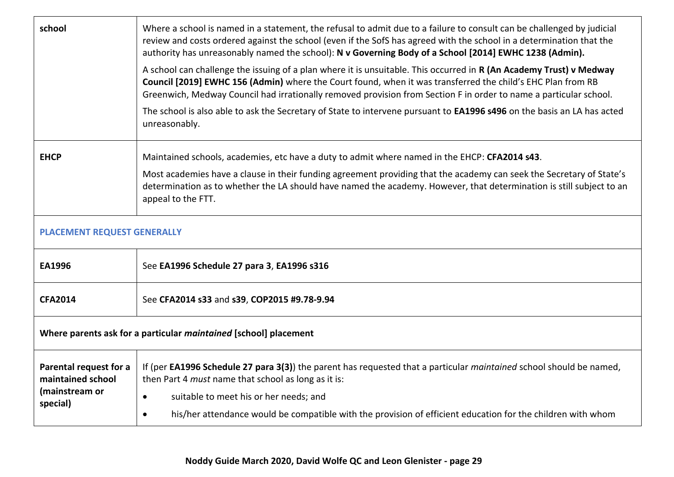| school                                                                  | Where a school is named in a statement, the refusal to admit due to a failure to consult can be challenged by judicial<br>review and costs ordered against the school (even if the SofS has agreed with the school in a determination that the<br>authority has unreasonably named the school): N v Governing Body of a School [2014] EWHC 1238 (Admin). |  |
|-------------------------------------------------------------------------|----------------------------------------------------------------------------------------------------------------------------------------------------------------------------------------------------------------------------------------------------------------------------------------------------------------------------------------------------------|--|
|                                                                         | A school can challenge the issuing of a plan where it is unsuitable. This occurred in R (An Academy Trust) v Medway<br>Council [2019] EWHC 156 (Admin) where the Court found, when it was transferred the child's EHC Plan from RB<br>Greenwich, Medway Council had irrationally removed provision from Section F in order to name a particular school.  |  |
|                                                                         | The school is also able to ask the Secretary of State to intervene pursuant to EA1996 s496 on the basis an LA has acted<br>unreasonably.                                                                                                                                                                                                                 |  |
| <b>EHCP</b>                                                             | Maintained schools, academies, etc have a duty to admit where named in the EHCP: CFA2014 s43.                                                                                                                                                                                                                                                            |  |
|                                                                         | Most academies have a clause in their funding agreement providing that the academy can seek the Secretary of State's<br>determination as to whether the LA should have named the academy. However, that determination is still subject to an<br>appeal to the FTT.                                                                                       |  |
| PLACEMENT REQUEST GENERALLY                                             |                                                                                                                                                                                                                                                                                                                                                          |  |
| EA1996                                                                  | See EA1996 Schedule 27 para 3, EA1996 s316                                                                                                                                                                                                                                                                                                               |  |
| <b>CFA2014</b>                                                          | See CFA2014 s33 and s39, COP2015 #9.78-9.94                                                                                                                                                                                                                                                                                                              |  |
| Where parents ask for a particular <i>maintained</i> [school] placement |                                                                                                                                                                                                                                                                                                                                                          |  |
| Parental request for a<br>maintained school                             | If (per EA1996 Schedule 27 para 3(3)) the parent has requested that a particular maintained school should be named,<br>then Part 4 must name that school as long as it is:                                                                                                                                                                               |  |
| (mainstream or<br>special)                                              | suitable to meet his or her needs; and<br>$\bullet$                                                                                                                                                                                                                                                                                                      |  |
|                                                                         | his/her attendance would be compatible with the provision of efficient education for the children with whom<br>$\bullet$                                                                                                                                                                                                                                 |  |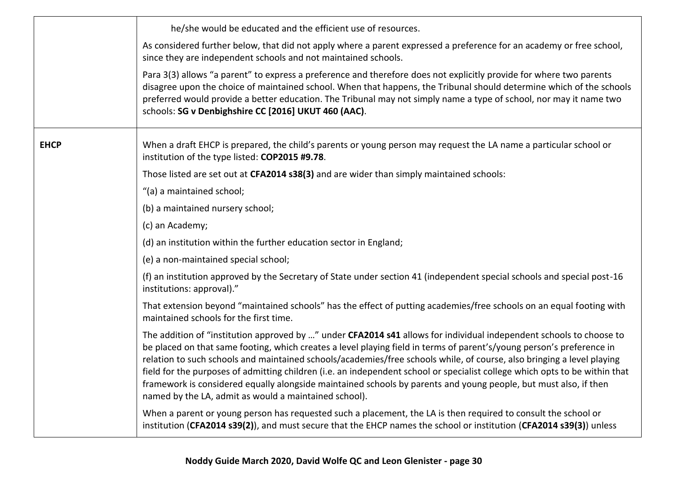|             | he/she would be educated and the efficient use of resources.                                                                                                                                                                                                                                                                                                                                                                                                                                                                                                                                                                                                                       |
|-------------|------------------------------------------------------------------------------------------------------------------------------------------------------------------------------------------------------------------------------------------------------------------------------------------------------------------------------------------------------------------------------------------------------------------------------------------------------------------------------------------------------------------------------------------------------------------------------------------------------------------------------------------------------------------------------------|
|             | As considered further below, that did not apply where a parent expressed a preference for an academy or free school,<br>since they are independent schools and not maintained schools.                                                                                                                                                                                                                                                                                                                                                                                                                                                                                             |
|             | Para 3(3) allows "a parent" to express a preference and therefore does not explicitly provide for where two parents<br>disagree upon the choice of maintained school. When that happens, the Tribunal should determine which of the schools<br>preferred would provide a better education. The Tribunal may not simply name a type of school, nor may it name two<br>schools: SG v Denbighshire CC [2016] UKUT 460 (AAC).                                                                                                                                                                                                                                                          |
| <b>EHCP</b> | When a draft EHCP is prepared, the child's parents or young person may request the LA name a particular school or<br>institution of the type listed: COP2015 #9.78.                                                                                                                                                                                                                                                                                                                                                                                                                                                                                                                |
|             | Those listed are set out at CFA2014 s38(3) and are wider than simply maintained schools:                                                                                                                                                                                                                                                                                                                                                                                                                                                                                                                                                                                           |
|             | "(a) a maintained school;                                                                                                                                                                                                                                                                                                                                                                                                                                                                                                                                                                                                                                                          |
|             | (b) a maintained nursery school;                                                                                                                                                                                                                                                                                                                                                                                                                                                                                                                                                                                                                                                   |
|             | (c) an Academy;                                                                                                                                                                                                                                                                                                                                                                                                                                                                                                                                                                                                                                                                    |
|             | (d) an institution within the further education sector in England;                                                                                                                                                                                                                                                                                                                                                                                                                                                                                                                                                                                                                 |
|             | (e) a non-maintained special school;                                                                                                                                                                                                                                                                                                                                                                                                                                                                                                                                                                                                                                               |
|             | (f) an institution approved by the Secretary of State under section 41 (independent special schools and special post-16<br>institutions: approval)."                                                                                                                                                                                                                                                                                                                                                                                                                                                                                                                               |
|             | That extension beyond "maintained schools" has the effect of putting academies/free schools on an equal footing with<br>maintained schools for the first time.                                                                                                                                                                                                                                                                                                                                                                                                                                                                                                                     |
|             | The addition of "institution approved by " under CFA2014 s41 allows for individual independent schools to choose to<br>be placed on that same footing, which creates a level playing field in terms of parent's/young person's preference in<br>relation to such schools and maintained schools/academies/free schools while, of course, also bringing a level playing<br>field for the purposes of admitting children (i.e. an independent school or specialist college which opts to be within that<br>framework is considered equally alongside maintained schools by parents and young people, but must also, if then<br>named by the LA, admit as would a maintained school). |
|             | When a parent or young person has requested such a placement, the LA is then required to consult the school or<br>institution (CFA2014 s39(2)), and must secure that the EHCP names the school or institution (CFA2014 s39(3)) unless                                                                                                                                                                                                                                                                                                                                                                                                                                              |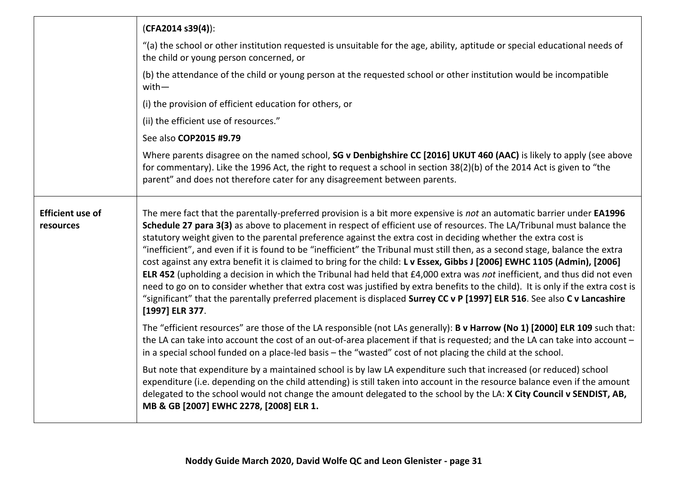|                                      | $(CFA2014 s39(4))$ :                                                                                                                                                                                                                                                                                                                                                                                                                                                                                                                                                                                                                                                                                                                                                                                                                                                                                                                                                                                                                            |
|--------------------------------------|-------------------------------------------------------------------------------------------------------------------------------------------------------------------------------------------------------------------------------------------------------------------------------------------------------------------------------------------------------------------------------------------------------------------------------------------------------------------------------------------------------------------------------------------------------------------------------------------------------------------------------------------------------------------------------------------------------------------------------------------------------------------------------------------------------------------------------------------------------------------------------------------------------------------------------------------------------------------------------------------------------------------------------------------------|
|                                      | "(a) the school or other institution requested is unsuitable for the age, ability, aptitude or special educational needs of<br>the child or young person concerned, or                                                                                                                                                                                                                                                                                                                                                                                                                                                                                                                                                                                                                                                                                                                                                                                                                                                                          |
|                                      | (b) the attendance of the child or young person at the requested school or other institution would be incompatible<br>$with-$                                                                                                                                                                                                                                                                                                                                                                                                                                                                                                                                                                                                                                                                                                                                                                                                                                                                                                                   |
|                                      | (i) the provision of efficient education for others, or                                                                                                                                                                                                                                                                                                                                                                                                                                                                                                                                                                                                                                                                                                                                                                                                                                                                                                                                                                                         |
|                                      | (ii) the efficient use of resources."                                                                                                                                                                                                                                                                                                                                                                                                                                                                                                                                                                                                                                                                                                                                                                                                                                                                                                                                                                                                           |
|                                      | See also COP2015 #9.79                                                                                                                                                                                                                                                                                                                                                                                                                                                                                                                                                                                                                                                                                                                                                                                                                                                                                                                                                                                                                          |
|                                      | Where parents disagree on the named school, SG v Denbighshire CC [2016] UKUT 460 (AAC) is likely to apply (see above<br>for commentary). Like the 1996 Act, the right to request a school in section 38(2)(b) of the 2014 Act is given to "the<br>parent" and does not therefore cater for any disagreement between parents.                                                                                                                                                                                                                                                                                                                                                                                                                                                                                                                                                                                                                                                                                                                    |
| <b>Efficient use of</b><br>resources | The mere fact that the parentally-preferred provision is a bit more expensive is not an automatic barrier under EA1996<br>Schedule 27 para 3(3) as above to placement in respect of efficient use of resources. The LA/Tribunal must balance the<br>statutory weight given to the parental preference against the extra cost in deciding whether the extra cost is<br>"inefficient", and even if it is found to be "inefficient" the Tribunal must still then, as a second stage, balance the extra<br>cost against any extra benefit it is claimed to bring for the child: L v Essex, Gibbs J [2006] EWHC 1105 (Admin), [2006]<br>ELR 452 (upholding a decision in which the Tribunal had held that £4,000 extra was not inefficient, and thus did not even<br>need to go on to consider whether that extra cost was justified by extra benefits to the child). It is only if the extra cost is<br>"significant" that the parentally preferred placement is displaced Surrey CC v P [1997] ELR 516. See also C v Lancashire<br>[1997] ELR 377. |
|                                      | The "efficient resources" are those of the LA responsible (not LAs generally): <b>B v Harrow (No 1) [2000] ELR 109</b> such that:<br>the LA can take into account the cost of an out-of-area placement if that is requested; and the LA can take into account -<br>in a special school funded on a place-led basis – the "wasted" cost of not placing the child at the school.                                                                                                                                                                                                                                                                                                                                                                                                                                                                                                                                                                                                                                                                  |
|                                      | But note that expenditure by a maintained school is by law LA expenditure such that increased (or reduced) school<br>expenditure (i.e. depending on the child attending) is still taken into account in the resource balance even if the amount<br>delegated to the school would not change the amount delegated to the school by the LA: X City Council v SENDIST, AB,<br>MB & GB [2007] EWHC 2278, [2008] ELR 1.                                                                                                                                                                                                                                                                                                                                                                                                                                                                                                                                                                                                                              |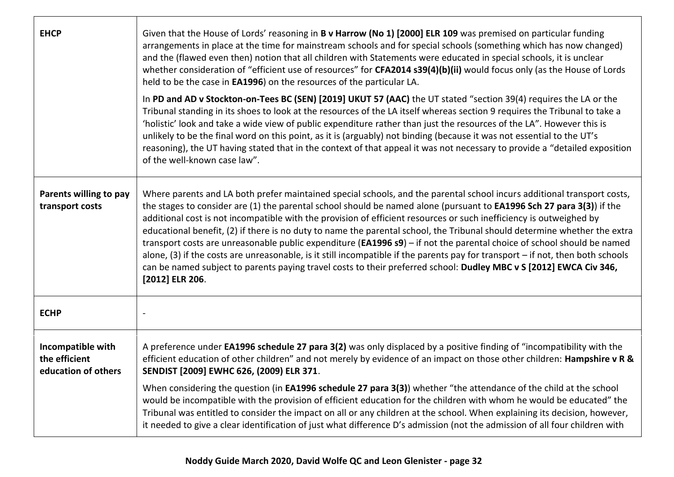| <b>EHCP</b>                                               | Given that the House of Lords' reasoning in B v Harrow (No 1) [2000] ELR 109 was premised on particular funding<br>arrangements in place at the time for mainstream schools and for special schools (something which has now changed)<br>and the (flawed even then) notion that all children with Statements were educated in special schools, it is unclear<br>whether consideration of "efficient use of resources" for CFA2014 s39(4)(b)(ii) would focus only (as the House of Lords<br>held to be the case in EA1996) on the resources of the particular LA.<br>In PD and AD v Stockton-on-Tees BC (SEN) [2019] UKUT 57 (AAC) the UT stated "section 39(4) requires the LA or the<br>Tribunal standing in its shoes to look at the resources of the LA itself whereas section 9 requires the Tribunal to take a<br>'holistic' look and take a wide view of public expenditure rather than just the resources of the LA". However this is<br>unlikely to be the final word on this point, as it is (arguably) not binding (because it was not essential to the UT's<br>reasoning), the UT having stated that in the context of that appeal it was not necessary to provide a "detailed exposition<br>of the well-known case law". |
|-----------------------------------------------------------|--------------------------------------------------------------------------------------------------------------------------------------------------------------------------------------------------------------------------------------------------------------------------------------------------------------------------------------------------------------------------------------------------------------------------------------------------------------------------------------------------------------------------------------------------------------------------------------------------------------------------------------------------------------------------------------------------------------------------------------------------------------------------------------------------------------------------------------------------------------------------------------------------------------------------------------------------------------------------------------------------------------------------------------------------------------------------------------------------------------------------------------------------------------------------------------------------------------------------------------|
| Parents willing to pay<br>transport costs                 | Where parents and LA both prefer maintained special schools, and the parental school incurs additional transport costs,<br>the stages to consider are (1) the parental school should be named alone (pursuant to EA1996 Sch 27 para 3(3)) if the<br>additional cost is not incompatible with the provision of efficient resources or such inefficiency is outweighed by<br>educational benefit, (2) if there is no duty to name the parental school, the Tribunal should determine whether the extra<br>transport costs are unreasonable public expenditure (EA1996 s9) - if not the parental choice of school should be named<br>alone, (3) if the costs are unreasonable, is it still incompatible if the parents pay for transport – if not, then both schools<br>can be named subject to parents paying travel costs to their preferred school: Dudley MBC v S [2012] EWCA Civ 346,<br>[2012] ELR 206.                                                                                                                                                                                                                                                                                                                           |
| <b>ECHP</b>                                               |                                                                                                                                                                                                                                                                                                                                                                                                                                                                                                                                                                                                                                                                                                                                                                                                                                                                                                                                                                                                                                                                                                                                                                                                                                      |
| Incompatible with<br>the efficient<br>education of others | A preference under EA1996 schedule 27 para 3(2) was only displaced by a positive finding of "incompatibility with the<br>efficient education of other children" and not merely by evidence of an impact on those other children: Hampshire v R &<br>SENDIST [2009] EWHC 626, (2009) ELR 371.<br>When considering the question (in EA1996 schedule 27 para 3(3)) whether "the attendance of the child at the school                                                                                                                                                                                                                                                                                                                                                                                                                                                                                                                                                                                                                                                                                                                                                                                                                   |
|                                                           | would be incompatible with the provision of efficient education for the children with whom he would be educated" the<br>Tribunal was entitled to consider the impact on all or any children at the school. When explaining its decision, however,<br>it needed to give a clear identification of just what difference D's admission (not the admission of all four children with                                                                                                                                                                                                                                                                                                                                                                                                                                                                                                                                                                                                                                                                                                                                                                                                                                                     |

 $\mathbf{I}$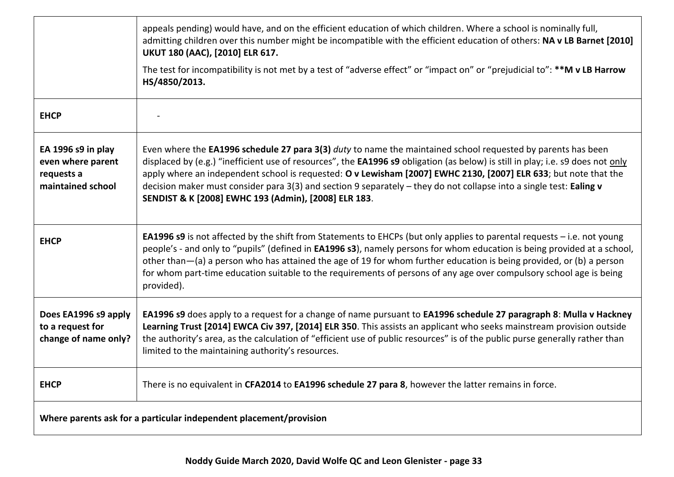|                                                                            | appeals pending) would have, and on the efficient education of which children. Where a school is nominally full,<br>admitting children over this number might be incompatible with the efficient education of others: NA v LB Barnet [2010]<br>UKUT 180 (AAC), [2010] ELR 617.                                                                                                                                                                                                                                                                            |
|----------------------------------------------------------------------------|-----------------------------------------------------------------------------------------------------------------------------------------------------------------------------------------------------------------------------------------------------------------------------------------------------------------------------------------------------------------------------------------------------------------------------------------------------------------------------------------------------------------------------------------------------------|
|                                                                            | The test for incompatibility is not met by a test of "adverse effect" or "impact on" or "prejudicial to": **M v LB Harrow<br>HS/4850/2013.                                                                                                                                                                                                                                                                                                                                                                                                                |
| <b>EHCP</b>                                                                |                                                                                                                                                                                                                                                                                                                                                                                                                                                                                                                                                           |
| EA 1996 s9 in play<br>even where parent<br>requests a<br>maintained school | Even where the EA1996 schedule 27 para 3(3) duty to name the maintained school requested by parents has been<br>displaced by (e.g.) "inefficient use of resources", the <b>EA1996 s9</b> obligation (as below) is still in play; i.e. s9 does not only<br>apply where an independent school is requested: O v Lewisham [2007] EWHC 2130, [2007] ELR 633; but note that the<br>decision maker must consider para 3(3) and section 9 separately - they do not collapse into a single test: Ealing v<br>SENDIST & K [2008] EWHC 193 (Admin), [2008] ELR 183. |
| <b>EHCP</b>                                                                | <b>EA1996 s9</b> is not affected by the shift from Statements to EHCPs (but only applies to parental requests $-$ i.e. not young<br>people's - and only to "pupils" (defined in EA1996 s3), namely persons for whom education is being provided at a school,<br>other than-(a) a person who has attained the age of 19 for whom further education is being provided, or (b) a person<br>for whom part-time education suitable to the requirements of persons of any age over compulsory school age is being<br>provided).                                 |
| Does EA1996 s9 apply<br>to a request for<br>change of name only?           | EA1996 s9 does apply to a request for a change of name pursuant to EA1996 schedule 27 paragraph 8: Mulla v Hackney<br>Learning Trust [2014] EWCA Civ 397, [2014] ELR 350. This assists an applicant who seeks mainstream provision outside<br>the authority's area, as the calculation of "efficient use of public resources" is of the public purse generally rather than<br>limited to the maintaining authority's resources.                                                                                                                           |
| <b>EHCP</b>                                                                | There is no equivalent in CFA2014 to EA1996 schedule 27 para 8, however the latter remains in force.                                                                                                                                                                                                                                                                                                                                                                                                                                                      |
| Where parents ask for a particular independent placement/provision         |                                                                                                                                                                                                                                                                                                                                                                                                                                                                                                                                                           |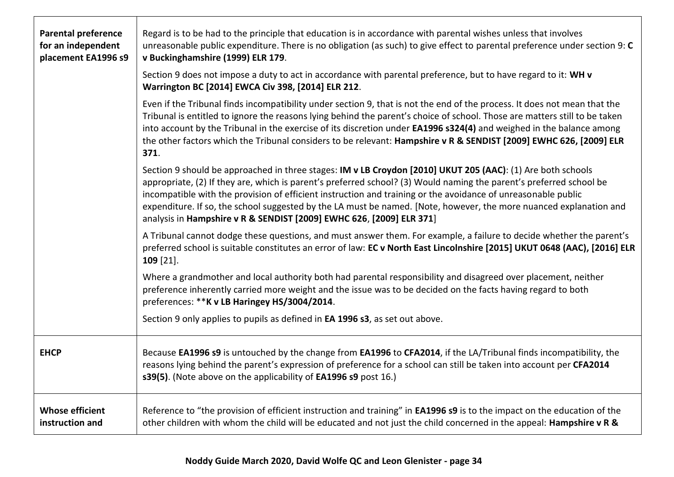| <b>Parental preference</b><br>for an independent<br>placement EA1996 s9 | Regard is to be had to the principle that education is in accordance with parental wishes unless that involves<br>unreasonable public expenditure. There is no obligation (as such) to give effect to parental preference under section 9: C<br>v Buckinghamshire (1999) ELR 179.<br>Section 9 does not impose a duty to act in accordance with parental preference, but to have regard to it: WH v<br>Warrington BC [2014] EWCA Civ 398, [2014] ELR 212.                                                                                         |
|-------------------------------------------------------------------------|---------------------------------------------------------------------------------------------------------------------------------------------------------------------------------------------------------------------------------------------------------------------------------------------------------------------------------------------------------------------------------------------------------------------------------------------------------------------------------------------------------------------------------------------------|
|                                                                         | Even if the Tribunal finds incompatibility under section 9, that is not the end of the process. It does not mean that the<br>Tribunal is entitled to ignore the reasons lying behind the parent's choice of school. Those are matters still to be taken<br>into account by the Tribunal in the exercise of its discretion under <b>EA1996 s324(4)</b> and weighed in the balance among<br>the other factors which the Tribunal considers to be relevant: Hampshire v R & SENDIST [2009] EWHC 626, [2009] ELR<br>371.                              |
|                                                                         | Section 9 should be approached in three stages: IM v LB Croydon [2010] UKUT 205 (AAC): (1) Are both schools<br>appropriate, (2) If they are, which is parent's preferred school? (3) Would naming the parent's preferred school be<br>incompatible with the provision of efficient instruction and training or the avoidance of unreasonable public<br>expenditure. If so, the school suggested by the LA must be named. [Note, however, the more nuanced explanation and<br>analysis in Hampshire v R & SENDIST [2009] EWHC 626, [2009] ELR 371] |
|                                                                         | A Tribunal cannot dodge these questions, and must answer them. For example, a failure to decide whether the parent's<br>preferred school is suitable constitutes an error of law: EC v North East Lincolnshire [2015] UKUT 0648 (AAC), [2016] ELR<br>$109$ [21].                                                                                                                                                                                                                                                                                  |
|                                                                         | Where a grandmother and local authority both had parental responsibility and disagreed over placement, neither<br>preference inherently carried more weight and the issue was to be decided on the facts having regard to both<br>preferences: ** K v LB Haringey HS/3004/2014.                                                                                                                                                                                                                                                                   |
|                                                                         | Section 9 only applies to pupils as defined in <b>EA 1996 s3</b> , as set out above.                                                                                                                                                                                                                                                                                                                                                                                                                                                              |
| <b>EHCP</b>                                                             | Because EA1996 s9 is untouched by the change from EA1996 to CFA2014, if the LA/Tribunal finds incompatibility, the<br>reasons lying behind the parent's expression of preference for a school can still be taken into account per CFA2014<br>s39(5). (Note above on the applicability of EA1996 s9 post 16.)                                                                                                                                                                                                                                      |
| <b>Whose efficient</b><br>instruction and                               | Reference to "the provision of efficient instruction and training" in <b>EA1996 s9</b> is to the impact on the education of the<br>other children with whom the child will be educated and not just the child concerned in the appeal: Hampshire v R &                                                                                                                                                                                                                                                                                            |

 $\mathsf{L}$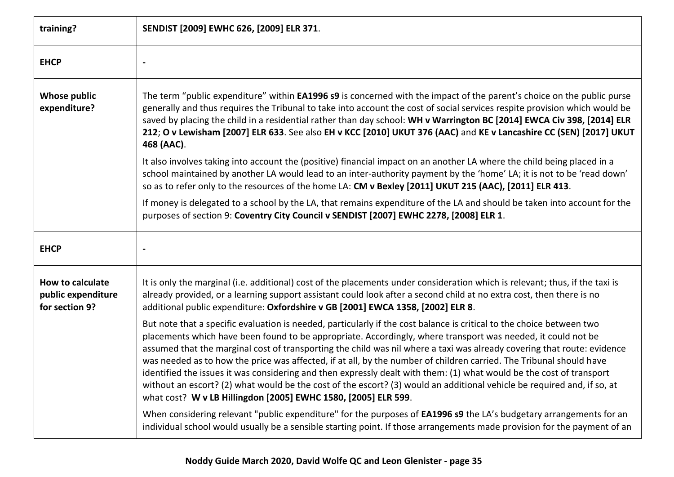| training?                                                       | SENDIST [2009] EWHC 626, [2009] ELR 371.                                                                                                                                                                                                                                                                                                                                                                                                                                                                                                                                                                                                                                                                                                                                                                     |
|-----------------------------------------------------------------|--------------------------------------------------------------------------------------------------------------------------------------------------------------------------------------------------------------------------------------------------------------------------------------------------------------------------------------------------------------------------------------------------------------------------------------------------------------------------------------------------------------------------------------------------------------------------------------------------------------------------------------------------------------------------------------------------------------------------------------------------------------------------------------------------------------|
| <b>EHCP</b>                                                     |                                                                                                                                                                                                                                                                                                                                                                                                                                                                                                                                                                                                                                                                                                                                                                                                              |
| <b>Whose public</b><br>expenditure?                             | The term "public expenditure" within <b>EA1996 s9</b> is concerned with the impact of the parent's choice on the public purse<br>generally and thus requires the Tribunal to take into account the cost of social services respite provision which would be<br>saved by placing the child in a residential rather than day school: WH v Warrington BC [2014] EWCA Civ 398, [2014] ELR<br>212; O v Lewisham [2007] ELR 633. See also EH v KCC [2010] UKUT 376 (AAC) and KE v Lancashire CC (SEN) [2017] UKUT<br>468 (AAC).                                                                                                                                                                                                                                                                                    |
|                                                                 | It also involves taking into account the (positive) financial impact on an another LA where the child being placed in a<br>school maintained by another LA would lead to an inter-authority payment by the 'home' LA; it is not to be 'read down'<br>so as to refer only to the resources of the home LA: CM v Bexley [2011] UKUT 215 (AAC), [2011] ELR 413.                                                                                                                                                                                                                                                                                                                                                                                                                                                 |
|                                                                 | If money is delegated to a school by the LA, that remains expenditure of the LA and should be taken into account for the<br>purposes of section 9: Coventry City Council v SENDIST [2007] EWHC 2278, [2008] ELR 1.                                                                                                                                                                                                                                                                                                                                                                                                                                                                                                                                                                                           |
| <b>EHCP</b>                                                     |                                                                                                                                                                                                                                                                                                                                                                                                                                                                                                                                                                                                                                                                                                                                                                                                              |
| <b>How to calculate</b><br>public expenditure<br>for section 9? | It is only the marginal (i.e. additional) cost of the placements under consideration which is relevant; thus, if the taxi is<br>already provided, or a learning support assistant could look after a second child at no extra cost, then there is no<br>additional public expenditure: Oxfordshire v GB [2001] EWCA 1358, [2002] ELR 8.                                                                                                                                                                                                                                                                                                                                                                                                                                                                      |
|                                                                 | But note that a specific evaluation is needed, particularly if the cost balance is critical to the choice between two<br>placements which have been found to be appropriate. Accordingly, where transport was needed, it could not be<br>assumed that the marginal cost of transporting the child was nil where a taxi was already covering that route: evidence<br>was needed as to how the price was affected, if at all, by the number of children carried. The Tribunal should have<br>identified the issues it was considering and then expressly dealt with them: (1) what would be the cost of transport<br>without an escort? (2) what would be the cost of the escort? (3) would an additional vehicle be required and, if so, at<br>what cost? W v LB Hillingdon [2005] EWHC 1580, [2005] ELR 599. |
|                                                                 | When considering relevant "public expenditure" for the purposes of <b>EA1996 s9</b> the LA's budgetary arrangements for an<br>individual school would usually be a sensible starting point. If those arrangements made provision for the payment of an                                                                                                                                                                                                                                                                                                                                                                                                                                                                                                                                                       |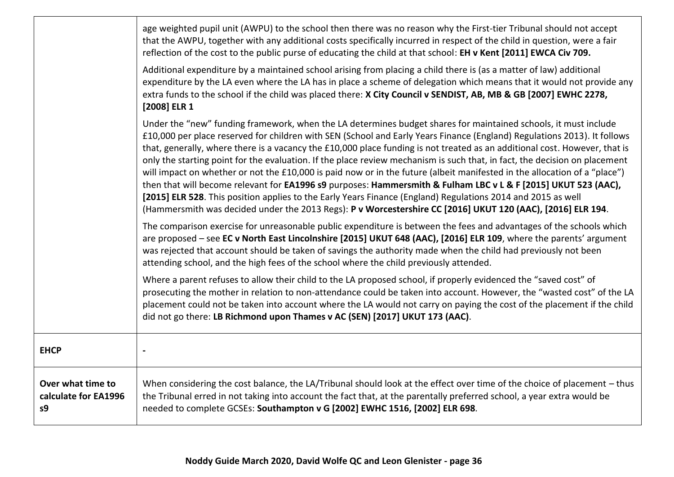|                                                 | age weighted pupil unit (AWPU) to the school then there was no reason why the First-tier Tribunal should not accept<br>that the AWPU, together with any additional costs specifically incurred in respect of the child in question, were a fair<br>reflection of the cost to the public purse of educating the child at that school: EH v Kent [2011] EWCA Civ 709.                                                                                                                                                                                                                                                                                                                                                                                                                                                                                                                                                                                                                   |
|-------------------------------------------------|---------------------------------------------------------------------------------------------------------------------------------------------------------------------------------------------------------------------------------------------------------------------------------------------------------------------------------------------------------------------------------------------------------------------------------------------------------------------------------------------------------------------------------------------------------------------------------------------------------------------------------------------------------------------------------------------------------------------------------------------------------------------------------------------------------------------------------------------------------------------------------------------------------------------------------------------------------------------------------------|
|                                                 | Additional expenditure by a maintained school arising from placing a child there is (as a matter of law) additional<br>expenditure by the LA even where the LA has in place a scheme of delegation which means that it would not provide any<br>extra funds to the school if the child was placed there: X City Council v SENDIST, AB, MB & GB [2007] EWHC 2278,<br>[2008] ELR 1                                                                                                                                                                                                                                                                                                                                                                                                                                                                                                                                                                                                      |
|                                                 | Under the "new" funding framework, when the LA determines budget shares for maintained schools, it must include<br>£10,000 per place reserved for children with SEN (School and Early Years Finance (England) Regulations 2013). It follows<br>that, generally, where there is a vacancy the £10,000 place funding is not treated as an additional cost. However, that is<br>only the starting point for the evaluation. If the place review mechanism is such that, in fact, the decision on placement<br>will impact on whether or not the £10,000 is paid now or in the future (albeit manifested in the allocation of a "place")<br>then that will become relevant for EA1996 s9 purposes: Hammersmith & Fulham LBC v L & F [2015] UKUT 523 (AAC),<br>[2015] ELR 528. This position applies to the Early Years Finance (England) Regulations 2014 and 2015 as well<br>(Hammersmith was decided under the 2013 Regs): P v Worcestershire CC [2016] UKUT 120 (AAC), [2016] ELR 194. |
|                                                 | The comparison exercise for unreasonable public expenditure is between the fees and advantages of the schools which<br>are proposed - see EC v North East Lincolnshire [2015] UKUT 648 (AAC), [2016] ELR 109, where the parents' argument<br>was rejected that account should be taken of savings the authority made when the child had previously not been<br>attending school, and the high fees of the school where the child previously attended.                                                                                                                                                                                                                                                                                                                                                                                                                                                                                                                                 |
|                                                 | Where a parent refuses to allow their child to the LA proposed school, if properly evidenced the "saved cost" of<br>prosecuting the mother in relation to non-attendance could be taken into account. However, the "wasted cost" of the LA<br>placement could not be taken into account where the LA would not carry on paying the cost of the placement if the child<br>did not go there: LB Richmond upon Thames v AC (SEN) [2017] UKUT 173 (AAC).                                                                                                                                                                                                                                                                                                                                                                                                                                                                                                                                  |
| <b>EHCP</b>                                     | $\overline{\phantom{a}}$                                                                                                                                                                                                                                                                                                                                                                                                                                                                                                                                                                                                                                                                                                                                                                                                                                                                                                                                                              |
| Over what time to<br>calculate for EA1996<br>s9 | When considering the cost balance, the LA/Tribunal should look at the effect over time of the choice of placement - thus<br>the Tribunal erred in not taking into account the fact that, at the parentally preferred school, a year extra would be<br>needed to complete GCSEs: Southampton v G [2002] EWHC 1516, [2002] ELR 698.                                                                                                                                                                                                                                                                                                                                                                                                                                                                                                                                                                                                                                                     |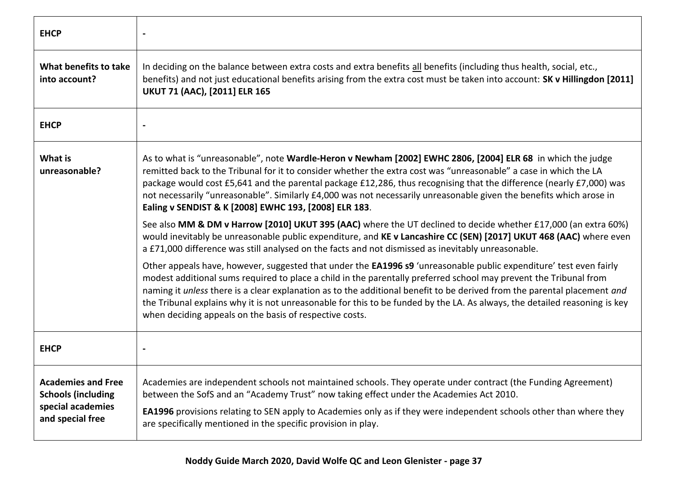| <b>EHCP</b>                                                                                     |                                                                                                                                                                                                                                                                                                                                                                                                                                                                                                                                                                                                                                                                                                                                                                                                                                                                                                                                                                                                                                                                                                                                                                                                                                                                                                                                                                                                                                                        |
|-------------------------------------------------------------------------------------------------|--------------------------------------------------------------------------------------------------------------------------------------------------------------------------------------------------------------------------------------------------------------------------------------------------------------------------------------------------------------------------------------------------------------------------------------------------------------------------------------------------------------------------------------------------------------------------------------------------------------------------------------------------------------------------------------------------------------------------------------------------------------------------------------------------------------------------------------------------------------------------------------------------------------------------------------------------------------------------------------------------------------------------------------------------------------------------------------------------------------------------------------------------------------------------------------------------------------------------------------------------------------------------------------------------------------------------------------------------------------------------------------------------------------------------------------------------------|
| What benefits to take<br>into account?                                                          | In deciding on the balance between extra costs and extra benefits all benefits (including thus health, social, etc.,<br>benefits) and not just educational benefits arising from the extra cost must be taken into account: SK v Hillingdon [2011]<br><b>UKUT 71 (AAC), [2011] ELR 165</b>                                                                                                                                                                                                                                                                                                                                                                                                                                                                                                                                                                                                                                                                                                                                                                                                                                                                                                                                                                                                                                                                                                                                                             |
| <b>EHCP</b>                                                                                     |                                                                                                                                                                                                                                                                                                                                                                                                                                                                                                                                                                                                                                                                                                                                                                                                                                                                                                                                                                                                                                                                                                                                                                                                                                                                                                                                                                                                                                                        |
| What is<br>unreasonable?                                                                        | As to what is "unreasonable", note Wardle-Heron v Newham [2002] EWHC 2806, [2004] ELR 68 in which the judge<br>remitted back to the Tribunal for it to consider whether the extra cost was "unreasonable" a case in which the LA<br>package would cost £5,641 and the parental package £12,286, thus recognising that the difference (nearly £7,000) was<br>not necessarily "unreasonable". Similarly £4,000 was not necessarily unreasonable given the benefits which arose in<br>Ealing v SENDIST & K [2008] EWHC 193, [2008] ELR 183.<br>See also MM & DM v Harrow [2010] UKUT 395 (AAC) where the UT declined to decide whether £17,000 (an extra 60%)<br>would inevitably be unreasonable public expenditure, and KE v Lancashire CC (SEN) [2017] UKUT 468 (AAC) where even<br>a £71,000 difference was still analysed on the facts and not dismissed as inevitably unreasonable.<br>Other appeals have, however, suggested that under the EA1996 s9 'unreasonable public expenditure' test even fairly<br>modest additional sums required to place a child in the parentally preferred school may prevent the Tribunal from<br>naming it unless there is a clear explanation as to the additional benefit to be derived from the parental placement and<br>the Tribunal explains why it is not unreasonable for this to be funded by the LA. As always, the detailed reasoning is key<br>when deciding appeals on the basis of respective costs. |
| <b>EHCP</b>                                                                                     |                                                                                                                                                                                                                                                                                                                                                                                                                                                                                                                                                                                                                                                                                                                                                                                                                                                                                                                                                                                                                                                                                                                                                                                                                                                                                                                                                                                                                                                        |
| <b>Academies and Free</b><br><b>Schools (including</b><br>special academies<br>and special free | Academies are independent schools not maintained schools. They operate under contract (the Funding Agreement)<br>between the SofS and an "Academy Trust" now taking effect under the Academies Act 2010.<br>EA1996 provisions relating to SEN apply to Academies only as if they were independent schools other than where they<br>are specifically mentioned in the specific provision in play.                                                                                                                                                                                                                                                                                                                                                                                                                                                                                                                                                                                                                                                                                                                                                                                                                                                                                                                                                                                                                                                       |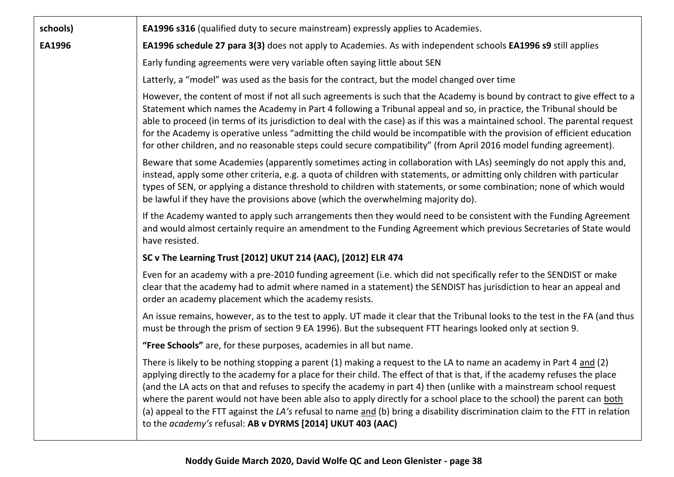| schools) | <b>EA1996 s316</b> (qualified duty to secure mainstream) expressly applies to Academies.                                                                                                                                                                                                                                                                                                                                                                                                                                                                                                                                                                                                           |
|----------|----------------------------------------------------------------------------------------------------------------------------------------------------------------------------------------------------------------------------------------------------------------------------------------------------------------------------------------------------------------------------------------------------------------------------------------------------------------------------------------------------------------------------------------------------------------------------------------------------------------------------------------------------------------------------------------------------|
| EA1996   | <b>EA1996 schedule 27 para 3(3)</b> does not apply to Academies. As with independent schools <b>EA1996 s9</b> still applies                                                                                                                                                                                                                                                                                                                                                                                                                                                                                                                                                                        |
|          | Early funding agreements were very variable often saying little about SEN                                                                                                                                                                                                                                                                                                                                                                                                                                                                                                                                                                                                                          |
|          | Latterly, a "model" was used as the basis for the contract, but the model changed over time                                                                                                                                                                                                                                                                                                                                                                                                                                                                                                                                                                                                        |
|          | However, the content of most if not all such agreements is such that the Academy is bound by contract to give effect to a<br>Statement which names the Academy in Part 4 following a Tribunal appeal and so, in practice, the Tribunal should be<br>able to proceed (in terms of its jurisdiction to deal with the case) as if this was a maintained school. The parental request<br>for the Academy is operative unless "admitting the child would be incompatible with the provision of efficient education<br>for other children, and no reasonable steps could secure compatibility" (from April 2016 model funding agreement).                                                                |
|          | Beware that some Academies (apparently sometimes acting in collaboration with LAs) seemingly do not apply this and,<br>instead, apply some other criteria, e.g. a quota of children with statements, or admitting only children with particular<br>types of SEN, or applying a distance threshold to children with statements, or some combination; none of which would<br>be lawful if they have the provisions above (which the overwhelming majority do).                                                                                                                                                                                                                                       |
|          | If the Academy wanted to apply such arrangements then they would need to be consistent with the Funding Agreement<br>and would almost certainly require an amendment to the Funding Agreement which previous Secretaries of State would<br>have resisted.                                                                                                                                                                                                                                                                                                                                                                                                                                          |
|          | SC v The Learning Trust [2012] UKUT 214 (AAC), [2012] ELR 474                                                                                                                                                                                                                                                                                                                                                                                                                                                                                                                                                                                                                                      |
|          | Even for an academy with a pre-2010 funding agreement (i.e. which did not specifically refer to the SENDIST or make<br>clear that the academy had to admit where named in a statement) the SENDIST has jurisdiction to hear an appeal and<br>order an academy placement which the academy resists.                                                                                                                                                                                                                                                                                                                                                                                                 |
|          | An issue remains, however, as to the test to apply. UT made it clear that the Tribunal looks to the test in the FA (and thus<br>must be through the prism of section 9 EA 1996). But the subsequent FTT hearings looked only at section 9.                                                                                                                                                                                                                                                                                                                                                                                                                                                         |
|          | "Free Schools" are, for these purposes, academies in all but name.                                                                                                                                                                                                                                                                                                                                                                                                                                                                                                                                                                                                                                 |
|          | There is likely to be nothing stopping a parent (1) making a request to the LA to name an academy in Part 4 and (2)<br>applying directly to the academy for a place for their child. The effect of that is that, if the academy refuses the place<br>(and the LA acts on that and refuses to specify the academy in part 4) then (unlike with a mainstream school request<br>where the parent would not have been able also to apply directly for a school place to the school) the parent can both<br>(a) appeal to the FTT against the LA's refusal to name and (b) bring a disability discrimination claim to the FTT in relation<br>to the academy's refusal: AB v DYRMS [2014] UKUT 403 (AAC) |
|          |                                                                                                                                                                                                                                                                                                                                                                                                                                                                                                                                                                                                                                                                                                    |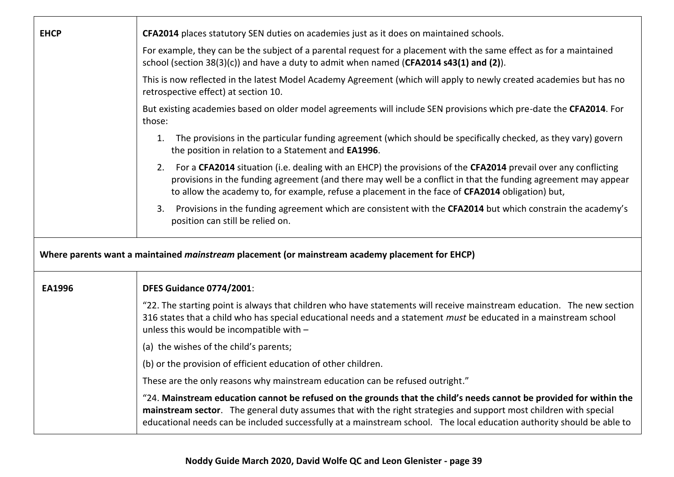| <b>EHCP</b>   | CFA2014 places statutory SEN duties on academies just as it does on maintained schools.                                                                                                                                                                                                                                                                            |
|---------------|--------------------------------------------------------------------------------------------------------------------------------------------------------------------------------------------------------------------------------------------------------------------------------------------------------------------------------------------------------------------|
|               | For example, they can be the subject of a parental request for a placement with the same effect as for a maintained<br>school (section 38(3)(c)) and have a duty to admit when named (CFA2014 s43(1) and (2)).                                                                                                                                                     |
|               | This is now reflected in the latest Model Academy Agreement (which will apply to newly created academies but has no<br>retrospective effect) at section 10.                                                                                                                                                                                                        |
|               | But existing academies based on older model agreements will include SEN provisions which pre-date the CFA2014. For<br>those:                                                                                                                                                                                                                                       |
|               | The provisions in the particular funding agreement (which should be specifically checked, as they vary) govern<br>1.<br>the position in relation to a Statement and EA1996.                                                                                                                                                                                        |
|               | For a CFA2014 situation (i.e. dealing with an EHCP) the provisions of the CFA2014 prevail over any conflicting<br>2.<br>provisions in the funding agreement (and there may well be a conflict in that the funding agreement may appear<br>to allow the academy to, for example, refuse a placement in the face of CFA2014 obligation) but,                         |
|               | 3. Provisions in the funding agreement which are consistent with the CFA2014 but which constrain the academy's<br>position can still be relied on.                                                                                                                                                                                                                 |
|               | Where parents want a maintained mainstream placement (or mainstream academy placement for EHCP)                                                                                                                                                                                                                                                                    |
| <b>EA1996</b> | <b>DFES Guidance 0774/2001:</b>                                                                                                                                                                                                                                                                                                                                    |
|               | "22. The starting point is always that children who have statements will receive mainstream education. The new section<br>316 states that a child who has special educational needs and a statement must be educated in a mainstream school<br>unless this would be incompatible with -                                                                            |
|               | (a) the wishes of the child's parents;                                                                                                                                                                                                                                                                                                                             |
|               | (b) or the provision of efficient education of other children.                                                                                                                                                                                                                                                                                                     |
|               | These are the only reasons why mainstream education can be refused outright."                                                                                                                                                                                                                                                                                      |
|               | "24. Mainstream education cannot be refused on the grounds that the child's needs cannot be provided for within the<br>mainstream sector. The general duty assumes that with the right strategies and support most children with special<br>educational needs can be included successfully at a mainstream school. The local education authority should be able to |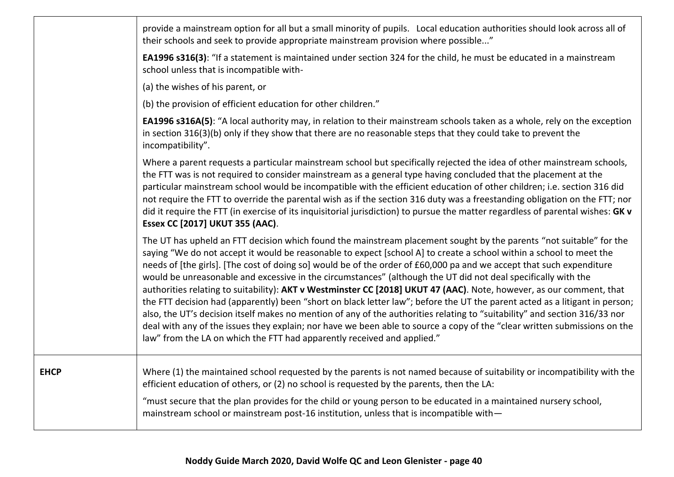|             | provide a mainstream option for all but a small minority of pupils. Local education authorities should look across all of<br>their schools and seek to provide appropriate mainstream provision where possible"                                                                                                                                                                                                                                                                                                                                                                                                                                                                                                                                                                                                                                                                                                                                                                                                                                                                  |
|-------------|----------------------------------------------------------------------------------------------------------------------------------------------------------------------------------------------------------------------------------------------------------------------------------------------------------------------------------------------------------------------------------------------------------------------------------------------------------------------------------------------------------------------------------------------------------------------------------------------------------------------------------------------------------------------------------------------------------------------------------------------------------------------------------------------------------------------------------------------------------------------------------------------------------------------------------------------------------------------------------------------------------------------------------------------------------------------------------|
|             | EA1996 s316(3): "If a statement is maintained under section 324 for the child, he must be educated in a mainstream<br>school unless that is incompatible with-                                                                                                                                                                                                                                                                                                                                                                                                                                                                                                                                                                                                                                                                                                                                                                                                                                                                                                                   |
|             | (a) the wishes of his parent, or                                                                                                                                                                                                                                                                                                                                                                                                                                                                                                                                                                                                                                                                                                                                                                                                                                                                                                                                                                                                                                                 |
|             | (b) the provision of efficient education for other children."                                                                                                                                                                                                                                                                                                                                                                                                                                                                                                                                                                                                                                                                                                                                                                                                                                                                                                                                                                                                                    |
|             | EA1996 s316A(5): "A local authority may, in relation to their mainstream schools taken as a whole, rely on the exception<br>in section 316(3)(b) only if they show that there are no reasonable steps that they could take to prevent the<br>incompatibility".                                                                                                                                                                                                                                                                                                                                                                                                                                                                                                                                                                                                                                                                                                                                                                                                                   |
|             | Where a parent requests a particular mainstream school but specifically rejected the idea of other mainstream schools,<br>the FTT was is not required to consider mainstream as a general type having concluded that the placement at the<br>particular mainstream school would be incompatible with the efficient education of other children; i.e. section 316 did<br>not require the FTT to override the parental wish as if the section 316 duty was a freestanding obligation on the FTT; nor<br>did it require the FTT (in exercise of its inquisitorial jurisdiction) to pursue the matter regardless of parental wishes: GK v<br>Essex CC [2017] UKUT 355 (AAC).                                                                                                                                                                                                                                                                                                                                                                                                         |
|             | The UT has upheld an FTT decision which found the mainstream placement sought by the parents "not suitable" for the<br>saying "We do not accept it would be reasonable to expect [school A] to create a school within a school to meet the<br>needs of [the girls]. [The cost of doing so] would be of the order of £60,000 pa and we accept that such expenditure<br>would be unreasonable and excessive in the circumstances" (although the UT did not deal specifically with the<br>authorities relating to suitability): AKT v Westminster CC [2018] UKUT 47 (AAC). Note, however, as our comment, that<br>the FTT decision had (apparently) been "short on black letter law"; before the UT the parent acted as a litigant in person;<br>also, the UT's decision itself makes no mention of any of the authorities relating to "suitability" and section 316/33 nor<br>deal with any of the issues they explain; nor have we been able to source a copy of the "clear written submissions on the<br>law" from the LA on which the FTT had apparently received and applied." |
| <b>EHCP</b> | Where (1) the maintained school requested by the parents is not named because of suitability or incompatibility with the<br>efficient education of others, or (2) no school is requested by the parents, then the LA:                                                                                                                                                                                                                                                                                                                                                                                                                                                                                                                                                                                                                                                                                                                                                                                                                                                            |
|             | "must secure that the plan provides for the child or young person to be educated in a maintained nursery school,<br>mainstream school or mainstream post-16 institution, unless that is incompatible with-                                                                                                                                                                                                                                                                                                                                                                                                                                                                                                                                                                                                                                                                                                                                                                                                                                                                       |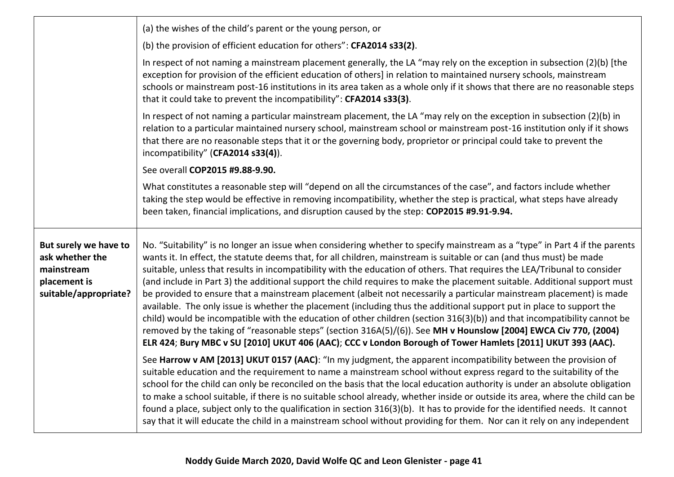|                                                                                                 | (a) the wishes of the child's parent or the young person, or                                                                                                                                                                                                                                                                                                                                                                                                                                                                                                                                                                                                                                                                                                                                                                                                                                                                                                                                                                                                                                                                 |
|-------------------------------------------------------------------------------------------------|------------------------------------------------------------------------------------------------------------------------------------------------------------------------------------------------------------------------------------------------------------------------------------------------------------------------------------------------------------------------------------------------------------------------------------------------------------------------------------------------------------------------------------------------------------------------------------------------------------------------------------------------------------------------------------------------------------------------------------------------------------------------------------------------------------------------------------------------------------------------------------------------------------------------------------------------------------------------------------------------------------------------------------------------------------------------------------------------------------------------------|
|                                                                                                 | (b) the provision of efficient education for others": CFA2014 s33(2).                                                                                                                                                                                                                                                                                                                                                                                                                                                                                                                                                                                                                                                                                                                                                                                                                                                                                                                                                                                                                                                        |
|                                                                                                 | In respect of not naming a mainstream placement generally, the LA "may rely on the exception in subsection (2)(b) [the<br>exception for provision of the efficient education of others] in relation to maintained nursery schools, mainstream<br>schools or mainstream post-16 institutions in its area taken as a whole only if it shows that there are no reasonable steps<br>that it could take to prevent the incompatibility": CFA2014 s33(3).                                                                                                                                                                                                                                                                                                                                                                                                                                                                                                                                                                                                                                                                          |
|                                                                                                 | In respect of not naming a particular mainstream placement, the LA "may rely on the exception in subsection (2)(b) in<br>relation to a particular maintained nursery school, mainstream school or mainstream post-16 institution only if it shows<br>that there are no reasonable steps that it or the governing body, proprietor or principal could take to prevent the<br>incompatibility" (CFA2014 s33(4)).                                                                                                                                                                                                                                                                                                                                                                                                                                                                                                                                                                                                                                                                                                               |
|                                                                                                 | See overall COP2015 #9.88-9.90.                                                                                                                                                                                                                                                                                                                                                                                                                                                                                                                                                                                                                                                                                                                                                                                                                                                                                                                                                                                                                                                                                              |
|                                                                                                 | What constitutes a reasonable step will "depend on all the circumstances of the case", and factors include whether<br>taking the step would be effective in removing incompatibility, whether the step is practical, what steps have already<br>been taken, financial implications, and disruption caused by the step: COP2015 #9.91-9.94.                                                                                                                                                                                                                                                                                                                                                                                                                                                                                                                                                                                                                                                                                                                                                                                   |
| But surely we have to<br>ask whether the<br>mainstream<br>placement is<br>suitable/appropriate? | No. "Suitability" is no longer an issue when considering whether to specify mainstream as a "type" in Part 4 if the parents<br>wants it. In effect, the statute deems that, for all children, mainstream is suitable or can (and thus must) be made<br>suitable, unless that results in incompatibility with the education of others. That requires the LEA/Tribunal to consider<br>(and include in Part 3) the additional support the child requires to make the placement suitable. Additional support must<br>be provided to ensure that a mainstream placement (albeit not necessarily a particular mainstream placement) is made<br>available. The only issue is whether the placement (including thus the additional support put in place to support the<br>child) would be incompatible with the education of other children (section 316(3)(b)) and that incompatibility cannot be<br>removed by the taking of "reasonable steps" (section 316A(5)/(6)). See MH v Hounslow [2004] EWCA Civ 770, (2004)<br>ELR 424; Bury MBC v SU [2010] UKUT 406 (AAC); CCC v London Borough of Tower Hamlets [2011] UKUT 393 (AAC). |
|                                                                                                 | See Harrow v AM [2013] UKUT 0157 (AAC): "In my judgment, the apparent incompatibility between the provision of<br>suitable education and the requirement to name a mainstream school without express regard to the suitability of the<br>school for the child can only be reconciled on the basis that the local education authority is under an absolute obligation<br>to make a school suitable, if there is no suitable school already, whether inside or outside its area, where the child can be<br>found a place, subject only to the qualification in section 316(3)(b). It has to provide for the identified needs. It cannot<br>say that it will educate the child in a mainstream school without providing for them. Nor can it rely on any independent                                                                                                                                                                                                                                                                                                                                                            |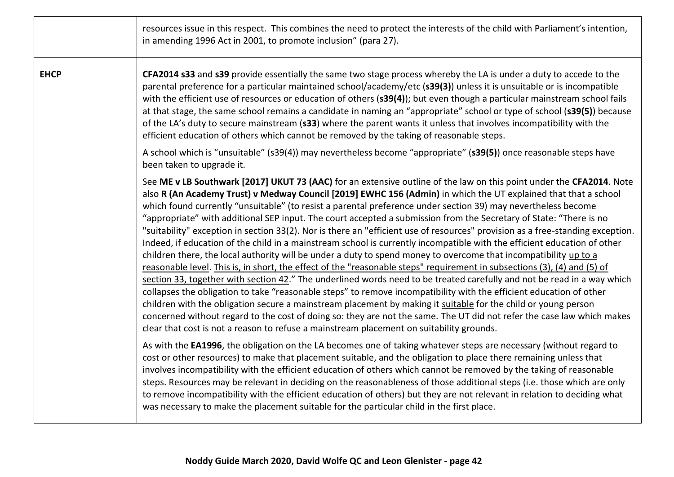|             | resources issue in this respect. This combines the need to protect the interests of the child with Parliament's intention,<br>in amending 1996 Act in 2001, to promote inclusion" (para 27).                                                                                                                                                                                                                                                                                                                                                                                                                                                                                                                                                                                                                                                                                                                                                                                                                                                                                                                                                                                                                                                                                                                                                                                                                                                                                                                                                                                           |
|-------------|----------------------------------------------------------------------------------------------------------------------------------------------------------------------------------------------------------------------------------------------------------------------------------------------------------------------------------------------------------------------------------------------------------------------------------------------------------------------------------------------------------------------------------------------------------------------------------------------------------------------------------------------------------------------------------------------------------------------------------------------------------------------------------------------------------------------------------------------------------------------------------------------------------------------------------------------------------------------------------------------------------------------------------------------------------------------------------------------------------------------------------------------------------------------------------------------------------------------------------------------------------------------------------------------------------------------------------------------------------------------------------------------------------------------------------------------------------------------------------------------------------------------------------------------------------------------------------------|
| <b>EHCP</b> | CFA2014 s33 and s39 provide essentially the same two stage process whereby the LA is under a duty to accede to the<br>parental preference for a particular maintained school/academy/etc (s39(3)) unless it is unsuitable or is incompatible<br>with the efficient use of resources or education of others (s39(4)); but even though a particular mainstream school fails<br>at that stage, the same school remains a candidate in naming an "appropriate" school or type of school (s39(5)) because<br>of the LA's duty to secure mainstream (s33) where the parent wants it unless that involves incompatibility with the<br>efficient education of others which cannot be removed by the taking of reasonable steps.                                                                                                                                                                                                                                                                                                                                                                                                                                                                                                                                                                                                                                                                                                                                                                                                                                                                |
|             | A school which is "unsuitable" (s39(4)) may nevertheless become "appropriate" (s39(5)) once reasonable steps have<br>been taken to upgrade it.                                                                                                                                                                                                                                                                                                                                                                                                                                                                                                                                                                                                                                                                                                                                                                                                                                                                                                                                                                                                                                                                                                                                                                                                                                                                                                                                                                                                                                         |
|             | See ME v LB Southwark [2017] UKUT 73 (AAC) for an extensive outline of the law on this point under the CFA2014. Note<br>also R (An Academy Trust) v Medway Council [2019] EWHC 156 (Admin) in which the UT explained that that a school<br>which found currently "unsuitable" (to resist a parental preference under section 39) may nevertheless become<br>"appropriate" with additional SEP input. The court accepted a submission from the Secretary of State: "There is no<br>"suitability" exception in section 33(2). Nor is there an "efficient use of resources" provision as a free-standing exception.<br>Indeed, if education of the child in a mainstream school is currently incompatible with the efficient education of other<br>children there, the local authority will be under a duty to spend money to overcome that incompatibility up to a<br>reasonable level. This is, in short, the effect of the "reasonable steps" requirement in subsections (3), (4) and (5) of<br>section 33, together with section 42." The underlined words need to be treated carefully and not be read in a way which<br>collapses the obligation to take "reasonable steps" to remove incompatibility with the efficient education of other<br>children with the obligation secure a mainstream placement by making it suitable for the child or young person<br>concerned without regard to the cost of doing so: they are not the same. The UT did not refer the case law which makes<br>clear that cost is not a reason to refuse a mainstream placement on suitability grounds. |
|             | As with the EA1996, the obligation on the LA becomes one of taking whatever steps are necessary (without regard to<br>cost or other resources) to make that placement suitable, and the obligation to place there remaining unless that<br>involves incompatibility with the efficient education of others which cannot be removed by the taking of reasonable<br>steps. Resources may be relevant in deciding on the reasonableness of those additional steps (i.e. those which are only<br>to remove incompatibility with the efficient education of others) but they are not relevant in relation to deciding what<br>was necessary to make the placement suitable for the particular child in the first place.                                                                                                                                                                                                                                                                                                                                                                                                                                                                                                                                                                                                                                                                                                                                                                                                                                                                     |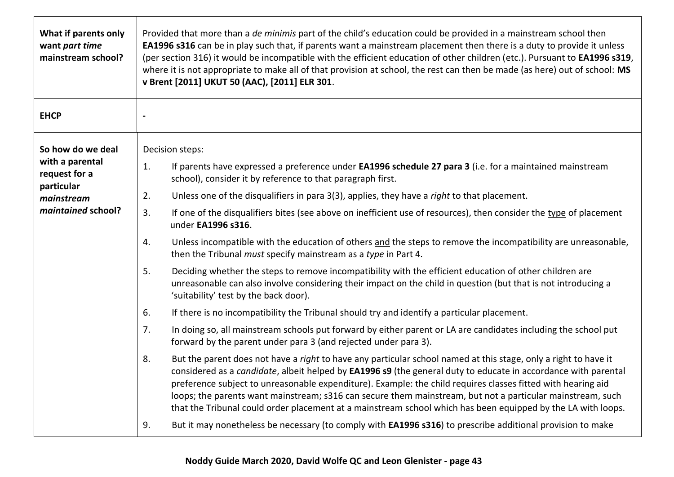| What if parents only<br>want part time<br>mainstream school?                                            | Provided that more than a de minimis part of the child's education could be provided in a mainstream school then<br><b>EA1996 s316</b> can be in play such that, if parents want a mainstream placement then there is a duty to provide it unless<br>(per section 316) it would be incompatible with the efficient education of other children (etc.). Pursuant to EA1996 s319,<br>where it is not appropriate to make all of that provision at school, the rest can then be made (as here) out of school: MS<br>v Brent [2011] UKUT 50 (AAC), [2011] ELR 301.                                                                                                                                                                                                                                                                                                                                                                                                                                                                                                                                                                                                                                                                                                                                                                                                                                                                                                                                                                                                                                                                                                                                                                                                                                                                                                                                                                                    |
|---------------------------------------------------------------------------------------------------------|---------------------------------------------------------------------------------------------------------------------------------------------------------------------------------------------------------------------------------------------------------------------------------------------------------------------------------------------------------------------------------------------------------------------------------------------------------------------------------------------------------------------------------------------------------------------------------------------------------------------------------------------------------------------------------------------------------------------------------------------------------------------------------------------------------------------------------------------------------------------------------------------------------------------------------------------------------------------------------------------------------------------------------------------------------------------------------------------------------------------------------------------------------------------------------------------------------------------------------------------------------------------------------------------------------------------------------------------------------------------------------------------------------------------------------------------------------------------------------------------------------------------------------------------------------------------------------------------------------------------------------------------------------------------------------------------------------------------------------------------------------------------------------------------------------------------------------------------------------------------------------------------------------------------------------------------------|
| <b>EHCP</b>                                                                                             | $\qquad \qquad \blacksquare$                                                                                                                                                                                                                                                                                                                                                                                                                                                                                                                                                                                                                                                                                                                                                                                                                                                                                                                                                                                                                                                                                                                                                                                                                                                                                                                                                                                                                                                                                                                                                                                                                                                                                                                                                                                                                                                                                                                      |
| So how do we deal<br>with a parental<br>request for a<br>particular<br>mainstream<br>maintained school? | Decision steps:<br>If parents have expressed a preference under EA1996 schedule 27 para 3 (i.e. for a maintained mainstream<br>1.<br>school), consider it by reference to that paragraph first.<br>Unless one of the disqualifiers in para 3(3), applies, they have a right to that placement.<br>2.<br>3.<br>If one of the disqualifiers bites (see above on inefficient use of resources), then consider the type of placement<br>under EA1996 s316.<br>Unless incompatible with the education of others and the steps to remove the incompatibility are unreasonable,<br>4.<br>then the Tribunal must specify mainstream as a type in Part 4.<br>5.<br>Deciding whether the steps to remove incompatibility with the efficient education of other children are<br>unreasonable can also involve considering their impact on the child in question (but that is not introducing a<br>'suitability' test by the back door).<br>6.<br>If there is no incompatibility the Tribunal should try and identify a particular placement.<br>7.<br>In doing so, all mainstream schools put forward by either parent or LA are candidates including the school put<br>forward by the parent under para 3 (and rejected under para 3).<br>8.<br>But the parent does not have a right to have any particular school named at this stage, only a right to have it<br>considered as a candidate, albeit helped by EA1996 s9 (the general duty to educate in accordance with parental<br>preference subject to unreasonable expenditure). Example: the child requires classes fitted with hearing aid<br>loops; the parents want mainstream; s316 can secure them mainstream, but not a particular mainstream, such<br>that the Tribunal could order placement at a mainstream school which has been equipped by the LA with loops.<br>But it may nonetheless be necessary (to comply with <b>EA1996 s316</b> ) to prescribe additional provision to make<br>9. |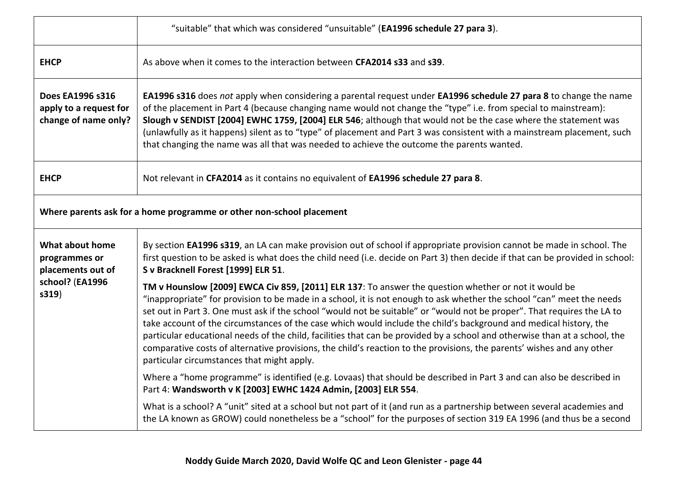|                                                                                   | "suitable" that which was considered "unsuitable" (EA1996 schedule 27 para 3).                                                                                                                                                                                                                                                                                                                                                                                                                                                                                                                                                                                                                                                                                                      |
|-----------------------------------------------------------------------------------|-------------------------------------------------------------------------------------------------------------------------------------------------------------------------------------------------------------------------------------------------------------------------------------------------------------------------------------------------------------------------------------------------------------------------------------------------------------------------------------------------------------------------------------------------------------------------------------------------------------------------------------------------------------------------------------------------------------------------------------------------------------------------------------|
| <b>EHCP</b>                                                                       | As above when it comes to the interaction between CFA2014 s33 and s39.                                                                                                                                                                                                                                                                                                                                                                                                                                                                                                                                                                                                                                                                                                              |
| Does EA1996 s316<br>apply to a request for<br>change of name only?                | EA1996 s316 does not apply when considering a parental request under EA1996 schedule 27 para 8 to change the name<br>of the placement in Part 4 (because changing name would not change the "type" i.e. from special to mainstream):<br>Slough v SENDIST [2004] EWHC 1759, [2004] ELR 546; although that would not be the case where the statement was<br>(unlawfully as it happens) silent as to "type" of placement and Part 3 was consistent with a mainstream placement, such<br>that changing the name was all that was needed to achieve the outcome the parents wanted.                                                                                                                                                                                                      |
| <b>EHCP</b>                                                                       | Not relevant in CFA2014 as it contains no equivalent of EA1996 schedule 27 para 8.                                                                                                                                                                                                                                                                                                                                                                                                                                                                                                                                                                                                                                                                                                  |
|                                                                                   | Where parents ask for a home programme or other non-school placement                                                                                                                                                                                                                                                                                                                                                                                                                                                                                                                                                                                                                                                                                                                |
| What about home<br>programmes or<br>placements out of<br>school? (EA1996<br>s319) | By section EA1996 s319, an LA can make provision out of school if appropriate provision cannot be made in school. The<br>first question to be asked is what does the child need (i.e. decide on Part 3) then decide if that can be provided in school:<br>S v Bracknell Forest [1999] ELR 51.                                                                                                                                                                                                                                                                                                                                                                                                                                                                                       |
|                                                                                   | TM v Hounslow [2009] EWCA Civ 859, [2011] ELR 137: To answer the question whether or not it would be<br>"inappropriate" for provision to be made in a school, it is not enough to ask whether the school "can" meet the needs<br>set out in Part 3. One must ask if the school "would not be suitable" or "would not be proper". That requires the LA to<br>take account of the circumstances of the case which would include the child's background and medical history, the<br>particular educational needs of the child, facilities that can be provided by a school and otherwise than at a school, the<br>comparative costs of alternative provisions, the child's reaction to the provisions, the parents' wishes and any other<br>particular circumstances that might apply. |
|                                                                                   | Where a "home programme" is identified (e.g. Lovaas) that should be described in Part 3 and can also be described in<br>Part 4: Wandsworth v K [2003] EWHC 1424 Admin, [2003] ELR 554.                                                                                                                                                                                                                                                                                                                                                                                                                                                                                                                                                                                              |
|                                                                                   | What is a school? A "unit" sited at a school but not part of it (and run as a partnership between several academies and<br>the LA known as GROW) could nonetheless be a "school" for the purposes of section 319 EA 1996 (and thus be a second                                                                                                                                                                                                                                                                                                                                                                                                                                                                                                                                      |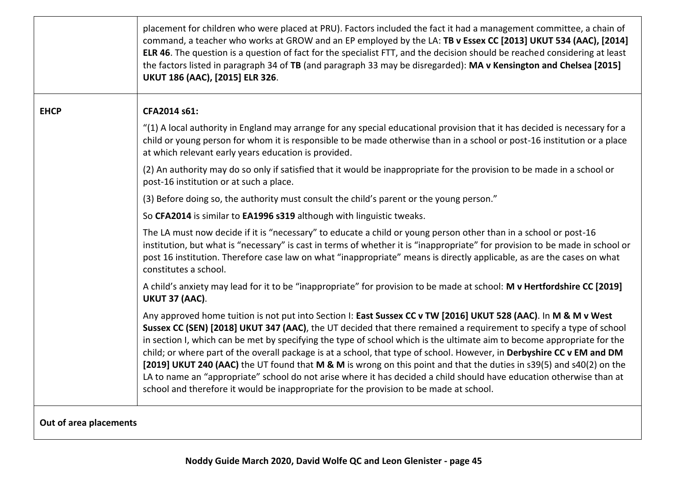|             | placement for children who were placed at PRU). Factors included the fact it had a management committee, a chain of<br>command, a teacher who works at GROW and an EP employed by the LA: TB v Essex CC [2013] UKUT 534 (AAC), [2014]<br>ELR 46. The question is a question of fact for the specialist FTT, and the decision should be reached considering at least<br>the factors listed in paragraph 34 of TB (and paragraph 33 may be disregarded): MA v Kensington and Chelsea [2015]<br>UKUT 186 (AAC), [2015] ELR 326.                                                                                                                                                                                                                                                                                                          |
|-------------|---------------------------------------------------------------------------------------------------------------------------------------------------------------------------------------------------------------------------------------------------------------------------------------------------------------------------------------------------------------------------------------------------------------------------------------------------------------------------------------------------------------------------------------------------------------------------------------------------------------------------------------------------------------------------------------------------------------------------------------------------------------------------------------------------------------------------------------|
| <b>EHCP</b> | CFA2014 s61:                                                                                                                                                                                                                                                                                                                                                                                                                                                                                                                                                                                                                                                                                                                                                                                                                          |
|             | "(1) A local authority in England may arrange for any special educational provision that it has decided is necessary for a<br>child or young person for whom it is responsible to be made otherwise than in a school or post-16 institution or a place<br>at which relevant early years education is provided.                                                                                                                                                                                                                                                                                                                                                                                                                                                                                                                        |
|             | (2) An authority may do so only if satisfied that it would be inappropriate for the provision to be made in a school or<br>post-16 institution or at such a place.                                                                                                                                                                                                                                                                                                                                                                                                                                                                                                                                                                                                                                                                    |
|             | (3) Before doing so, the authority must consult the child's parent or the young person."                                                                                                                                                                                                                                                                                                                                                                                                                                                                                                                                                                                                                                                                                                                                              |
|             | So CFA2014 is similar to EA1996 s319 although with linguistic tweaks.                                                                                                                                                                                                                                                                                                                                                                                                                                                                                                                                                                                                                                                                                                                                                                 |
|             | The LA must now decide if it is "necessary" to educate a child or young person other than in a school or post-16<br>institution, but what is "necessary" is cast in terms of whether it is "inappropriate" for provision to be made in school or<br>post 16 institution. Therefore case law on what "inappropriate" means is directly applicable, as are the cases on what<br>constitutes a school.                                                                                                                                                                                                                                                                                                                                                                                                                                   |
|             | A child's anxiety may lead for it to be "inappropriate" for provision to be made at school: M v Hertfordshire CC [2019]<br>UKUT 37 (AAC).                                                                                                                                                                                                                                                                                                                                                                                                                                                                                                                                                                                                                                                                                             |
|             | Any approved home tuition is not put into Section I: East Sussex CC v TW [2016] UKUT 528 (AAC). In M & M v West<br>Sussex CC (SEN) [2018] UKUT 347 (AAC), the UT decided that there remained a requirement to specify a type of school<br>in section I, which can be met by specifying the type of school which is the ultimate aim to become appropriate for the<br>child; or where part of the overall package is at a school, that type of school. However, in Derbyshire CC v EM and DM<br>[2019] UKUT 240 (AAC) the UT found that M & M is wrong on this point and that the duties in s39(5) and s40(2) on the<br>LA to name an "appropriate" school do not arise where it has decided a child should have education otherwise than at<br>school and therefore it would be inappropriate for the provision to be made at school. |
|             |                                                                                                                                                                                                                                                                                                                                                                                                                                                                                                                                                                                                                                                                                                                                                                                                                                       |

**Out of area placements**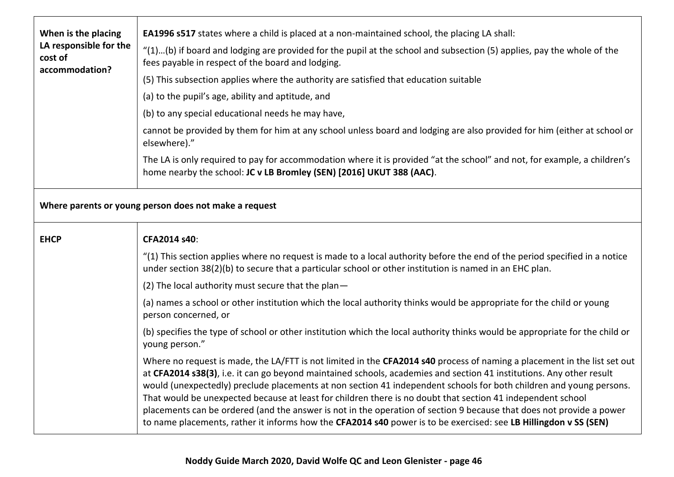| When is the placing<br>LA responsible for the<br>cost of<br>accommodation? | <b>EA1996 s517</b> states where a child is placed at a non-maintained school, the placing LA shall:                                                                                                                                   |
|----------------------------------------------------------------------------|---------------------------------------------------------------------------------------------------------------------------------------------------------------------------------------------------------------------------------------|
|                                                                            | "(1)(b) if board and lodging are provided for the pupil at the school and subsection (5) applies, pay the whole of the<br>fees payable in respect of the board and lodging.                                                           |
|                                                                            | (5) This subsection applies where the authority are satisfied that education suitable                                                                                                                                                 |
|                                                                            | (a) to the pupil's age, ability and aptitude, and                                                                                                                                                                                     |
|                                                                            | (b) to any special educational needs he may have,                                                                                                                                                                                     |
|                                                                            | cannot be provided by them for him at any school unless board and lodging are also provided for him (either at school or<br>elsewhere)."                                                                                              |
|                                                                            | The LA is only required to pay for accommodation where it is provided "at the school" and not, for example, a children's<br>home nearby the school: JC v LB Bromley (SEN) [2016] UKUT 388 (AAC).                                      |
| Where parents or young person does not make a request                      |                                                                                                                                                                                                                                       |
| <b>EHCP</b>                                                                | CFA2014 s40:                                                                                                                                                                                                                          |
|                                                                            |                                                                                                                                                                                                                                       |
|                                                                            | "(1) This section applies where no request is made to a local authority before the end of the period specified in a notice<br>under section 38(2)(b) to secure that a particular school or other institution is named in an EHC plan. |
|                                                                            | (2) The local authority must secure that the plan-                                                                                                                                                                                    |
|                                                                            | (a) names a school or other institution which the local authority thinks would be appropriate for the child or young<br>person concerned, or                                                                                          |
|                                                                            | (b) specifies the type of school or other institution which the local authority thinks would be appropriate for the child or<br>young person."                                                                                        |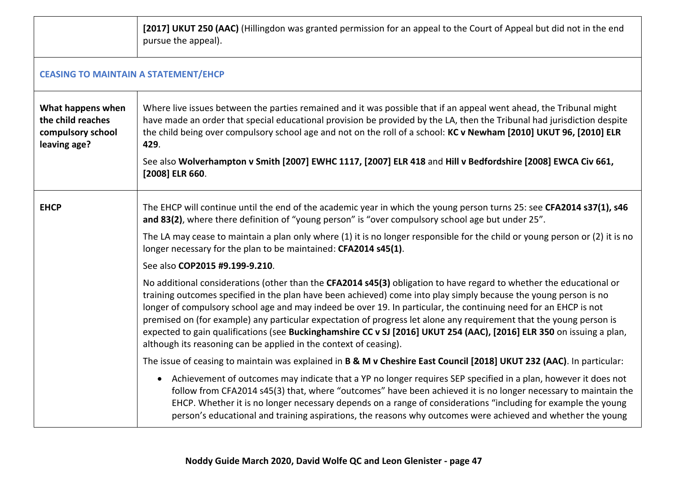|                                                                             | [2017] UKUT 250 (AAC) (Hillingdon was granted permission for an appeal to the Court of Appeal but did not in the end<br>pursue the appeal).                                                                                                                                                                                                                                                                                                                                                                                                                                                                                                                                      |  |
|-----------------------------------------------------------------------------|----------------------------------------------------------------------------------------------------------------------------------------------------------------------------------------------------------------------------------------------------------------------------------------------------------------------------------------------------------------------------------------------------------------------------------------------------------------------------------------------------------------------------------------------------------------------------------------------------------------------------------------------------------------------------------|--|
|                                                                             | <b>CEASING TO MAINTAIN A STATEMENT/EHCP</b>                                                                                                                                                                                                                                                                                                                                                                                                                                                                                                                                                                                                                                      |  |
| What happens when<br>the child reaches<br>compulsory school<br>leaving age? | Where live issues between the parties remained and it was possible that if an appeal went ahead, the Tribunal might<br>have made an order that special educational provision be provided by the LA, then the Tribunal had jurisdiction despite<br>the child being over compulsory school age and not on the roll of a school: KC v Newham [2010] UKUT 96, [2010] ELR<br>429.<br>See also Wolverhampton v Smith [2007] EWHC 1117, [2007] ELR 418 and Hill v Bedfordshire [2008] EWCA Civ 661,<br>[2008] ELR 660.                                                                                                                                                                  |  |
| <b>EHCP</b>                                                                 | The EHCP will continue until the end of the academic year in which the young person turns 25: see CFA2014 s37(1), s46<br>and 83(2), where there definition of "young person" is "over compulsory school age but under 25".                                                                                                                                                                                                                                                                                                                                                                                                                                                       |  |
|                                                                             | The LA may cease to maintain a plan only where (1) it is no longer responsible for the child or young person or (2) it is no<br>longer necessary for the plan to be maintained: CFA2014 s45(1).                                                                                                                                                                                                                                                                                                                                                                                                                                                                                  |  |
|                                                                             | See also COP2015 #9.199-9.210.                                                                                                                                                                                                                                                                                                                                                                                                                                                                                                                                                                                                                                                   |  |
|                                                                             | No additional considerations (other than the CFA2014 s45(3) obligation to have regard to whether the educational or<br>training outcomes specified in the plan have been achieved) come into play simply because the young person is no<br>longer of compulsory school age and may indeed be over 19. In particular, the continuing need for an EHCP is not<br>premised on (for example) any particular expectation of progress let alone any requirement that the young person is<br>expected to gain qualifications (see Buckinghamshire CC v SJ [2016] UKUT 254 (AAC), [2016] ELR 350 on issuing a plan,<br>although its reasoning can be applied in the context of ceasing). |  |
|                                                                             | The issue of ceasing to maintain was explained in B & M v Cheshire East Council [2018] UKUT 232 (AAC). In particular:                                                                                                                                                                                                                                                                                                                                                                                                                                                                                                                                                            |  |
|                                                                             | Achievement of outcomes may indicate that a YP no longer requires SEP specified in a plan, however it does not<br>$\bullet$<br>follow from CFA2014 s45(3) that, where "outcomes" have been achieved it is no longer necessary to maintain the<br>EHCP. Whether it is no longer necessary depends on a range of considerations "including for example the young<br>person's educational and training aspirations, the reasons why outcomes were achieved and whether the young                                                                                                                                                                                                    |  |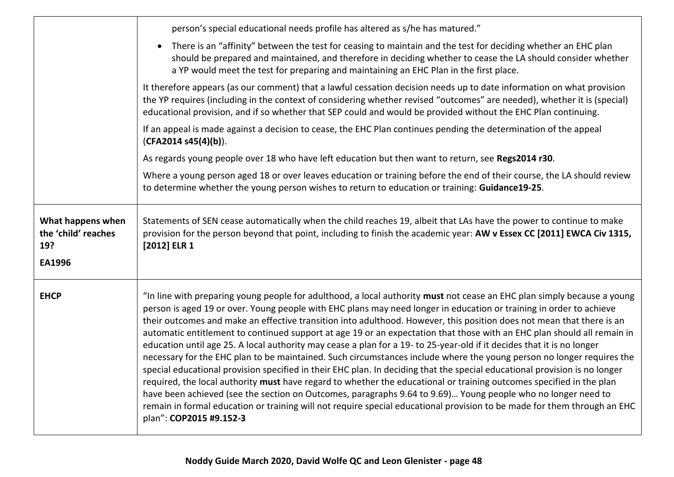|                                                           | person's special educational needs profile has altered as s/he has matured."                                                                                                                                                                                                                                                                                                                                                                                                                                                                                                                                                                                                                                                                                                                                                                                                                                                                                                                                                                                                                                                                                                                                                                                                       |
|-----------------------------------------------------------|------------------------------------------------------------------------------------------------------------------------------------------------------------------------------------------------------------------------------------------------------------------------------------------------------------------------------------------------------------------------------------------------------------------------------------------------------------------------------------------------------------------------------------------------------------------------------------------------------------------------------------------------------------------------------------------------------------------------------------------------------------------------------------------------------------------------------------------------------------------------------------------------------------------------------------------------------------------------------------------------------------------------------------------------------------------------------------------------------------------------------------------------------------------------------------------------------------------------------------------------------------------------------------|
|                                                           | There is an "affinity" between the test for ceasing to maintain and the test for deciding whether an EHC plan<br>should be prepared and maintained, and therefore in deciding whether to cease the LA should consider whether<br>a YP would meet the test for preparing and maintaining an EHC Plan in the first place.                                                                                                                                                                                                                                                                                                                                                                                                                                                                                                                                                                                                                                                                                                                                                                                                                                                                                                                                                            |
|                                                           | It therefore appears (as our comment) that a lawful cessation decision needs up to date information on what provision<br>the YP requires (including in the context of considering whether revised "outcomes" are needed), whether it is (special)<br>educational provision, and if so whether that SEP could and would be provided without the EHC Plan continuing.                                                                                                                                                                                                                                                                                                                                                                                                                                                                                                                                                                                                                                                                                                                                                                                                                                                                                                                |
|                                                           | If an appeal is made against a decision to cease, the EHC Plan continues pending the determination of the appeal<br>(CFA2014 s45(4)(b)).                                                                                                                                                                                                                                                                                                                                                                                                                                                                                                                                                                                                                                                                                                                                                                                                                                                                                                                                                                                                                                                                                                                                           |
|                                                           | As regards young people over 18 who have left education but then want to return, see Regs2014 r30.                                                                                                                                                                                                                                                                                                                                                                                                                                                                                                                                                                                                                                                                                                                                                                                                                                                                                                                                                                                                                                                                                                                                                                                 |
|                                                           | Where a young person aged 18 or over leaves education or training before the end of their course, the LA should review<br>to determine whether the young person wishes to return to education or training: Guidance19-25.                                                                                                                                                                                                                                                                                                                                                                                                                                                                                                                                                                                                                                                                                                                                                                                                                                                                                                                                                                                                                                                          |
| What happens when<br>the 'child' reaches<br>19?<br>EA1996 | Statements of SEN cease automatically when the child reaches 19, albeit that LAs have the power to continue to make<br>provision for the person beyond that point, including to finish the academic year: AW v Essex CC [2011] EWCA Civ 1315,<br>$[2012]$ ELR 1                                                                                                                                                                                                                                                                                                                                                                                                                                                                                                                                                                                                                                                                                                                                                                                                                                                                                                                                                                                                                    |
|                                                           |                                                                                                                                                                                                                                                                                                                                                                                                                                                                                                                                                                                                                                                                                                                                                                                                                                                                                                                                                                                                                                                                                                                                                                                                                                                                                    |
| <b>EHCP</b>                                               | "In line with preparing young people for adulthood, a local authority must not cease an EHC plan simply because a young<br>person is aged 19 or over. Young people with EHC plans may need longer in education or training in order to achieve<br>their outcomes and make an effective transition into adulthood. However, this position does not mean that there is an<br>automatic entitlement to continued support at age 19 or an expectation that those with an EHC plan should all remain in<br>education until age 25. A local authority may cease a plan for a 19- to 25-year-old if it decides that it is no longer<br>necessary for the EHC plan to be maintained. Such circumstances include where the young person no longer requires the<br>special educational provision specified in their EHC plan. In deciding that the special educational provision is no longer<br>required, the local authority must have regard to whether the educational or training outcomes specified in the plan<br>have been achieved (see the section on Outcomes, paragraphs 9.64 to 9.69) Young people who no longer need to<br>remain in formal education or training will not require special educational provision to be made for them through an EHC<br>plan": COP2015 #9.152-3 |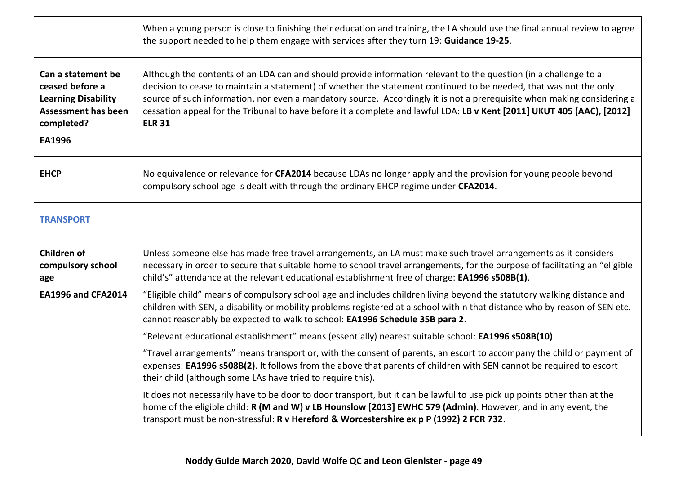|                                                                                                                           | When a young person is close to finishing their education and training, the LA should use the final annual review to agree<br>the support needed to help them engage with services after they turn 19: Guidance 19-25.                                                                                                                                                                                                                                                                                      |
|---------------------------------------------------------------------------------------------------------------------------|-------------------------------------------------------------------------------------------------------------------------------------------------------------------------------------------------------------------------------------------------------------------------------------------------------------------------------------------------------------------------------------------------------------------------------------------------------------------------------------------------------------|
| Can a statement be<br>ceased before a<br><b>Learning Disability</b><br><b>Assessment has been</b><br>completed?<br>EA1996 | Although the contents of an LDA can and should provide information relevant to the question (in a challenge to a<br>decision to cease to maintain a statement) of whether the statement continued to be needed, that was not the only<br>source of such information, nor even a mandatory source. Accordingly it is not a prerequisite when making considering a<br>cessation appeal for the Tribunal to have before it a complete and lawful LDA: LB v Kent [2011] UKUT 405 (AAC), [2012]<br><b>ELR 31</b> |
| <b>EHCP</b>                                                                                                               | No equivalence or relevance for CFA2014 because LDAs no longer apply and the provision for young people beyond<br>compulsory school age is dealt with through the ordinary EHCP regime under CFA2014.                                                                                                                                                                                                                                                                                                       |
| <b>TRANSPORT</b>                                                                                                          |                                                                                                                                                                                                                                                                                                                                                                                                                                                                                                             |
| Children of<br>compulsory school<br>age                                                                                   | Unless someone else has made free travel arrangements, an LA must make such travel arrangements as it considers<br>necessary in order to secure that suitable home to school travel arrangements, for the purpose of facilitating an "eligible<br>child's" attendance at the relevant educational establishment free of charge: EA1996 s508B(1).                                                                                                                                                            |
| <b>EA1996 and CFA2014</b>                                                                                                 | "Eligible child" means of compulsory school age and includes children living beyond the statutory walking distance and<br>children with SEN, a disability or mobility problems registered at a school within that distance who by reason of SEN etc.<br>cannot reasonably be expected to walk to school: EA1996 Schedule 35B para 2.                                                                                                                                                                        |
|                                                                                                                           | "Relevant educational establishment" means (essentially) nearest suitable school: EA1996 s508B(10).                                                                                                                                                                                                                                                                                                                                                                                                         |
|                                                                                                                           | "Travel arrangements" means transport or, with the consent of parents, an escort to accompany the child or payment of<br>expenses: EA1996 s508B(2). It follows from the above that parents of children with SEN cannot be required to escort<br>their child (although some LAs have tried to require this).                                                                                                                                                                                                 |
|                                                                                                                           | It does not necessarily have to be door to door transport, but it can be lawful to use pick up points other than at the<br>home of the eligible child: R (M and W) v LB Hounslow [2013] EWHC 579 (Admin). However, and in any event, the<br>transport must be non-stressful: R v Hereford & Worcestershire ex p P (1992) 2 FCR 732.                                                                                                                                                                         |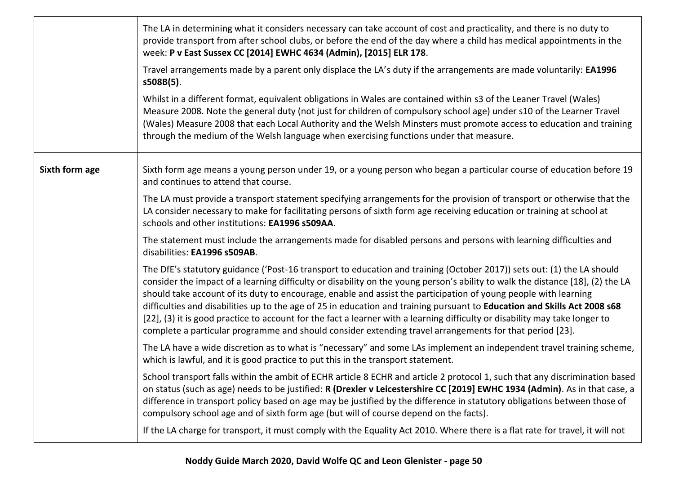|                | The LA in determining what it considers necessary can take account of cost and practicality, and there is no duty to<br>provide transport from after school clubs, or before the end of the day where a child has medical appointments in the<br>week: P v East Sussex CC [2014] EWHC 4634 (Admin), [2015] ELR 178.                                                                                                                                                                                                                                                                                                                                                                                                                                |
|----------------|----------------------------------------------------------------------------------------------------------------------------------------------------------------------------------------------------------------------------------------------------------------------------------------------------------------------------------------------------------------------------------------------------------------------------------------------------------------------------------------------------------------------------------------------------------------------------------------------------------------------------------------------------------------------------------------------------------------------------------------------------|
|                | Travel arrangements made by a parent only displace the LA's duty if the arrangements are made voluntarily: EA1996<br>s508B(5).                                                                                                                                                                                                                                                                                                                                                                                                                                                                                                                                                                                                                     |
|                | Whilst in a different format, equivalent obligations in Wales are contained within s3 of the Leaner Travel (Wales)<br>Measure 2008. Note the general duty (not just for children of compulsory school age) under s10 of the Learner Travel<br>(Wales) Measure 2008 that each Local Authority and the Welsh Minsters must promote access to education and training<br>through the medium of the Welsh language when exercising functions under that measure.                                                                                                                                                                                                                                                                                        |
| Sixth form age | Sixth form age means a young person under 19, or a young person who began a particular course of education before 19<br>and continues to attend that course.                                                                                                                                                                                                                                                                                                                                                                                                                                                                                                                                                                                       |
|                | The LA must provide a transport statement specifying arrangements for the provision of transport or otherwise that the<br>LA consider necessary to make for facilitating persons of sixth form age receiving education or training at school at<br>schools and other institutions: EA1996 s509AA.                                                                                                                                                                                                                                                                                                                                                                                                                                                  |
|                | The statement must include the arrangements made for disabled persons and persons with learning difficulties and<br>disabilities: EA1996 s509AB.                                                                                                                                                                                                                                                                                                                                                                                                                                                                                                                                                                                                   |
|                | The DfE's statutory guidance ('Post-16 transport to education and training (October 2017)) sets out: (1) the LA should<br>consider the impact of a learning difficulty or disability on the young person's ability to walk the distance [18], (2) the LA<br>should take account of its duty to encourage, enable and assist the participation of young people with learning<br>difficulties and disabilities up to the age of 25 in education and training pursuant to Education and Skills Act 2008 s68<br>[22], (3) it is good practice to account for the fact a learner with a learning difficulty or disability may take longer to<br>complete a particular programme and should consider extending travel arrangements for that period [23]. |
|                | The LA have a wide discretion as to what is "necessary" and some LAs implement an independent travel training scheme,<br>which is lawful, and it is good practice to put this in the transport statement.                                                                                                                                                                                                                                                                                                                                                                                                                                                                                                                                          |
|                | School transport falls within the ambit of ECHR article 8 ECHR and article 2 protocol 1, such that any discrimination based<br>on status (such as age) needs to be justified: R (Drexler v Leicestershire CC [2019] EWHC 1934 (Admin). As in that case, a<br>difference in transport policy based on age may be justified by the difference in statutory obligations between those of<br>compulsory school age and of sixth form age (but will of course depend on the facts).                                                                                                                                                                                                                                                                     |
|                | If the LA charge for transport, it must comply with the Equality Act 2010. Where there is a flat rate for travel, it will not                                                                                                                                                                                                                                                                                                                                                                                                                                                                                                                                                                                                                      |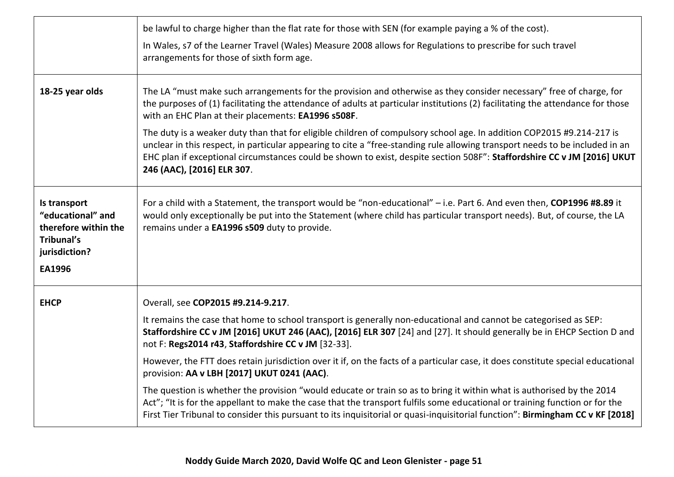|                                                                                                           | be lawful to charge higher than the flat rate for those with SEN (for example paying a % of the cost).<br>In Wales, s7 of the Learner Travel (Wales) Measure 2008 allows for Regulations to prescribe for such travel<br>arrangements for those of sixth form age.                                                                                                                                                                                                                                                                                                                                                                                                                                                                                                                                                                                                                                                   |
|-----------------------------------------------------------------------------------------------------------|----------------------------------------------------------------------------------------------------------------------------------------------------------------------------------------------------------------------------------------------------------------------------------------------------------------------------------------------------------------------------------------------------------------------------------------------------------------------------------------------------------------------------------------------------------------------------------------------------------------------------------------------------------------------------------------------------------------------------------------------------------------------------------------------------------------------------------------------------------------------------------------------------------------------|
| 18-25 year olds                                                                                           | The LA "must make such arrangements for the provision and otherwise as they consider necessary" free of charge, for<br>the purposes of (1) facilitating the attendance of adults at particular institutions (2) facilitating the attendance for those<br>with an EHC Plan at their placements: EA1996 s508F.<br>The duty is a weaker duty than that for eligible children of compulsory school age. In addition COP2015 #9.214-217 is<br>unclear in this respect, in particular appearing to cite a "free-standing rule allowing transport needs to be included in an<br>EHC plan if exceptional circumstances could be shown to exist, despite section 508F": Staffordshire CC v JM [2016] UKUT<br>246 (AAC), [2016] ELR 307.                                                                                                                                                                                       |
| Is transport<br>"educational" and<br>therefore within the<br><b>Tribunal's</b><br>jurisdiction?<br>EA1996 | For a child with a Statement, the transport would be "non-educational" - i.e. Part 6. And even then, COP1996 #8.89 it<br>would only exceptionally be put into the Statement (where child has particular transport needs). But, of course, the LA<br>remains under a EA1996 s509 duty to provide.                                                                                                                                                                                                                                                                                                                                                                                                                                                                                                                                                                                                                     |
| <b>EHCP</b>                                                                                               | Overall, see COP2015 #9.214-9.217.<br>It remains the case that home to school transport is generally non-educational and cannot be categorised as SEP:<br>Staffordshire CC v JM [2016] UKUT 246 (AAC), [2016] ELR 307 [24] and [27]. It should generally be in EHCP Section D and<br>not F: Regs2014 r43, Staffordshire CC v JM [32-33].<br>However, the FTT does retain jurisdiction over it if, on the facts of a particular case, it does constitute special educational<br>provision: AA v LBH [2017] UKUT 0241 (AAC).<br>The question is whether the provision "would educate or train so as to bring it within what is authorised by the 2014<br>Act"; "It is for the appellant to make the case that the transport fulfils some educational or training function or for the<br>First Tier Tribunal to consider this pursuant to its inquisitorial or quasi-inquisitorial function": Birmingham CC v KF [2018] |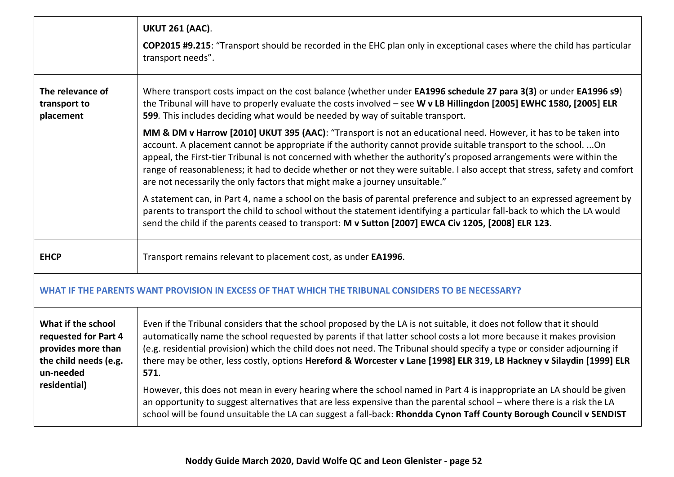| <b>UKUT 261 (AAC).</b><br><b>COP2015 #9.215:</b> "Transport should be recorded in the EHC plan only in exceptional cases where the child has particular<br>transport needs".                                                                                                                                                                                                                                                                                                                                                                                                                                                                                                                                                                                                                                                                                                       |  |
|------------------------------------------------------------------------------------------------------------------------------------------------------------------------------------------------------------------------------------------------------------------------------------------------------------------------------------------------------------------------------------------------------------------------------------------------------------------------------------------------------------------------------------------------------------------------------------------------------------------------------------------------------------------------------------------------------------------------------------------------------------------------------------------------------------------------------------------------------------------------------------|--|
| Where transport costs impact on the cost balance (whether under EA1996 schedule 27 para 3(3) or under EA1996 s9)<br>the Tribunal will have to properly evaluate the costs involved - see W v LB Hillingdon [2005] EWHC 1580, [2005] ELR<br>599. This includes deciding what would be needed by way of suitable transport.                                                                                                                                                                                                                                                                                                                                                                                                                                                                                                                                                          |  |
| MM & DM v Harrow [2010] UKUT 395 (AAC): "Transport is not an educational need. However, it has to be taken into<br>account. A placement cannot be appropriate if the authority cannot provide suitable transport to the school. On<br>appeal, the First-tier Tribunal is not concerned with whether the authority's proposed arrangements were within the<br>range of reasonableness; it had to decide whether or not they were suitable. I also accept that stress, safety and comfort<br>are not necessarily the only factors that might make a journey unsuitable."                                                                                                                                                                                                                                                                                                             |  |
| A statement can, in Part 4, name a school on the basis of parental preference and subject to an expressed agreement by<br>parents to transport the child to school without the statement identifying a particular fall-back to which the LA would<br>send the child if the parents ceased to transport: M v Sutton [2007] EWCA Civ 1205, [2008] ELR 123.                                                                                                                                                                                                                                                                                                                                                                                                                                                                                                                           |  |
| Transport remains relevant to placement cost, as under EA1996.                                                                                                                                                                                                                                                                                                                                                                                                                                                                                                                                                                                                                                                                                                                                                                                                                     |  |
| WHAT IF THE PARENTS WANT PROVISION IN EXCESS OF THAT WHICH THE TRIBUNAL CONSIDERS TO BE NECESSARY?                                                                                                                                                                                                                                                                                                                                                                                                                                                                                                                                                                                                                                                                                                                                                                                 |  |
| Even if the Tribunal considers that the school proposed by the LA is not suitable, it does not follow that it should<br>automatically name the school requested by parents if that latter school costs a lot more because it makes provision<br>(e.g. residential provision) which the child does not need. The Tribunal should specify a type or consider adjourning if<br>there may be other, less costly, options Hereford & Worcester v Lane [1998] ELR 319, LB Hackney v Silaydin [1999] ELR<br>571.<br>However, this does not mean in every hearing where the school named in Part 4 is inappropriate an LA should be given<br>an opportunity to suggest alternatives that are less expensive than the parental school - where there is a risk the LA<br>school will be found unsuitable the LA can suggest a fall-back: Rhondda Cynon Taff County Borough Council v SENDIST |  |
|                                                                                                                                                                                                                                                                                                                                                                                                                                                                                                                                                                                                                                                                                                                                                                                                                                                                                    |  |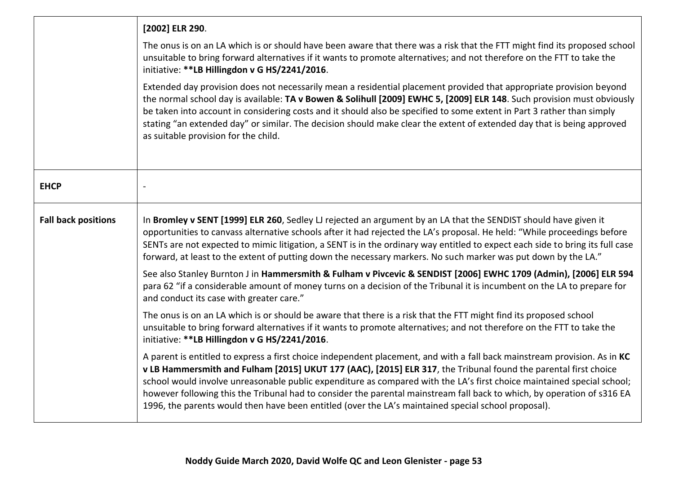|                            | [2002] ELR 290.                                                                                                                                                                                                                                                                                                                                                                                                                                                                                                                                                                                          |
|----------------------------|----------------------------------------------------------------------------------------------------------------------------------------------------------------------------------------------------------------------------------------------------------------------------------------------------------------------------------------------------------------------------------------------------------------------------------------------------------------------------------------------------------------------------------------------------------------------------------------------------------|
|                            | The onus is on an LA which is or should have been aware that there was a risk that the FTT might find its proposed school<br>unsuitable to bring forward alternatives if it wants to promote alternatives; and not therefore on the FTT to take the<br>initiative: **LB Hillingdon v G HS/2241/2016.                                                                                                                                                                                                                                                                                                     |
|                            | Extended day provision does not necessarily mean a residential placement provided that appropriate provision beyond<br>the normal school day is available: TA v Bowen & Solihull [2009] EWHC 5, [2009] ELR 148. Such provision must obviously<br>be taken into account in considering costs and it should also be specified to some extent in Part 3 rather than simply<br>stating "an extended day" or similar. The decision should make clear the extent of extended day that is being approved<br>as suitable provision for the child.                                                                |
| <b>EHCP</b>                |                                                                                                                                                                                                                                                                                                                                                                                                                                                                                                                                                                                                          |
| <b>Fall back positions</b> | In Bromley v SENT [1999] ELR 260, Sedley LJ rejected an argument by an LA that the SENDIST should have given it<br>opportunities to canvass alternative schools after it had rejected the LA's proposal. He held: "While proceedings before<br>SENTs are not expected to mimic litigation, a SENT is in the ordinary way entitled to expect each side to bring its full case<br>forward, at least to the extent of putting down the necessary markers. No such marker was put down by the LA."                                                                                                           |
|                            | See also Stanley Burnton J in Hammersmith & Fulham v Pivcevic & SENDIST [2006] EWHC 1709 (Admin), [2006] ELR 594<br>para 62 "if a considerable amount of money turns on a decision of the Tribunal it is incumbent on the LA to prepare for<br>and conduct its case with greater care."                                                                                                                                                                                                                                                                                                                  |
|                            | The onus is on an LA which is or should be aware that there is a risk that the FTT might find its proposed school<br>unsuitable to bring forward alternatives if it wants to promote alternatives; and not therefore on the FTT to take the<br>initiative: **LB Hillingdon v G HS/2241/2016.                                                                                                                                                                                                                                                                                                             |
|                            | A parent is entitled to express a first choice independent placement, and with a fall back mainstream provision. As in KC<br>v LB Hammersmith and Fulham [2015] UKUT 177 (AAC), [2015] ELR 317, the Tribunal found the parental first choice<br>school would involve unreasonable public expenditure as compared with the LA's first choice maintained special school;<br>however following this the Tribunal had to consider the parental mainstream fall back to which, by operation of s316 EA<br>1996, the parents would then have been entitled (over the LA's maintained special school proposal). |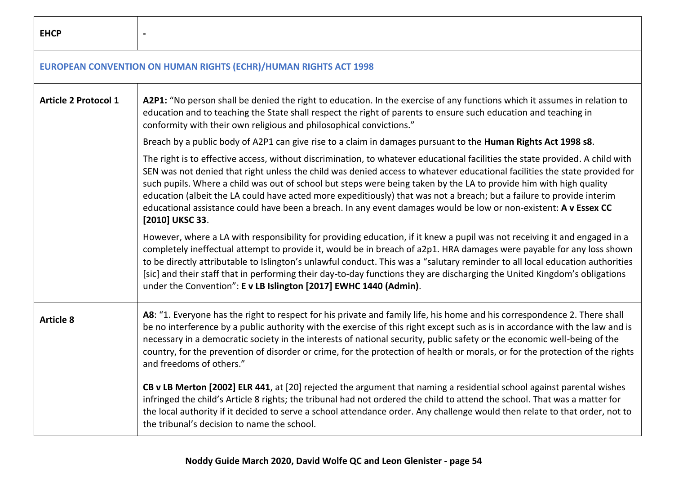| <b>EHCP</b>                 |                                                                                                                                                                                                                                                                                                                                                                                                                                                                                                                                                                                                                                                   |
|-----------------------------|---------------------------------------------------------------------------------------------------------------------------------------------------------------------------------------------------------------------------------------------------------------------------------------------------------------------------------------------------------------------------------------------------------------------------------------------------------------------------------------------------------------------------------------------------------------------------------------------------------------------------------------------------|
|                             | <b>EUROPEAN CONVENTION ON HUMAN RIGHTS (ECHR)/HUMAN RIGHTS ACT 1998</b>                                                                                                                                                                                                                                                                                                                                                                                                                                                                                                                                                                           |
| <b>Article 2 Protocol 1</b> | A2P1: "No person shall be denied the right to education. In the exercise of any functions which it assumes in relation to<br>education and to teaching the State shall respect the right of parents to ensure such education and teaching in<br>conformity with their own religious and philosophical convictions."                                                                                                                                                                                                                                                                                                                               |
|                             | Breach by a public body of A2P1 can give rise to a claim in damages pursuant to the Human Rights Act 1998 s8.                                                                                                                                                                                                                                                                                                                                                                                                                                                                                                                                     |
|                             | The right is to effective access, without discrimination, to whatever educational facilities the state provided. A child with<br>SEN was not denied that right unless the child was denied access to whatever educational facilities the state provided for<br>such pupils. Where a child was out of school but steps were being taken by the LA to provide him with high quality<br>education (albeit the LA could have acted more expeditiously) that was not a breach; but a failure to provide interim<br>educational assistance could have been a breach. In any event damages would be low or non-existent: A v Essex CC<br>[2010] UKSC 33. |
|                             | However, where a LA with responsibility for providing education, if it knew a pupil was not receiving it and engaged in a<br>completely ineffectual attempt to provide it, would be in breach of a2p1. HRA damages were payable for any loss shown<br>to be directly attributable to Islington's unlawful conduct. This was a "salutary reminder to all local education authorities<br>[sic] and their staff that in performing their day-to-day functions they are discharging the United Kingdom's obligations<br>under the Convention": E v LB Islington [2017] EWHC 1440 (Admin).                                                             |
| <b>Article 8</b>            | A8: "1. Everyone has the right to respect for his private and family life, his home and his correspondence 2. There shall<br>be no interference by a public authority with the exercise of this right except such as is in accordance with the law and is<br>necessary in a democratic society in the interests of national security, public safety or the economic well-being of the<br>country, for the prevention of disorder or crime, for the protection of health or morals, or for the protection of the rights<br>and freedoms of others."                                                                                                |
|                             | CB v LB Merton [2002] ELR 441, at [20] rejected the argument that naming a residential school against parental wishes<br>infringed the child's Article 8 rights; the tribunal had not ordered the child to attend the school. That was a matter for<br>the local authority if it decided to serve a school attendance order. Any challenge would then relate to that order, not to<br>the tribunal's decision to name the school.                                                                                                                                                                                                                 |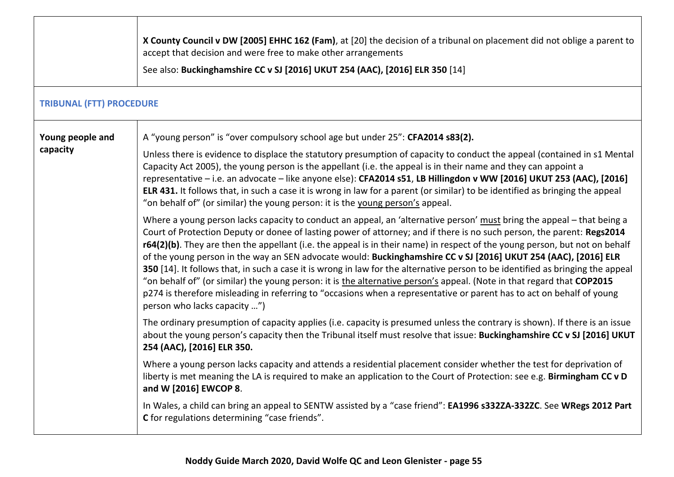|                                 | X County Council v DW [2005] EHHC 162 (Fam), at [20] the decision of a tribunal on placement did not oblige a parent to<br>accept that decision and were free to make other arrangements<br>See also: Buckinghamshire CC v SJ [2016] UKUT 254 (AAC), [2016] ELR 350 [14]                                                                                                                                                                                                                                                                                                                                                                                                                                                                                                                                                                                                                                                 |
|---------------------------------|--------------------------------------------------------------------------------------------------------------------------------------------------------------------------------------------------------------------------------------------------------------------------------------------------------------------------------------------------------------------------------------------------------------------------------------------------------------------------------------------------------------------------------------------------------------------------------------------------------------------------------------------------------------------------------------------------------------------------------------------------------------------------------------------------------------------------------------------------------------------------------------------------------------------------|
| <b>TRIBUNAL (FTT) PROCEDURE</b> |                                                                                                                                                                                                                                                                                                                                                                                                                                                                                                                                                                                                                                                                                                                                                                                                                                                                                                                          |
| Young people and<br>capacity    | A "young person" is "over compulsory school age but under 25": CFA2014 s83(2).<br>Unless there is evidence to displace the statutory presumption of capacity to conduct the appeal (contained in s1 Mental<br>Capacity Act 2005), the young person is the appellant (i.e. the appeal is in their name and they can appoint a<br>representative - i.e. an advocate - like anyone else): CFA2014 s51, LB Hillingdon v WW [2016] UKUT 253 (AAC), [2016]<br>ELR 431. It follows that, in such a case it is wrong in law for a parent (or similar) to be identified as bringing the appeal<br>"on behalf of" (or similar) the young person: it is the young person's appeal.                                                                                                                                                                                                                                                  |
|                                 | Where a young person lacks capacity to conduct an appeal, an 'alternative person' must bring the appeal - that being a<br>Court of Protection Deputy or donee of lasting power of attorney; and if there is no such person, the parent: Regs2014<br>r64(2)(b). They are then the appellant (i.e. the appeal is in their name) in respect of the young person, but not on behalf<br>of the young person in the way an SEN advocate would: Buckinghamshire CC v SJ [2016] UKUT 254 (AAC), [2016] ELR<br>350 [14]. It follows that, in such a case it is wrong in law for the alternative person to be identified as bringing the appeal<br>"on behalf of" (or similar) the young person: it is the alternative person's appeal. (Note in that regard that COP2015<br>p274 is therefore misleading in referring to "occasions when a representative or parent has to act on behalf of young<br>person who lacks capacity ") |
|                                 | The ordinary presumption of capacity applies (i.e. capacity is presumed unless the contrary is shown). If there is an issue<br>about the young person's capacity then the Tribunal itself must resolve that issue: Buckinghamshire CC v SJ [2016] UKUT<br>254 (AAC), [2016] ELR 350.                                                                                                                                                                                                                                                                                                                                                                                                                                                                                                                                                                                                                                     |
|                                 | Where a young person lacks capacity and attends a residential placement consider whether the test for deprivation of<br>liberty is met meaning the LA is required to make an application to the Court of Protection: see e.g. Birmingham CC v D<br>and W [2016] EWCOP 8.                                                                                                                                                                                                                                                                                                                                                                                                                                                                                                                                                                                                                                                 |
|                                 | In Wales, a child can bring an appeal to SENTW assisted by a "case friend": EA1996 s332ZA-332ZC. See WRegs 2012 Part<br>C for regulations determining "case friends".                                                                                                                                                                                                                                                                                                                                                                                                                                                                                                                                                                                                                                                                                                                                                    |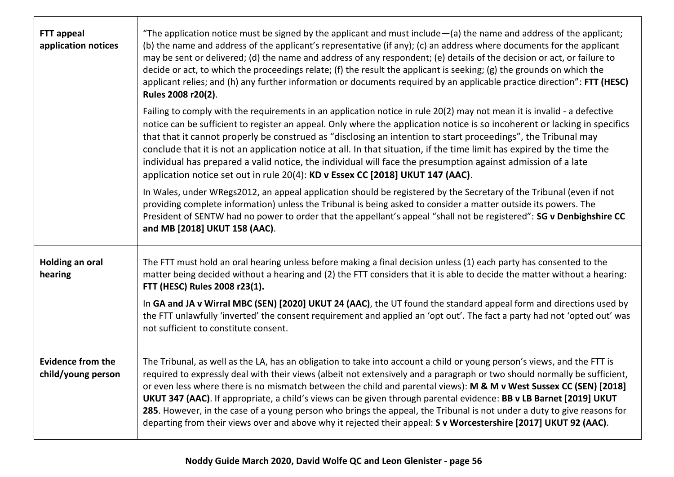| <b>FTT appeal</b><br>application notices       | "The application notice must be signed by the applicant and must include $-$ (a) the name and address of the applicant;<br>(b) the name and address of the applicant's representative (if any); (c) an address where documents for the applicant<br>may be sent or delivered; (d) the name and address of any respondent; (e) details of the decision or act, or failure to<br>decide or act, to which the proceedings relate; (f) the result the applicant is seeking; (g) the grounds on which the<br>applicant relies; and (h) any further information or documents required by an applicable practice direction": FTT (HESC)<br>Rules 2008 r20(2).<br>Failing to comply with the requirements in an application notice in rule 20(2) may not mean it is invalid - a defective |
|------------------------------------------------|-----------------------------------------------------------------------------------------------------------------------------------------------------------------------------------------------------------------------------------------------------------------------------------------------------------------------------------------------------------------------------------------------------------------------------------------------------------------------------------------------------------------------------------------------------------------------------------------------------------------------------------------------------------------------------------------------------------------------------------------------------------------------------------|
|                                                | notice can be sufficient to register an appeal. Only where the application notice is so incoherent or lacking in specifics<br>that that it cannot properly be construed as "disclosing an intention to start proceedings", the Tribunal may<br>conclude that it is not an application notice at all. In that situation, if the time limit has expired by the time the<br>individual has prepared a valid notice, the individual will face the presumption against admission of a late<br>application notice set out in rule 20(4): KD v Essex CC [2018] UKUT 147 (AAC).                                                                                                                                                                                                           |
|                                                | In Wales, under WRegs2012, an appeal application should be registered by the Secretary of the Tribunal (even if not<br>providing complete information) unless the Tribunal is being asked to consider a matter outside its powers. The<br>President of SENTW had no power to order that the appellant's appeal "shall not be registered": SG v Denbighshire CC<br>and MB [2018] UKUT 158 (AAC).                                                                                                                                                                                                                                                                                                                                                                                   |
| <b>Holding an oral</b><br>hearing              | The FTT must hold an oral hearing unless before making a final decision unless (1) each party has consented to the<br>matter being decided without a hearing and (2) the FTT considers that it is able to decide the matter without a hearing:<br>FTT (HESC) Rules 2008 r23(1).                                                                                                                                                                                                                                                                                                                                                                                                                                                                                                   |
|                                                | In GA and JA v Wirral MBC (SEN) [2020] UKUT 24 (AAC), the UT found the standard appeal form and directions used by<br>the FTT unlawfully 'inverted' the consent requirement and applied an 'opt out'. The fact a party had not 'opted out' was<br>not sufficient to constitute consent.                                                                                                                                                                                                                                                                                                                                                                                                                                                                                           |
| <b>Evidence from the</b><br>child/young person | The Tribunal, as well as the LA, has an obligation to take into account a child or young person's views, and the FTT is<br>required to expressly deal with their views (albeit not extensively and a paragraph or two should normally be sufficient,<br>or even less where there is no mismatch between the child and parental views): M & M v West Sussex CC (SEN) [2018]<br>UKUT 347 (AAC). If appropriate, a child's views can be given through parental evidence: BB v LB Barnet [2019] UKUT<br>285. However, in the case of a young person who brings the appeal, the Tribunal is not under a duty to give reasons for<br>departing from their views over and above why it rejected their appeal: S v Worcestershire [2017] UKUT 92 (AAC).                                   |

 $\mathsf{r}$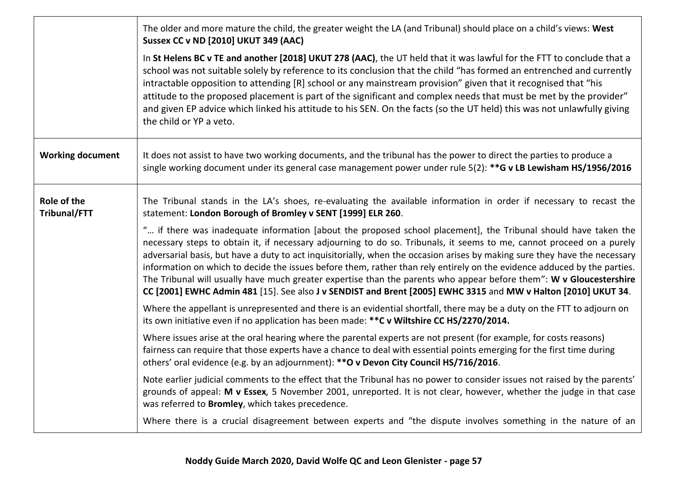|                             | The older and more mature the child, the greater weight the LA (and Tribunal) should place on a child's views: West<br><b>Sussex CC v ND [2010] UKUT 349 (AAC)</b>                                                                                                                                                                                                                                                                                                                                                                                                                                                                                                                                                                          |
|-----------------------------|---------------------------------------------------------------------------------------------------------------------------------------------------------------------------------------------------------------------------------------------------------------------------------------------------------------------------------------------------------------------------------------------------------------------------------------------------------------------------------------------------------------------------------------------------------------------------------------------------------------------------------------------------------------------------------------------------------------------------------------------|
|                             | In St Helens BC v TE and another [2018] UKUT 278 (AAC), the UT held that it was lawful for the FTT to conclude that a<br>school was not suitable solely by reference to its conclusion that the child "has formed an entrenched and currently<br>intractable opposition to attending [R] school or any mainstream provision" given that it recognised that "his<br>attitude to the proposed placement is part of the significant and complex needs that must be met by the provider"<br>and given EP advice which linked his attitude to his SEN. On the facts (so the UT held) this was not unlawfully giving<br>the child or YP a veto.                                                                                                   |
| <b>Working document</b>     | It does not assist to have two working documents, and the tribunal has the power to direct the parties to produce a<br>single working document under its general case management power under rule 5(2): **G v LB Lewisham HS/1956/2016                                                                                                                                                                                                                                                                                                                                                                                                                                                                                                      |
| Role of the<br>Tribunal/FTT | The Tribunal stands in the LA's shoes, re-evaluating the available information in order if necessary to recast the<br>statement: London Borough of Bromley v SENT [1999] ELR 260.                                                                                                                                                                                                                                                                                                                                                                                                                                                                                                                                                           |
|                             | " if there was inadequate information [about the proposed school placement], the Tribunal should have taken the<br>necessary steps to obtain it, if necessary adjourning to do so. Tribunals, it seems to me, cannot proceed on a purely<br>adversarial basis, but have a duty to act inquisitorially, when the occasion arises by making sure they have the necessary<br>information on which to decide the issues before them, rather than rely entirely on the evidence adduced by the parties.<br>The Tribunal will usually have much greater expertise than the parents who appear before them": W v Gloucestershire<br>CC [2001] EWHC Admin 481 [15]. See also J v SENDIST and Brent [2005] EWHC 3315 and MW v Halton [2010] UKUT 34. |
|                             | Where the appellant is unrepresented and there is an evidential shortfall, there may be a duty on the FTT to adjourn on<br>its own initiative even if no application has been made: ** C v Wiltshire CC HS/2270/2014.                                                                                                                                                                                                                                                                                                                                                                                                                                                                                                                       |
|                             | Where issues arise at the oral hearing where the parental experts are not present (for example, for costs reasons)<br>fairness can require that those experts have a chance to deal with essential points emerging for the first time during<br>others' oral evidence (e.g. by an adjournment): ** O v Devon City Council HS/716/2016.                                                                                                                                                                                                                                                                                                                                                                                                      |
|                             | Note earlier judicial comments to the effect that the Tribunal has no power to consider issues not raised by the parents'<br>grounds of appeal: M v Essex, 5 November 2001, unreported. It is not clear, however, whether the judge in that case<br>was referred to <b>Bromley</b> , which takes precedence.                                                                                                                                                                                                                                                                                                                                                                                                                                |
|                             | Where there is a crucial disagreement between experts and "the dispute involves something in the nature of an                                                                                                                                                                                                                                                                                                                                                                                                                                                                                                                                                                                                                               |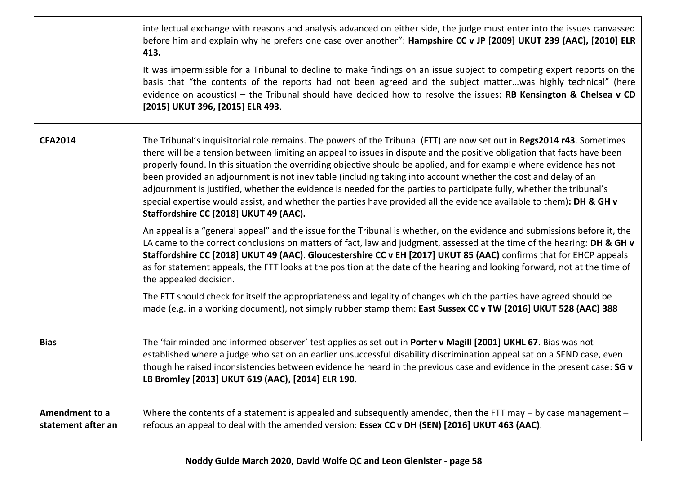|                                      | intellectual exchange with reasons and analysis advanced on either side, the judge must enter into the issues canvassed<br>before him and explain why he prefers one case over another": Hampshire CC v JP [2009] UKUT 239 (AAC), [2010] ELR<br>413.                                                                                                                                                                                                                                                                                                                                                                                                                                                                                                                                    |
|--------------------------------------|-----------------------------------------------------------------------------------------------------------------------------------------------------------------------------------------------------------------------------------------------------------------------------------------------------------------------------------------------------------------------------------------------------------------------------------------------------------------------------------------------------------------------------------------------------------------------------------------------------------------------------------------------------------------------------------------------------------------------------------------------------------------------------------------|
|                                      | It was impermissible for a Tribunal to decline to make findings on an issue subject to competing expert reports on the<br>basis that "the contents of the reports had not been agreed and the subject matterwas highly technical" (here<br>evidence on acoustics) – the Tribunal should have decided how to resolve the issues: RB Kensington & Chelsea v CD<br>[2015] UKUT 396, [2015] ELR 493.                                                                                                                                                                                                                                                                                                                                                                                        |
| <b>CFA2014</b>                       | The Tribunal's inquisitorial role remains. The powers of the Tribunal (FTT) are now set out in Regs2014 r43. Sometimes<br>there will be a tension between limiting an appeal to issues in dispute and the positive obligation that facts have been<br>properly found. In this situation the overriding objective should be applied, and for example where evidence has not<br>been provided an adjournment is not inevitable (including taking into account whether the cost and delay of an<br>adjournment is justified, whether the evidence is needed for the parties to participate fully, whether the tribunal's<br>special expertise would assist, and whether the parties have provided all the evidence available to them): DH & GH v<br>Staffordshire CC [2018] UKUT 49 (AAC). |
|                                      | An appeal is a "general appeal" and the issue for the Tribunal is whether, on the evidence and submissions before it, the<br>LA came to the correct conclusions on matters of fact, law and judgment, assessed at the time of the hearing: DH & GH v<br>Staffordshire CC [2018] UKUT 49 (AAC). Gloucestershire CC v EH [2017] UKUT 85 (AAC) confirms that for EHCP appeals<br>as for statement appeals, the FTT looks at the position at the date of the hearing and looking forward, not at the time of<br>the appealed decision.                                                                                                                                                                                                                                                      |
|                                      | The FTT should check for itself the appropriateness and legality of changes which the parties have agreed should be<br>made (e.g. in a working document), not simply rubber stamp them: East Sussex CC v TW [2016] UKUT 528 (AAC) 388                                                                                                                                                                                                                                                                                                                                                                                                                                                                                                                                                   |
| <b>Bias</b>                          | The 'fair minded and informed observer' test applies as set out in Porter v Magill [2001] UKHL 67. Bias was not<br>established where a judge who sat on an earlier unsuccessful disability discrimination appeal sat on a SEND case, even<br>though he raised inconsistencies between evidence he heard in the previous case and evidence in the present case: SG v<br>LB Bromley [2013] UKUT 619 (AAC), [2014] ELR 190.                                                                                                                                                                                                                                                                                                                                                                |
| Amendment to a<br>statement after an | Where the contents of a statement is appealed and subsequently amended, then the FTT may - by case management -<br>refocus an appeal to deal with the amended version: Essex CC v DH (SEN) [2016] UKUT 463 (AAC).                                                                                                                                                                                                                                                                                                                                                                                                                                                                                                                                                                       |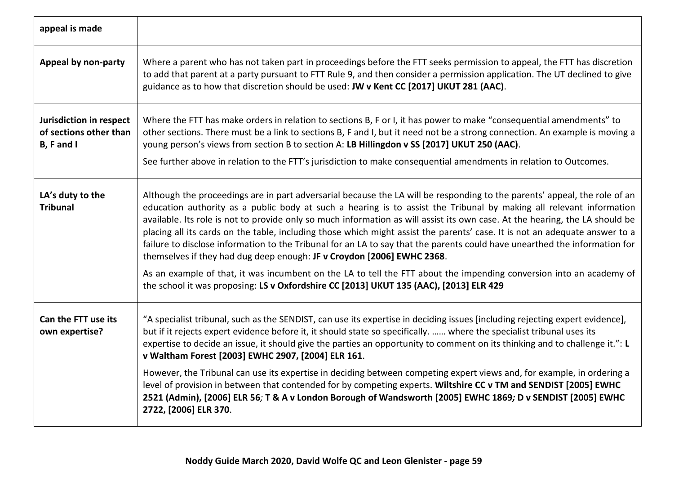| appeal is made                                                  |                                                                                                                                                                                                                                                                                                                                                                                                                                                                                                                                                                                                                                                                                                                         |
|-----------------------------------------------------------------|-------------------------------------------------------------------------------------------------------------------------------------------------------------------------------------------------------------------------------------------------------------------------------------------------------------------------------------------------------------------------------------------------------------------------------------------------------------------------------------------------------------------------------------------------------------------------------------------------------------------------------------------------------------------------------------------------------------------------|
| Appeal by non-party                                             | Where a parent who has not taken part in proceedings before the FTT seeks permission to appeal, the FTT has discretion<br>to add that parent at a party pursuant to FTT Rule 9, and then consider a permission application. The UT declined to give<br>guidance as to how that discretion should be used: JW v Kent CC [2017] UKUT 281 (AAC).                                                                                                                                                                                                                                                                                                                                                                           |
| Jurisdiction in respect<br>of sections other than<br>B, F and I | Where the FTT has make orders in relation to sections B, F or I, it has power to make "consequential amendments" to<br>other sections. There must be a link to sections B, F and I, but it need not be a strong connection. An example is moving a<br>young person's views from section B to section A: LB Hillingdon v SS [2017] UKUT 250 (AAC).<br>See further above in relation to the FTT's jurisdiction to make consequential amendments in relation to Outcomes.                                                                                                                                                                                                                                                  |
|                                                                 |                                                                                                                                                                                                                                                                                                                                                                                                                                                                                                                                                                                                                                                                                                                         |
| LA's duty to the<br><b>Tribunal</b>                             | Although the proceedings are in part adversarial because the LA will be responding to the parents' appeal, the role of an<br>education authority as a public body at such a hearing is to assist the Tribunal by making all relevant information<br>available. Its role is not to provide only so much information as will assist its own case. At the hearing, the LA should be<br>placing all its cards on the table, including those which might assist the parents' case. It is not an adequate answer to a<br>failure to disclose information to the Tribunal for an LA to say that the parents could have unearthed the information for<br>themselves if they had dug deep enough: JF v Croydon [2006] EWHC 2368. |
|                                                                 | As an example of that, it was incumbent on the LA to tell the FTT about the impending conversion into an academy of<br>the school it was proposing: LS v Oxfordshire CC [2013] UKUT 135 (AAC), [2013] ELR 429                                                                                                                                                                                                                                                                                                                                                                                                                                                                                                           |
| Can the FTT use its<br>own expertise?                           | "A specialist tribunal, such as the SENDIST, can use its expertise in deciding issues [including rejecting expert evidence],<br>but if it rejects expert evidence before it, it should state so specifically.  where the specialist tribunal uses its<br>expertise to decide an issue, it should give the parties an opportunity to comment on its thinking and to challenge it.": L<br>v Waltham Forest [2003] EWHC 2907, [2004] ELR 161.                                                                                                                                                                                                                                                                              |
|                                                                 | However, the Tribunal can use its expertise in deciding between competing expert views and, for example, in ordering a<br>level of provision in between that contended for by competing experts. Wiltshire CC v TM and SENDIST [2005] EWHC<br>2521 (Admin), [2006] ELR 56; T & A v London Borough of Wandsworth [2005] EWHC 1869; D v SENDIST [2005] EWHC<br>2722, [2006] ELR 370.                                                                                                                                                                                                                                                                                                                                      |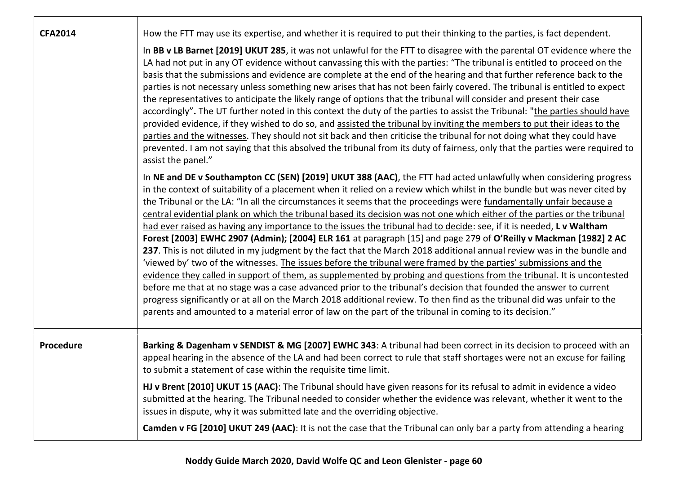| <b>CFA2014</b> | How the FTT may use its expertise, and whether it is required to put their thinking to the parties, is fact dependent.<br>In BB v LB Barnet [2019] UKUT 285, it was not unlawful for the FTT to disagree with the parental OT evidence where the<br>LA had not put in any OT evidence without canvassing this with the parties: "The tribunal is entitled to proceed on the<br>basis that the submissions and evidence are complete at the end of the hearing and that further reference back to the<br>parties is not necessary unless something new arises that has not been fairly covered. The tribunal is entitled to expect<br>the representatives to anticipate the likely range of options that the tribunal will consider and present their case<br>accordingly". The UT further noted in this context the duty of the parties to assist the Tribunal: "the parties should have<br>provided evidence, if they wished to do so, and assisted the tribunal by inviting the members to put their ideas to the<br>parties and the witnesses. They should not sit back and then criticise the tribunal for not doing what they could have<br>prevented. I am not saying that this absolved the tribunal from its duty of fairness, only that the parties were required to<br>assist the panel."                                                                                                                                                                                 |
|----------------|-------------------------------------------------------------------------------------------------------------------------------------------------------------------------------------------------------------------------------------------------------------------------------------------------------------------------------------------------------------------------------------------------------------------------------------------------------------------------------------------------------------------------------------------------------------------------------------------------------------------------------------------------------------------------------------------------------------------------------------------------------------------------------------------------------------------------------------------------------------------------------------------------------------------------------------------------------------------------------------------------------------------------------------------------------------------------------------------------------------------------------------------------------------------------------------------------------------------------------------------------------------------------------------------------------------------------------------------------------------------------------------------------------------------------------------------------------------------------------------|
|                | In NE and DE v Southampton CC (SEN) [2019] UKUT 388 (AAC), the FTT had acted unlawfully when considering progress<br>in the context of suitability of a placement when it relied on a review which whilst in the bundle but was never cited by<br>the Tribunal or the LA: "In all the circumstances it seems that the proceedings were fundamentally unfair because a<br>central evidential plank on which the tribunal based its decision was not one which either of the parties or the tribunal<br>had ever raised as having any importance to the issues the tribunal had to decide: see, if it is needed, L v Waltham<br>Forest [2003] EWHC 2907 (Admin); [2004] ELR 161 at paragraph [15] and page 279 of O'Reilly v Mackman [1982] 2 AC<br>237. This is not diluted in my judgment by the fact that the March 2018 additional annual review was in the bundle and<br>'viewed by' two of the witnesses. The issues before the tribunal were framed by the parties' submissions and the<br>evidence they called in support of them, as supplemented by probing and questions from the tribunal. It is uncontested<br>before me that at no stage was a case advanced prior to the tribunal's decision that founded the answer to current<br>progress significantly or at all on the March 2018 additional review. To then find as the tribunal did was unfair to the<br>parents and amounted to a material error of law on the part of the tribunal in coming to its decision." |
| Procedure      | Barking & Dagenham v SENDIST & MG [2007] EWHC 343: A tribunal had been correct in its decision to proceed with an<br>appeal hearing in the absence of the LA and had been correct to rule that staff shortages were not an excuse for failing<br>to submit a statement of case within the requisite time limit.<br>HJ v Brent [2010] UKUT 15 (AAC): The Tribunal should have given reasons for its refusal to admit in evidence a video<br>submitted at the hearing. The Tribunal needed to consider whether the evidence was relevant, whether it went to the<br>issues in dispute, why it was submitted late and the overriding objective.<br>Camden v FG [2010] UKUT 249 (AAC): It is not the case that the Tribunal can only bar a party from attending a hearing                                                                                                                                                                                                                                                                                                                                                                                                                                                                                                                                                                                                                                                                                                               |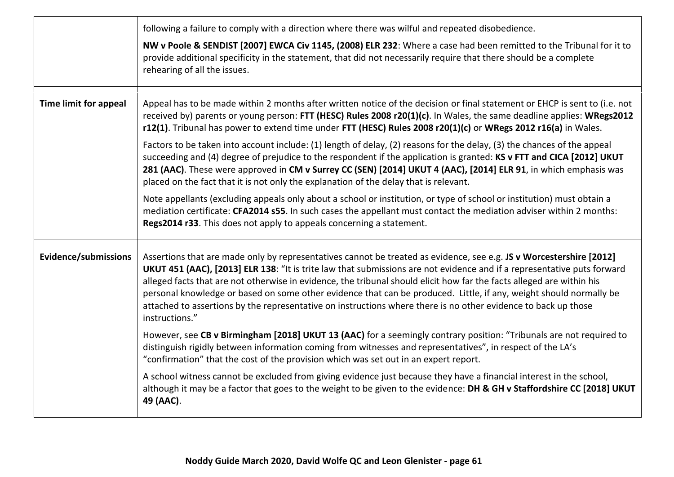|                              | following a failure to comply with a direction where there was wilful and repeated disobedience.<br>NW v Poole & SENDIST [2007] EWCA Civ 1145, (2008) ELR 232: Where a case had been remitted to the Tribunal for it to<br>provide additional specificity in the statement, that did not necessarily require that there should be a complete<br>rehearing of all the issues.                                                                                                                                                                                                                                                      |
|------------------------------|-----------------------------------------------------------------------------------------------------------------------------------------------------------------------------------------------------------------------------------------------------------------------------------------------------------------------------------------------------------------------------------------------------------------------------------------------------------------------------------------------------------------------------------------------------------------------------------------------------------------------------------|
| <b>Time limit for appeal</b> | Appeal has to be made within 2 months after written notice of the decision or final statement or EHCP is sent to (i.e. not<br>received by) parents or young person: FTT (HESC) Rules 2008 r20(1)(c). In Wales, the same deadline applies: WRegs2012<br>r12(1). Tribunal has power to extend time under FTT (HESC) Rules 2008 r20(1)(c) or WRegs 2012 r16(a) in Wales.                                                                                                                                                                                                                                                             |
|                              | Factors to be taken into account include: (1) length of delay, (2) reasons for the delay, (3) the chances of the appeal<br>succeeding and (4) degree of prejudice to the respondent if the application is granted: KS v FTT and CICA [2012] UKUT<br>281 (AAC). These were approved in CM v Surrey CC (SEN) [2014] UKUT 4 (AAC), [2014] ELR 91, in which emphasis was<br>placed on the fact that it is not only the explanation of the delay that is relevant.                                                                                                                                                                     |
|                              | Note appellants (excluding appeals only about a school or institution, or type of school or institution) must obtain a<br>mediation certificate: CFA2014 s55. In such cases the appellant must contact the mediation adviser within 2 months:<br>Regs2014 r33. This does not apply to appeals concerning a statement.                                                                                                                                                                                                                                                                                                             |
| <b>Evidence/submissions</b>  | Assertions that are made only by representatives cannot be treated as evidence, see e.g. JS v Worcestershire [2012]<br>UKUT 451 (AAC), [2013] ELR 138: "It is trite law that submissions are not evidence and if a representative puts forward<br>alleged facts that are not otherwise in evidence, the tribunal should elicit how far the facts alleged are within his<br>personal knowledge or based on some other evidence that can be produced. Little, if any, weight should normally be<br>attached to assertions by the representative on instructions where there is no other evidence to back up those<br>instructions." |
|                              | However, see CB v Birmingham [2018] UKUT 13 (AAC) for a seemingly contrary position: "Tribunals are not required to<br>distinguish rigidly between information coming from witnesses and representatives", in respect of the LA's<br>"confirmation" that the cost of the provision which was set out in an expert report.                                                                                                                                                                                                                                                                                                         |
|                              | A school witness cannot be excluded from giving evidence just because they have a financial interest in the school,<br>although it may be a factor that goes to the weight to be given to the evidence: DH & GH v Staffordshire CC [2018] UKUT<br>49 (AAC).                                                                                                                                                                                                                                                                                                                                                                       |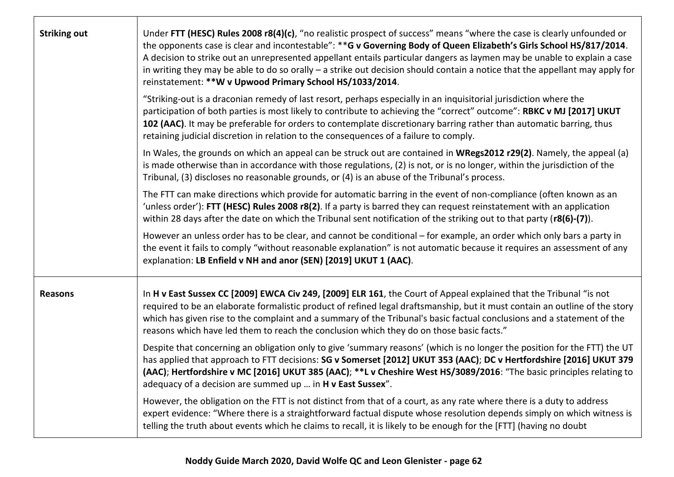| <b>Striking out</b> | Under FTT (HESC) Rules 2008 r8(4)(c), "no realistic prospect of success" means "where the case is clearly unfounded or<br>the opponents case is clear and incontestable": ** G v Governing Body of Queen Elizabeth's Girls School HS/817/2014.<br>A decision to strike out an unrepresented appellant entails particular dangers as laymen may be unable to explain a case<br>in writing they may be able to do so orally - a strike out decision should contain a notice that the appellant may apply for<br>reinstatement: ** W v Upwood Primary School HS/1033/2014. |
|---------------------|-------------------------------------------------------------------------------------------------------------------------------------------------------------------------------------------------------------------------------------------------------------------------------------------------------------------------------------------------------------------------------------------------------------------------------------------------------------------------------------------------------------------------------------------------------------------------|
|                     | "Striking-out is a draconian remedy of last resort, perhaps especially in an inquisitorial jurisdiction where the<br>participation of both parties is most likely to contribute to achieving the "correct" outcome": RBKC v MJ [2017] UKUT<br>102 (AAC). It may be preferable for orders to contemplate discretionary barring rather than automatic barring, thus<br>retaining judicial discretion in relation to the consequences of a failure to comply.                                                                                                              |
|                     | In Wales, the grounds on which an appeal can be struck out are contained in WRegs2012 r29(2). Namely, the appeal (a)<br>is made otherwise than in accordance with those regulations, (2) is not, or is no longer, within the jurisdiction of the<br>Tribunal, (3) discloses no reasonable grounds, or (4) is an abuse of the Tribunal's process.                                                                                                                                                                                                                        |
|                     | The FTT can make directions which provide for automatic barring in the event of non-compliance (often known as an<br>'unless order'): FTT (HESC) Rules 2008 r8(2). If a party is barred they can request reinstatement with an application<br>within 28 days after the date on which the Tribunal sent notification of the striking out to that party (r8(6)-(7)).                                                                                                                                                                                                      |
|                     | However an unless order has to be clear, and cannot be conditional – for example, an order which only bars a party in<br>the event it fails to comply "without reasonable explanation" is not automatic because it requires an assessment of any<br>explanation: LB Enfield v NH and anor (SEN) [2019] UKUT 1 (AAC).                                                                                                                                                                                                                                                    |
| <b>Reasons</b>      | In H v East Sussex CC [2009] EWCA Civ 249, [2009] ELR 161, the Court of Appeal explained that the Tribunal "is not<br>required to be an elaborate formalistic product of refined legal draftsmanship, but it must contain an outline of the story<br>which has given rise to the complaint and a summary of the Tribunal's basic factual conclusions and a statement of the<br>reasons which have led them to reach the conclusion which they do on those basic facts."                                                                                                 |
|                     | Despite that concerning an obligation only to give 'summary reasons' (which is no longer the position for the FTT) the UT<br>has applied that approach to FTT decisions: SG v Somerset [2012] UKUT 353 (AAC); DC v Hertfordshire [2016] UKUT 379<br>(AAC); Hertfordshire v MC [2016] UKUT 385 (AAC); **L v Cheshire West HS/3089/2016: "The basic principles relating to<br>adequacy of a decision are summed up  in H v East Sussex".                                                                                                                                  |
|                     | However, the obligation on the FTT is not distinct from that of a court, as any rate where there is a duty to address<br>expert evidence: "Where there is a straightforward factual dispute whose resolution depends simply on which witness is<br>telling the truth about events which he claims to recall, it is likely to be enough for the [FTT] (having no doubt                                                                                                                                                                                                   |

ா

┱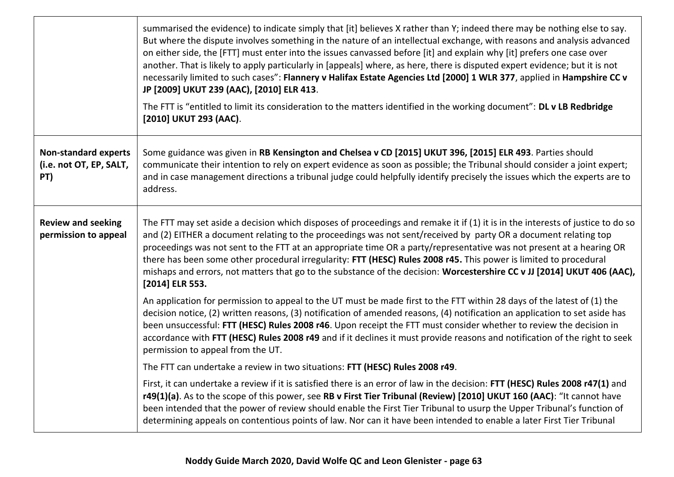|                                                               | summarised the evidence) to indicate simply that [it] believes X rather than Y; indeed there may be nothing else to say.<br>But where the dispute involves something in the nature of an intellectual exchange, with reasons and analysis advanced<br>on either side, the [FTT] must enter into the issues canvassed before [it] and explain why [it] prefers one case over<br>another. That is likely to apply particularly in [appeals] where, as here, there is disputed expert evidence; but it is not<br>necessarily limited to such cases": Flannery v Halifax Estate Agencies Ltd [2000] 1 WLR 377, applied in Hampshire CC v<br>JP [2009] UKUT 239 (AAC), [2010] ELR 413.<br>The FTT is "entitled to limit its consideration to the matters identified in the working document": DL v LB Redbridge<br>[2010] UKUT 293 (AAC). |
|---------------------------------------------------------------|--------------------------------------------------------------------------------------------------------------------------------------------------------------------------------------------------------------------------------------------------------------------------------------------------------------------------------------------------------------------------------------------------------------------------------------------------------------------------------------------------------------------------------------------------------------------------------------------------------------------------------------------------------------------------------------------------------------------------------------------------------------------------------------------------------------------------------------|
| <b>Non-standard experts</b><br>(i.e. not OT, EP, SALT,<br>PT) | Some guidance was given in RB Kensington and Chelsea v CD [2015] UKUT 396, [2015] ELR 493. Parties should<br>communicate their intention to rely on expert evidence as soon as possible; the Tribunal should consider a joint expert;<br>and in case management directions a tribunal judge could helpfully identify precisely the issues which the experts are to<br>address.                                                                                                                                                                                                                                                                                                                                                                                                                                                       |
| <b>Review and seeking</b><br>permission to appeal             | The FTT may set aside a decision which disposes of proceedings and remake it if (1) it is in the interests of justice to do so<br>and (2) EITHER a document relating to the proceedings was not sent/received by party OR a document relating top<br>proceedings was not sent to the FTT at an appropriate time OR a party/representative was not present at a hearing OR<br>there has been some other procedural irregularity: FTT (HESC) Rules 2008 r45. This power is limited to procedural<br>mishaps and errors, not matters that go to the substance of the decision: Worcestershire CC v JJ [2014] UKUT 406 (AAC),<br>[2014] ELR 553.                                                                                                                                                                                         |
|                                                               | An application for permission to appeal to the UT must be made first to the FTT within 28 days of the latest of (1) the<br>decision notice, (2) written reasons, (3) notification of amended reasons, (4) notification an application to set aside has<br>been unsuccessful: FTT (HESC) Rules 2008 r46. Upon receipt the FTT must consider whether to review the decision in<br>accordance with FTT (HESC) Rules 2008 r49 and if it declines it must provide reasons and notification of the right to seek<br>permission to appeal from the UT.                                                                                                                                                                                                                                                                                      |
|                                                               | The FTT can undertake a review in two situations: FTT (HESC) Rules 2008 r49.                                                                                                                                                                                                                                                                                                                                                                                                                                                                                                                                                                                                                                                                                                                                                         |
|                                                               | First, it can undertake a review if it is satisfied there is an error of law in the decision: FTT (HESC) Rules 2008 r47(1) and<br>r49(1)(a). As to the scope of this power, see RB v First Tier Tribunal (Review) [2010] UKUT 160 (AAC): "It cannot have<br>been intended that the power of review should enable the First Tier Tribunal to usurp the Upper Tribunal's function of<br>determining appeals on contentious points of law. Nor can it have been intended to enable a later First Tier Tribunal                                                                                                                                                                                                                                                                                                                          |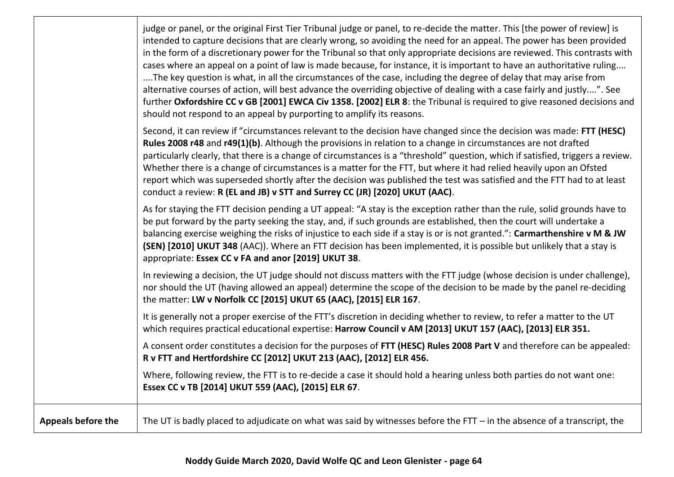|                           | judge or panel, or the original First Tier Tribunal judge or panel, to re-decide the matter. This [the power of review] is<br>intended to capture decisions that are clearly wrong, so avoiding the need for an appeal. The power has been provided<br>in the form of a discretionary power for the Tribunal so that only appropriate decisions are reviewed. This contrasts with<br>cases where an appeal on a point of law is made because, for instance, it is important to have an authoritative ruling<br>The key question is what, in all the circumstances of the case, including the degree of delay that may arise from<br>alternative courses of action, will best advance the overriding objective of dealing with a case fairly and justly". See<br>further Oxfordshire CC v GB [2001] EWCA Civ 1358. [2002] ELR 8: the Tribunal is required to give reasoned decisions and<br>should not respond to an appeal by purporting to amplify its reasons. |
|---------------------------|------------------------------------------------------------------------------------------------------------------------------------------------------------------------------------------------------------------------------------------------------------------------------------------------------------------------------------------------------------------------------------------------------------------------------------------------------------------------------------------------------------------------------------------------------------------------------------------------------------------------------------------------------------------------------------------------------------------------------------------------------------------------------------------------------------------------------------------------------------------------------------------------------------------------------------------------------------------|
|                           | Second, it can review if "circumstances relevant to the decision have changed since the decision was made: FTT (HESC)<br>Rules 2008 r48 and r49(1)(b). Although the provisions in relation to a change in circumstances are not drafted<br>particularly clearly, that there is a change of circumstances is a "threshold" question, which if satisfied, triggers a review.<br>Whether there is a change of circumstances is a matter for the FTT, but where it had relied heavily upon an Ofsted<br>report which was superseded shortly after the decision was published the test was satisfied and the FTT had to at least<br>conduct a review: R (EL and JB) v STT and Surrey CC (JR) [2020] UKUT (AAC).                                                                                                                                                                                                                                                       |
|                           | As for staying the FTT decision pending a UT appeal: "A stay is the exception rather than the rule, solid grounds have to<br>be put forward by the party seeking the stay, and, if such grounds are established, then the court will undertake a<br>balancing exercise weighing the risks of injustice to each side if a stay is or is not granted.": Carmarthenshire v M & JW<br>(SEN) [2010] UKUT 348 (AAC)). Where an FTT decision has been implemented, it is possible but unlikely that a stay is<br>appropriate: Essex CC v FA and anor [2019] UKUT 38.                                                                                                                                                                                                                                                                                                                                                                                                    |
|                           | In reviewing a decision, the UT judge should not discuss matters with the FTT judge (whose decision is under challenge),<br>nor should the UT (having allowed an appeal) determine the scope of the decision to be made by the panel re-deciding<br>the matter: LW v Norfolk CC [2015] UKUT 65 (AAC), [2015] ELR 167.                                                                                                                                                                                                                                                                                                                                                                                                                                                                                                                                                                                                                                            |
|                           | It is generally not a proper exercise of the FTT's discretion in deciding whether to review, to refer a matter to the UT<br>which requires practical educational expertise: Harrow Council v AM [2013] UKUT 157 (AAC), [2013] ELR 351.                                                                                                                                                                                                                                                                                                                                                                                                                                                                                                                                                                                                                                                                                                                           |
|                           | A consent order constitutes a decision for the purposes of FTT (HESC) Rules 2008 Part V and therefore can be appealed:<br>R v FTT and Hertfordshire CC [2012] UKUT 213 (AAC), [2012] ELR 456.                                                                                                                                                                                                                                                                                                                                                                                                                                                                                                                                                                                                                                                                                                                                                                    |
|                           | Where, following review, the FTT is to re-decide a case it should hold a hearing unless both parties do not want one:<br>Essex CC v TB [2014] UKUT 559 (AAC), [2015] ELR 67.                                                                                                                                                                                                                                                                                                                                                                                                                                                                                                                                                                                                                                                                                                                                                                                     |
| <b>Appeals before the</b> | The UT is badly placed to adjudicate on what was said by witnesses before the FTT $-$ in the absence of a transcript, the                                                                                                                                                                                                                                                                                                                                                                                                                                                                                                                                                                                                                                                                                                                                                                                                                                        |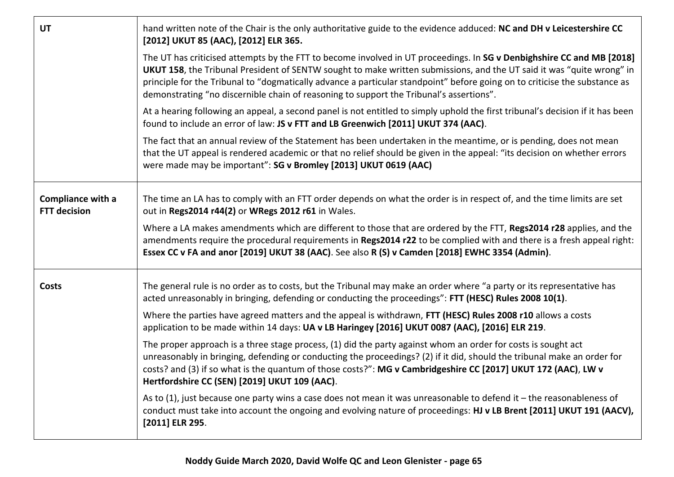| <b>UT</b>                                | hand written note of the Chair is the only authoritative guide to the evidence adduced: NC and DH v Leicestershire CC<br>[2012] UKUT 85 (AAC), [2012] ELR 365.                                                                                                                                                                                                                                                                                                          |
|------------------------------------------|-------------------------------------------------------------------------------------------------------------------------------------------------------------------------------------------------------------------------------------------------------------------------------------------------------------------------------------------------------------------------------------------------------------------------------------------------------------------------|
|                                          | The UT has criticised attempts by the FTT to become involved in UT proceedings. In SG v Denbighshire CC and MB [2018]<br>UKUT 158, the Tribunal President of SENTW sought to make written submissions, and the UT said it was "quite wrong" in<br>principle for the Tribunal to "dogmatically advance a particular standpoint" before going on to criticise the substance as<br>demonstrating "no discernible chain of reasoning to support the Tribunal's assertions". |
|                                          | At a hearing following an appeal, a second panel is not entitled to simply uphold the first tribunal's decision if it has been<br>found to include an error of law: JS v FTT and LB Greenwich [2011] UKUT 374 (AAC).                                                                                                                                                                                                                                                    |
|                                          | The fact that an annual review of the Statement has been undertaken in the meantime, or is pending, does not mean<br>that the UT appeal is rendered academic or that no relief should be given in the appeal: "its decision on whether errors<br>were made may be important": SG v Bromley [2013] UKUT 0619 (AAC)                                                                                                                                                       |
| Compliance with a<br><b>FTT decision</b> | The time an LA has to comply with an FTT order depends on what the order is in respect of, and the time limits are set<br>out in Regs2014 r44(2) or WRegs 2012 r61 in Wales.                                                                                                                                                                                                                                                                                            |
|                                          | Where a LA makes amendments which are different to those that are ordered by the FTT, Regs2014 r28 applies, and the<br>amendments require the procedural requirements in Regs2014 r22 to be complied with and there is a fresh appeal right:<br>Essex CC v FA and anor [2019] UKUT 38 (AAC). See also R (S) v Camden [2018] EWHC 3354 (Admin).                                                                                                                          |
| <b>Costs</b>                             | The general rule is no order as to costs, but the Tribunal may make an order where "a party or its representative has<br>acted unreasonably in bringing, defending or conducting the proceedings": FTT (HESC) Rules 2008 10(1).                                                                                                                                                                                                                                         |
|                                          | Where the parties have agreed matters and the appeal is withdrawn, FTT (HESC) Rules 2008 r10 allows a costs<br>application to be made within 14 days: UA v LB Haringey [2016] UKUT 0087 (AAC), [2016] ELR 219.                                                                                                                                                                                                                                                          |
|                                          | The proper approach is a three stage process, (1) did the party against whom an order for costs is sought act<br>unreasonably in bringing, defending or conducting the proceedings? (2) if it did, should the tribunal make an order for<br>costs? and (3) if so what is the quantum of those costs?": MG v Cambridgeshire CC [2017] UKUT 172 (AAC), LW v<br>Hertfordshire CC (SEN) [2019] UKUT 109 (AAC).                                                              |
|                                          | As to (1), just because one party wins a case does not mean it was unreasonable to defend it - the reasonableness of<br>conduct must take into account the ongoing and evolving nature of proceedings: HJ v LB Brent [2011] UKUT 191 (AACV),<br>[2011] ELR 295.                                                                                                                                                                                                         |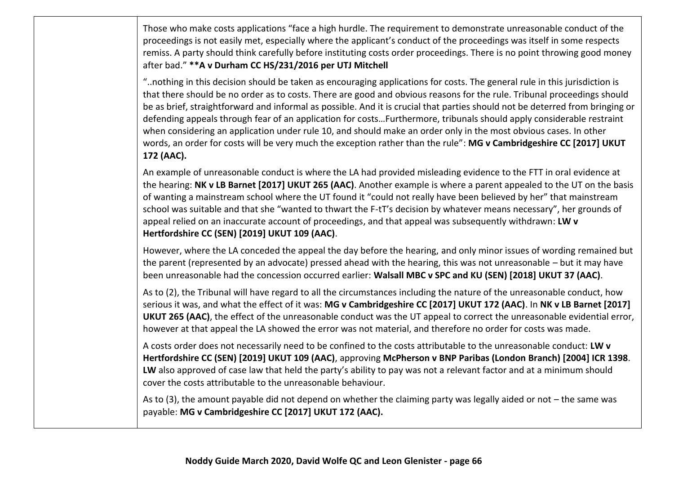Those who make costs applications "face a high hurdle. The requirement to demonstrate unreasonable conduct of the proceedings is not easily met, especially where the applicant's conduct of the proceedings was itself in some respects remiss. A party should think carefully before instituting costs order proceedings. There is no point throwing good money after bad." **\*\*A v Durham CC HS/231/2016 per UTJ Mitchell**

"..nothing in this decision should be taken as encouraging applications for costs. The general rule in this jurisdiction is that there should be no order as to costs. There are good and obvious reasons for the rule. Tribunal proceedings should be as brief, straightforward and informal as possible. And it is crucial that parties should not be deterred from bringing or defending appeals through fear of an application for costs…Furthermore, tribunals should apply considerable restraint when considering an application under rule 10, and should make an order only in the most obvious cases. In other words, an order for costs will be very much the exception rather than the rule": **MG v Cambridgeshire CC [2017] UKUT 172 (AAC).**

An example of unreasonable conduct is where the LA had provided misleading evidence to the FTT in oral evidence at the hearing: **NK v LB Barnet [2017] UKUT 265 (AAC)**. Another example is where a parent appealed to the UT on the basis of wanting a mainstream school where the UT found it "could not really have been believed by her" that mainstream school was suitable and that she "wanted to thwart the F-tT's decision by whatever means necessary", her grounds of appeal relied on an inaccurate account of proceedings, and that appeal was subsequently withdrawn: **LW v Hertfordshire CC (SEN) [2019] UKUT 109 (AAC)**.

However, where the LA conceded the appeal the day before the hearing, and only minor issues of wording remained but the parent (represented by an advocate) pressed ahead with the hearing, this was not unreasonable – but it may have been unreasonable had the concession occurred earlier: **Walsall MBC v SPC and KU (SEN) [2018] UKUT 37 (AAC)**.

As to (2), the Tribunal will have regard to all the circumstances including the nature of the unreasonable conduct, how serious it was, and what the effect of it was: **MG v Cambridgeshire CC [2017] UKUT 172 (AAC)**. In **NK v LB Barnet [2017] UKUT 265 (AAC)**, the effect of the unreasonable conduct was the UT appeal to correct the unreasonable evidential error, however at that appeal the LA showed the error was not material, and therefore no order for costs was made.

A costs order does not necessarily need to be confined to the costs attributable to the unreasonable conduct: **LW v Hertfordshire CC (SEN) [2019] UKUT 109 (AAC)**, approving **McPherson v BNP Paribas (London Branch) [2004] ICR 1398**. **LW** also approved of case law that held the party's ability to pay was not a relevant factor and at a minimum should cover the costs attributable to the unreasonable behaviour.

As to (3), the amount payable did not depend on whether the claiming party was legally aided or not – the same was payable: **MG v Cambridgeshire CC [2017] UKUT 172 (AAC).**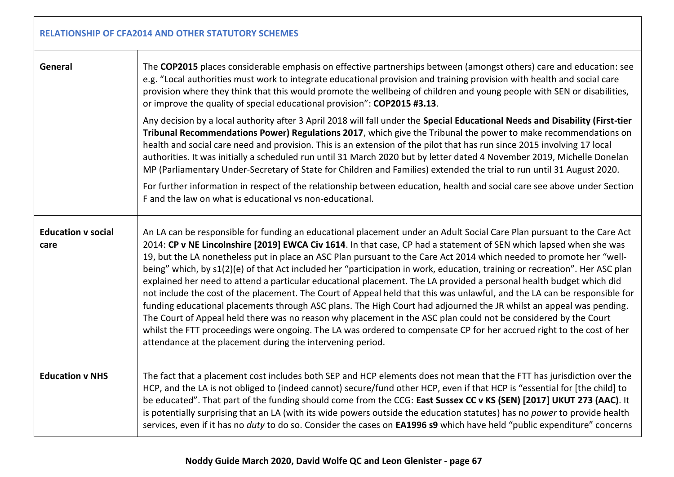| <b>RELATIONSHIP OF CFA2014 AND OTHER STATUTORY SCHEMES</b> |                                                                                                                                                                                                                                                                                                                                                                                                                                                                                                                                                                                                                                                                                                                                                                                                                                                                                                                                                                                                                                                                                                                                                                                          |  |
|------------------------------------------------------------|------------------------------------------------------------------------------------------------------------------------------------------------------------------------------------------------------------------------------------------------------------------------------------------------------------------------------------------------------------------------------------------------------------------------------------------------------------------------------------------------------------------------------------------------------------------------------------------------------------------------------------------------------------------------------------------------------------------------------------------------------------------------------------------------------------------------------------------------------------------------------------------------------------------------------------------------------------------------------------------------------------------------------------------------------------------------------------------------------------------------------------------------------------------------------------------|--|
| General                                                    | The COP2015 places considerable emphasis on effective partnerships between (amongst others) care and education: see<br>e.g. "Local authorities must work to integrate educational provision and training provision with health and social care<br>provision where they think that this would promote the wellbeing of children and young people with SEN or disabilities,<br>or improve the quality of special educational provision": COP2015 #3.13.                                                                                                                                                                                                                                                                                                                                                                                                                                                                                                                                                                                                                                                                                                                                    |  |
|                                                            | Any decision by a local authority after 3 April 2018 will fall under the Special Educational Needs and Disability (First-tier<br>Tribunal Recommendations Power) Regulations 2017, which give the Tribunal the power to make recommendations on<br>health and social care need and provision. This is an extension of the pilot that has run since 2015 involving 17 local<br>authorities. It was initially a scheduled run until 31 March 2020 but by letter dated 4 November 2019, Michelle Donelan<br>MP (Parliamentary Under-Secretary of State for Children and Families) extended the trial to run until 31 August 2020.                                                                                                                                                                                                                                                                                                                                                                                                                                                                                                                                                           |  |
|                                                            | For further information in respect of the relationship between education, health and social care see above under Section<br>F and the law on what is educational vs non-educational.                                                                                                                                                                                                                                                                                                                                                                                                                                                                                                                                                                                                                                                                                                                                                                                                                                                                                                                                                                                                     |  |
| <b>Education v social</b><br>care                          | An LA can be responsible for funding an educational placement under an Adult Social Care Plan pursuant to the Care Act<br>2014: CP v NE Lincolnshire [2019] EWCA Civ 1614. In that case, CP had a statement of SEN which lapsed when she was<br>19, but the LA nonetheless put in place an ASC Plan pursuant to the Care Act 2014 which needed to promote her "well-<br>being" which, by s1(2)(e) of that Act included her "participation in work, education, training or recreation". Her ASC plan<br>explained her need to attend a particular educational placement. The LA provided a personal health budget which did<br>not include the cost of the placement. The Court of Appeal held that this was unlawful, and the LA can be responsible for<br>funding educational placements through ASC plans. The High Court had adjourned the JR whilst an appeal was pending.<br>The Court of Appeal held there was no reason why placement in the ASC plan could not be considered by the Court<br>whilst the FTT proceedings were ongoing. The LA was ordered to compensate CP for her accrued right to the cost of her<br>attendance at the placement during the intervening period. |  |
| <b>Education v NHS</b>                                     | The fact that a placement cost includes both SEP and HCP elements does not mean that the FTT has jurisdiction over the<br>HCP, and the LA is not obliged to (indeed cannot) secure/fund other HCP, even if that HCP is "essential for [the child] to<br>be educated". That part of the funding should come from the CCG: East Sussex CC v KS (SEN) [2017] UKUT 273 (AAC). It<br>is potentially surprising that an LA (with its wide powers outside the education statutes) has no power to provide health<br>services, even if it has no duty to do so. Consider the cases on EA1996 s9 which have held "public expenditure" concerns                                                                                                                                                                                                                                                                                                                                                                                                                                                                                                                                                    |  |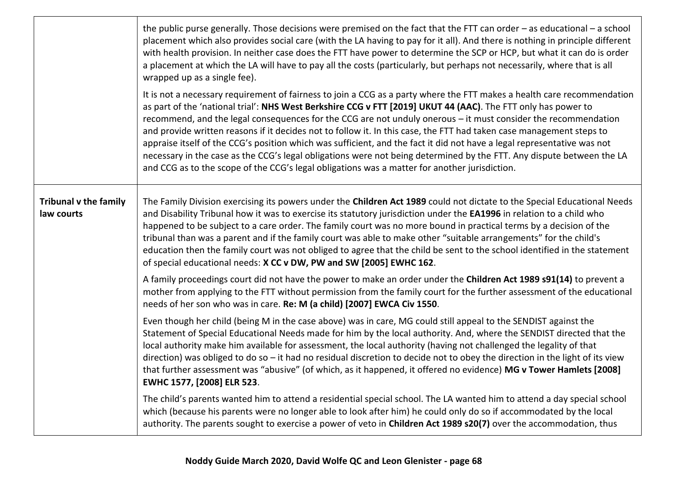|                                            | the public purse generally. Those decisions were premised on the fact that the FTT can order $-$ as educational $-$ a school<br>placement which also provides social care (with the LA having to pay for it all). And there is nothing in principle different<br>with health provision. In neither case does the FTT have power to determine the SCP or HCP, but what it can do is order<br>a placement at which the LA will have to pay all the costs (particularly, but perhaps not necessarily, where that is all<br>wrapped up as a single fee).<br>It is not a necessary requirement of fairness to join a CCG as a party where the FTT makes a health care recommendation<br>as part of the 'national trial': NHS West Berkshire CCG v FTT [2019] UKUT 44 (AAC). The FTT only has power to<br>recommend, and the legal consequences for the CCG are not unduly onerous - it must consider the recommendation<br>and provide written reasons if it decides not to follow it. In this case, the FTT had taken case management steps to<br>appraise itself of the CCG's position which was sufficient, and the fact it did not have a legal representative was not<br>necessary in the case as the CCG's legal obligations were not being determined by the FTT. Any dispute between the LA |
|--------------------------------------------|------------------------------------------------------------------------------------------------------------------------------------------------------------------------------------------------------------------------------------------------------------------------------------------------------------------------------------------------------------------------------------------------------------------------------------------------------------------------------------------------------------------------------------------------------------------------------------------------------------------------------------------------------------------------------------------------------------------------------------------------------------------------------------------------------------------------------------------------------------------------------------------------------------------------------------------------------------------------------------------------------------------------------------------------------------------------------------------------------------------------------------------------------------------------------------------------------------------------------------------------------------------------------------------------|
|                                            | and CCG as to the scope of the CCG's legal obligations was a matter for another jurisdiction.                                                                                                                                                                                                                                                                                                                                                                                                                                                                                                                                                                                                                                                                                                                                                                                                                                                                                                                                                                                                                                                                                                                                                                                                  |
| <b>Tribunal v the family</b><br>law courts | The Family Division exercising its powers under the Children Act 1989 could not dictate to the Special Educational Needs<br>and Disability Tribunal how it was to exercise its statutory jurisdiction under the EA1996 in relation to a child who<br>happened to be subject to a care order. The family court was no more bound in practical terms by a decision of the<br>tribunal than was a parent and if the family court was able to make other "suitable arrangements" for the child's<br>education then the family court was not obliged to agree that the child be sent to the school identified in the statement<br>of special educational needs: X CC v DW, PW and SW [2005] EWHC 162.                                                                                                                                                                                                                                                                                                                                                                                                                                                                                                                                                                                               |
|                                            | A family proceedings court did not have the power to make an order under the Children Act 1989 s91(14) to prevent a<br>mother from applying to the FTT without permission from the family court for the further assessment of the educational<br>needs of her son who was in care. Re: M (a child) [2007] EWCA Civ 1550.                                                                                                                                                                                                                                                                                                                                                                                                                                                                                                                                                                                                                                                                                                                                                                                                                                                                                                                                                                       |
|                                            | Even though her child (being M in the case above) was in care, MG could still appeal to the SENDIST against the<br>Statement of Special Educational Needs made for him by the local authority. And, where the SENDIST directed that the<br>local authority make him available for assessment, the local authority (having not challenged the legality of that<br>direction) was obliged to do so $-$ it had no residual discretion to decide not to obey the direction in the light of its view<br>that further assessment was "abusive" (of which, as it happened, it offered no evidence) MG v Tower Hamlets [2008]<br>EWHC 1577, [2008] ELR 523.                                                                                                                                                                                                                                                                                                                                                                                                                                                                                                                                                                                                                                            |
|                                            | The child's parents wanted him to attend a residential special school. The LA wanted him to attend a day special school<br>which (because his parents were no longer able to look after him) he could only do so if accommodated by the local<br>authority. The parents sought to exercise a power of veto in Children Act 1989 s20(7) over the accommodation, thus                                                                                                                                                                                                                                                                                                                                                                                                                                                                                                                                                                                                                                                                                                                                                                                                                                                                                                                            |